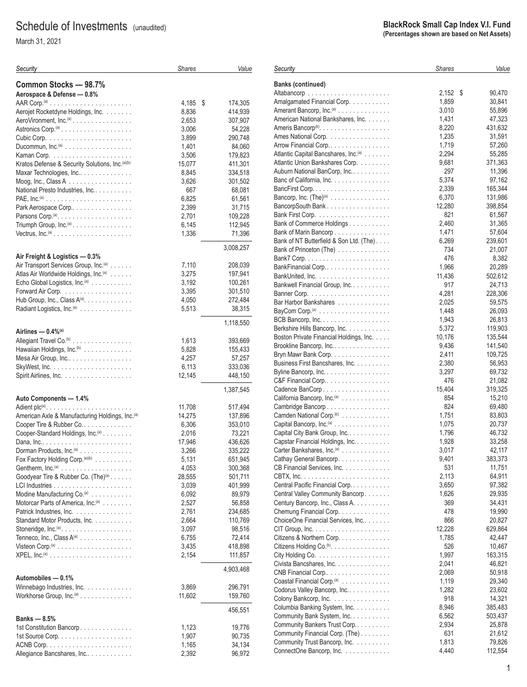# Schedule of Investments (unaudited)

March 31, 2021

| Security                                                             | <b>Shares</b>   | Value              |
|----------------------------------------------------------------------|-----------------|--------------------|
| Common Stocks - 98.7%                                                |                 |                    |
| Aerospace & Defense - 0.8%                                           |                 |                    |
|                                                                      | 4,185           | 174,305<br>\$      |
| Aerojet Rocketdyne Holdings, Inc.                                    | 8,836           | 414,939            |
| AeroVironment, Inc. <sup>(a)</sup> .                                 | 2,653           | 307,907            |
|                                                                      | 3,006           | 54,228             |
|                                                                      | 3,899           | 290,748            |
| Ducommun, $Inc^{(a)}$                                                | 1,401           | 84,060             |
| Kratos Defense & Security Solutions, Inc. <sup>(a)(b)</sup>          | 3,506<br>15,077 | 179,823<br>411,301 |
| Maxar Technologies, Inc                                              | 8,845           | 334,518            |
|                                                                      | 3,626           | 301,502            |
| Moog, Inc., Class A<br>National Presto Industries, Inc               | 667             | 68,081             |
|                                                                      | 6,825           | 61,561             |
| Park Aerospace Corp                                                  | 2,399           | 31,715             |
|                                                                      | 2,701           | 109,228            |
| Triumph Group, Inc. <sup>(a)</sup> .                                 | 6,145           | 112,945            |
| Vectrus, $Inc^{(a)} \dots \dots \dots \dots \dots \dots \dots \dots$ | 1,336           | 71,396             |
|                                                                      |                 | 3,008,257          |
| Air Freight & Logistics - 0.3%                                       |                 |                    |
| Air Transport Services Group, Inc. <sup>(a)</sup>                    | 7,110           | 208,039            |
| Atlas Air Worldwide Holdings, Inc. <sup>(a)</sup>                    | 3,275           | 197,941            |
| Echo Global Logistics, Inc. <sup>(a)</sup>                           | 3,192           | 100,261            |
|                                                                      | 3,395           | 301,510            |
| Hub Group, Inc., Class $A^{(a)}$ .                                   | 4,050           | 272,484            |
| Radiant Logistics, Inc. <sup>(a)</sup>                               | 5,513           | 38.315             |
| Airlines - 0.4% <sup>(a)</sup>                                       |                 | 1,118,550          |
| Allegiant Travel Co. <sup>(b)</sup>                                  |                 |                    |
| Hawaiian Holdings, Inc. <sup>(b)</sup>                               | 1,613<br>5,828  | 393,669<br>155,433 |
| Mesa Air Group, Inc                                                  | 4,257           | 57,257             |
|                                                                      | 6,113           | 333,036            |
| Spirit Airlines, Inc.                                                | 12,145          | 448,150            |
|                                                                      |                 |                    |
| Auto Components - 1.4%                                               |                 | 1,387,545          |
|                                                                      | 11,708          | 517,494            |
| American Axle & Manufacturing Holdings, Inc. <sup>(a)</sup>          | 14,275          | 137,896            |
| Cooper Tire & Rubber Co                                              | 6,306           | 353,010            |
| Cooper-Standard Holdings, Inc.(a)                                    | 2,016           | 73,221             |
|                                                                      | 17,946          | 436,626            |
| Dorman Products, Inc. <sup>(a)</sup>                                 | 3,266           | 335,222            |
| Fox Factory Holding Corp. (a)(b)                                     | 5,131           | 651,945            |
|                                                                      | 4,053           | 300,368            |
| Goodyear Tire & Rubber Co. (The) <sup>(a)</sup>                      | 28,555          | 501,711            |
|                                                                      | 3,039           | 401,999            |
| Modine Manufacturing Co. <sup>(a)</sup>                              | 6,092           | 89,979             |
| Motorcar Parts of America, Inc. <sup>(a)</sup>                       | 2,527           | 56,858             |
| Patrick Industries, Inc.                                             | 2,761           | 234,685            |
| Standard Motor Products, Inc.                                        | 2,664           | 110,769            |
| Stoneridge, $Inc^{(a)} \dots \dots \dots \dots \dots \dots \dots$    | 3,097           | 98,516             |
| Tenneco, Inc., Class A(a)                                            | 6,755           | 72,414             |
|                                                                      | 3,435           | 418,898            |
|                                                                      | 2,154           | 111,857            |
|                                                                      |                 | 4,903,468          |
| Automobiles - 0.1%                                                   |                 |                    |
| Winnebago Industries, Inc.                                           | 3,869           | 296,791            |
| Workhorse Group, Inc. <sup>(a)</sup>                                 | 11,602          | 159,760            |
|                                                                      |                 | 456,551            |
| Banks — 8.5%                                                         |                 |                    |
| 1st Constitution Bancorp.                                            | 1,123<br>1,907  | 19,776             |
|                                                                      |                 | 90,735             |
| Allegiance Bancshares, Inc                                           | 1,165<br>2,392  | 34,134<br>96,972   |
|                                                                      |                 |                    |

| Security                                                                                          | <b>Shares</b>   | Value             |
|---------------------------------------------------------------------------------------------------|-----------------|-------------------|
|                                                                                                   |                 |                   |
| <b>Banks (continued)</b>                                                                          | 2,152           | \$<br>90,470      |
| Amalgamated Financial Corp.                                                                       | 1,859           | 30,841            |
| Amerant Bancorp, Inc. <sup>(a)</sup>                                                              | 3,010           | 55,896            |
| American National Bankshares, Inc.                                                                | 1,431           | 47,323            |
|                                                                                                   | 8,220           | 431,632           |
| Ames National Corp.                                                                               | 1,235           | 31,591            |
| Arrow Financial Corp                                                                              | 1,719           | 57,260            |
| Atlantic Capital Bancshares, Inc. <sup>(a)</sup>                                                  | 2,294           | 55,285            |
| Atlantic Union Bankshares Corp.                                                                   | 9,681           | 371,363           |
| Auburn National BanCorp, Inc<br>Banc of California, Inc.                                          | 297<br>5,374    | 11,396<br>97,162  |
|                                                                                                   | 2,339           | 165,344           |
| Bancorp, Inc. $(The)^{(a)}$                                                                       | 6,370           | 131,986           |
| BancorpSouth Bank                                                                                 | 12,280          | 398,854           |
|                                                                                                   | 821             | 61,567            |
| Bank of Commerce Holdings                                                                         | 2,460           | 31,365            |
| Bank of Marin Bancorp                                                                             | 1,471           | 57,604            |
| Bank of NT Butterfield & Son Ltd. (The)                                                           | 6,269           | 239,601           |
| Bank of Princeton (The)                                                                           | 734             | 21,007            |
|                                                                                                   | 476<br>1,966    | 8,382             |
| BankFinancial Corp                                                                                | 11,436          | 20,289<br>502,612 |
| Bankwell Financial Group, Inc.                                                                    | 917             | 24,713            |
|                                                                                                   | 4,281           | 228,306           |
| Bar Harbor Bankshares                                                                             | 2,025           | 59,575            |
|                                                                                                   | 1,448           | 26,093            |
|                                                                                                   | 1,943           | 26,813            |
| Berkshire Hills Bancorp, Inc.                                                                     | 5,372           | 119,903           |
| Boston Private Financial Holdings, Inc.                                                           | 10,176          | 135,544           |
| Brookline Bancorp, Inc                                                                            | 9,436           | 141,540           |
| Bryn Mawr Bank Corp.                                                                              | 2,411           | 109,725           |
| Business First Bancshares, Inc.<br>Byline Bancorp, Inc.                                           | 2,380<br>3,297  | 56,953<br>69,732  |
| C&F Financial Corp                                                                                | 476             | 21,082            |
| Cadence BanCorp                                                                                   | 15,404          | 319,325           |
| California Bancorp, Inc. <sup>(a)</sup>                                                           | 854             | 15,210            |
| Cambridge Bancorp                                                                                 | 824             | 69,480            |
| Camden National Corp. <sup>(b)</sup>                                                              | 1,751           | 83,803            |
| Capital Bancorp, Inc. <sup>(a)</sup>                                                              | 1,075           | 20,737            |
| Capital City Bank Group, Inc                                                                      | 1,796           | 46,732            |
| Capstar Financial Holdings, Inc.<br>Carter Bankshares, Inc. <sup>(a)</sup>                        | 1,928<br>3,017  | 33,258<br>42,117  |
| Cathay General Bancorp.                                                                           | 9,401           | 383,373           |
| CB Financial Services, Inc.                                                                       | 531             | 11,751            |
|                                                                                                   | 2,113           | 64,911            |
| Central Pacific Financial Corp.                                                                   | 3,650           | 97,382            |
| Central Valley Community Bancorp.                                                                 | 1,626           | 29,935            |
| Century Bancorp, Inc., Class A.                                                                   | 369             | 34,431            |
| Chemung Financial Corp.                                                                           | 478             | 19,990            |
| ChoiceOne Financial Services, Inc                                                                 | 866             | 20,827            |
| $CIT$ Group, Inc. $\ldots \ldots \ldots \ldots \ldots \ldots \ldots$<br>Citizens & Northern Corp. | 12,228<br>1,785 | 629,864<br>42,447 |
| Citizens Holding Co. <sup>(b)</sup> .                                                             | 526             | 10,467            |
|                                                                                                   | 1,997           | 163,315           |
| Civista Bancshares, Inc.                                                                          | 2,041           | 46,821            |
| CNB Financial Corp                                                                                | 2,069           | 50,918            |
| Coastal Financial Corp. <sup>(a)</sup>                                                            | 1,119           | 29,340            |
| Codorus Valley Bancorp, Inc                                                                       | 1,282           | 23,602            |
| Colony Bankcorp, Inc.                                                                             | 918             | 14,321            |
| Columbia Banking System, Inc.                                                                     | 8,946           | 385,483           |
| Community Bank System, Inc.<br>Community Bankers Trust Corp                                       | 6,562<br>2,934  | 503,437<br>25,878 |
| Community Financial Corp. (The)                                                                   | 631             | 21,612            |
| Community Trust Bancorp, Inc.                                                                     | 1,813           | 79,826            |
| ConnectOne Bancorp, Inc.                                                                          | 4,440           | 112,554           |
|                                                                                                   |                 |                   |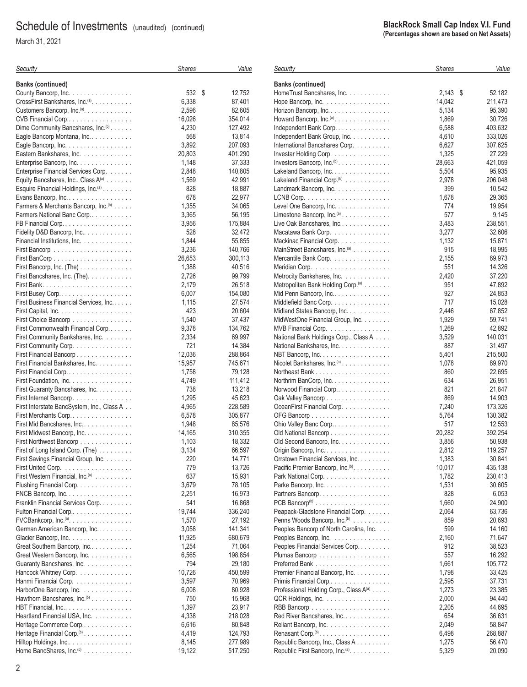March 31, 2021

#### **BlackRock Small Cap Index V.I. Fund (Percentages shown are based on Net Assets)**

| Security                                                 | <b>Shares</b> | Value   | Security                                                      | <b>Shares</b> | Valu    |
|----------------------------------------------------------|---------------|---------|---------------------------------------------------------------|---------------|---------|
| <b>Banks (continued)</b>                                 |               |         | <b>Banks (continued)</b>                                      |               |         |
| County Bancorp, Inc.                                     | 532 \$        | 12,752  | HomeTrust Bancshares, Inc.                                    | $2,143$ \$    | 52,182  |
| CrossFirst Bankshares, Inc. <sup>(a)</sup> .             | 6,338         | 87,401  | Hope Bancorp, Inc. $\ldots \ldots \ldots \ldots \ldots$       | 14,042        | 211,473 |
| Customers Bancorp, Inc. <sup>(a)</sup> .                 | 2,596         | 82,605  | Horizon Bancorp, Inc.                                         | 5,134         | 95,390  |
| CVB Financial Corp                                       | 16,026        | 354,014 | Howard Bancorp, Inc. <sup>(a)</sup> .                         | 1,869         | 30,726  |
| Dime Community Bancshares, Inc. <sup>(b)</sup>           | 4,230         | 127,492 | Independent Bank Corp.                                        | 6,588         | 403,632 |
| Eagle Bancorp Montana, Inc                               | 568           | 13,814  | Independent Bank Group, Inc.                                  | 4,610         | 333,026 |
| Eagle Bancorp, Inc. $\ldots \ldots \ldots \ldots \ldots$ | 3,892         | 207,093 | International Bancshares Corp.                                | 6,627         | 307,625 |
| Eastern Bankshares, Inc.                                 | 20,803        | 401,290 | Investar Holding Corp.                                        | 1,325         | 27,229  |
| Enterprise Bancorp, Inc.                                 | 1,148         | 37,333  | Investors Bancorp, $Inc.^{(b)}$                               | 28,663        | 421,059 |
| Enterprise Financial Services Corp.                      | 2,848         | 140,805 | Lakeland Bancorp, Inc.                                        | 5,504         | 95,935  |
| Equity Bancshares, Inc., Class A(a)                      | 1,569         | 42,991  | Lakeland Financial Corp. <sup>(b)</sup>                       | 2,978         | 206,048 |
| Esquire Financial Holdings, Inc. <sup>(a)</sup>          | 828           | 18,887  | Landmark Bancorp, Inc.                                        | 399           | 10,542  |
| Evans Bancorp, $Inc. \ldots \ldots \ldots \ldots \ldots$ | 678           | 22,977  |                                                               | 1,678         | 29,365  |
| Farmers & Merchants Bancorp, Inc. <sup>(b)</sup>         | 1,355         | 34,065  | Level One Bancorp, Inc. $\ldots \ldots \ldots \ldots$         | 774           | 19,954  |
| Farmers National Banc Corp                               | 3,365         | 56,195  | Limestone Bancorp, $Inc^{(a)} \dots \dots \dots \dots$        | 577           | 9,145   |
|                                                          | 3,956         | 175,884 | Live Oak Bancshares, Inc                                      | 3,483         | 238,551 |
| Fidelity D&D Bancorp, Inc                                | 528           | 32,472  | Macatawa Bank Corp.                                           | 3,277         | 32,606  |
| Financial Institutions, Inc.                             | 1,844         | 55,855  | Mackinac Financial Corp.                                      | 1,132         | 15,871  |
|                                                          | 3,236         | 140,766 | MainStreet Bancshares, Inc. <sup>(a)</sup>                    | 915           | 18,995  |
|                                                          | 26,653        | 300,113 | Mercantile Bank Corp.                                         | 2,155         | 69,973  |
| First Bancorp, Inc. (The)                                | 1,388         | 40,516  |                                                               | 551           | 14,326  |
| First Bancshares, Inc. (The).                            | 2,726         | 99,799  | Metrocity Bankshares, Inc.                                    | 2,420         | 37,220  |
|                                                          | 2,179         | 26,518  | Metropolitan Bank Holding Corp. <sup>(a)</sup>                | 951           | 47,892  |
|                                                          | 6,007         | 154,080 | Mid Penn Bancorp, Inc                                         | 927           | 24,853  |
| First Business Financial Services, Inc                   | 1,115         | 27,574  | Middlefield Banc Corp.                                        | 717           | 15,028  |
|                                                          | 423           | 20,604  | Midland States Bancorp, Inc.                                  | 2,446         | 67,852  |
| First Choice Bancorp                                     | 1,540         | 37,437  | MidWestOne Financial Group, Inc.                              | 1,929         | 59,741  |
| First Commonwealth Financial Corp                        | 9,378         | 134,762 | MVB Financial Corp.                                           | 1,269         | 42,892  |
| First Community Bankshares, Inc.                         | 2,334         | 69,997  | National Bank Holdings Corp., Class A                         | 3,529         | 140,031 |
| First Community Corp.                                    | 721           | 14,384  | National Bankshares, Inc.                                     | 887           | 31,497  |
| First Financial Bancorp.                                 | 12,036        | 288,864 | NBT Bancorp, Inc. $\ldots \ldots \ldots \ldots \ldots \ldots$ | 5,401         | 215,500 |
| First Financial Bankshares, Inc.                         | 15,957        | 745,671 | Nicolet Bankshares, Inc. <sup>(a)</sup>                       | 1,078         | 89,970  |
| First Financial Corp.                                    | 1,758         | 79,128  |                                                               | 860           | 22,695  |
| First Foundation, Inc.                                   | 4,749         | 111,412 | Northrim BanCorp, Inc.                                        | 634           | 26,951  |
| First Guaranty Bancshares, Inc.                          | 738           | 13,218  | Norwood Financial Corp                                        | 821           | 21,847  |
| First Internet Bancorp.                                  | 1,295         | 45,623  | Oak Valley Bancorp                                            | 869           | 14,903  |
| First Interstate BancSystem, Inc., Class A               | 4,965         | 228,589 | OceanFirst Financial Corp.                                    | 7,240         | 173,326 |
| First Merchants Corp                                     | 6,578         | 305,877 |                                                               | 5,764         | 130,382 |
| First Mid Bancshares, Inc.                               | 1,948         | 85,576  | Ohio Valley Banc Corp                                         | 517           | 12,553  |
| First Midwest Bancorp, Inc.                              | 14,165        | 310,355 | Old National Bancorp                                          | 20,282        | 392,254 |
| First Northwest Bancorp                                  | 1,103         | 18,332  | Old Second Bancorp, Inc.                                      | 3,856         | 50,938  |
| First of Long Island Corp. (The)                         | 3,134         | 66,597  | Origin Bancorp, Inc.                                          | 2,812         | 119,257 |
| First Savings Financial Group, Inc.                      | 220           | 14,771  | Orrstown Financial Services, Inc.                             | 1,383         | 30,841  |
|                                                          | 779           | 13,726  | Pacific Premier Bancorp, Inc. <sup>(b)</sup> .                | 10,017        | 435,138 |
| First Western Financial, Inc. <sup>(a)</sup>             | 637           | 15,931  | Park National Corp.                                           | 1,782         | 230,413 |
| Flushing Financial Corp.                                 | 3,679         | 78,105  | Parke Bancorp, Inc.                                           | 1,531         | 30,605  |
| FNCB Bancorp, Inc.                                       | 2,251         | 16,973  |                                                               | 828           | 6,053   |
| Franklin Financial Services Corp.                        | 541           | 16,868  |                                                               | 1,660         | 24,900  |
| Fulton Financial Corp                                    | 19,744        | 336,240 | Peapack-Gladstone Financial Corp.                             | 2,064         | 63,736  |
|                                                          | 1,570         | 27,192  | Penns Woods Bancorp, Inc. <sup>(b)</sup>                      | 859           | 20,693  |
| German American Bancorp, Inc                             | 3,058         | 141,341 | Peoples Bancorp of North Carolina, Inc.                       | 599           | 14,160  |
| Glacier Bancorp, Inc.                                    | 11,925        | 680,679 | Peoples Bancorp, Inc.                                         | 2,160         | 71,647  |
| Great Southern Bancorp, Inc                              | 1,254         | 71,064  | Peoples Financial Services Corp.                              | 912           | 38,523  |
| Great Western Bancorp, Inc.                              | 6,565         | 198,854 |                                                               | 557           | 16,292  |
| Guaranty Bancshares, Inc.                                | 794           | 29,180  |                                                               | 1,661         | 105,772 |
| Hancock Whitney Corp.                                    | 10,726        | 450,599 | Premier Financial Bancorp, Inc.                               | 1,798         | 33,425  |
| Hanmi Financial Corp.                                    | 3,597         | 70,969  | Primis Financial Corp                                         | 2,595         | 37,731  |
| HarborOne Bancorp, Inc.                                  | 6,008         | 80,928  | Professional Holding Corp., Class A(a)                        | 1,273         | 23,385  |
| Hawthorn Bancshares, Inc. <sup>(b)</sup>                 | 750           | 15,968  | QCR Holdings, Inc.                                            | 2,000         | 94,440  |
|                                                          | 1,397         | 23,917  |                                                               | 2,205         | 44,695  |
| Heartland Financial USA, Inc.                            | 4,338         | 218,028 | Red River Bancshares, Inc.                                    | 654           | 36,631  |
| Heritage Commerce Corp                                   | 6,616         | 80,848  | Reliant Bancorp, Inc.                                         | 2,049         | 58,847  |
| Heritage Financial Corp. <sup>(b)</sup>                  | 4,419         | 124,793 | Renasant Corp. <sup>(b)</sup>                                 | 6,498         | 268,887 |
| Hilltop Holdings, Inc                                    | 8,145         | 277,989 | Republic Bancorp, Inc., Class A.                              | 1,275         | 56,470  |
| Home BancShares, Inc. <sup>(b)</sup>                     | 19,122        | 517,250 | Republic First Bancorp, Inc. <sup>(a)</sup> .                 | 5,329         | 20,090  |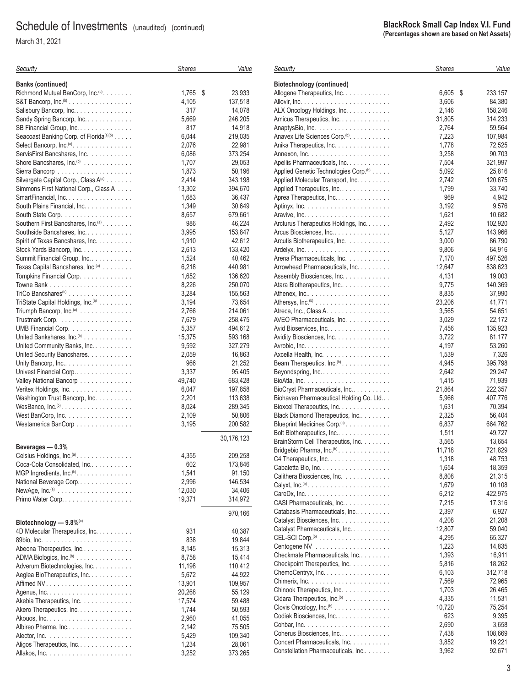March 31, 2021

|           | <b>BlackRock Small Cap Index V.I. Fund</b><br>(Percentages shown are based on Net Assets) |       |
|-----------|-------------------------------------------------------------------------------------------|-------|
|           | <b>Shares</b>                                                                             | Value |
| ontinued) |                                                                                           |       |

| Security                                                               | <b>Shares</b>   | Value              | Security                   |
|------------------------------------------------------------------------|-----------------|--------------------|----------------------------|
| <b>Banks (continued)</b>                                               |                 |                    | <b>Biotech</b>             |
| Richmond Mutual BanCorp, Inc. <sup>(b)</sup> .                         | 1,765<br>\$     | 23,933             | Allogene                   |
| S&T Bancorp, Inc. <sup>(b)</sup>                                       | 4,105           | 137,518            | Allovir, I                 |
| Salisbury Bancorp, Inc.                                                | 317             | 14,078             | ALX On                     |
| Sandy Spring Bancorp, Inc.                                             | 5,669           | 246,205            | Amicus                     |
| SB Financial Group, Inc.                                               | 817             | 14,918             | Anaptys                    |
| Seacoast Banking Corp. of Florida <sup>(a)(b)</sup>                    | 6,044           | 219,035            | Anavex                     |
| Select Bancorp, $Inc^{(a)} \dots \dots \dots \dots \dots$              | 2,076           | 22,981             | Anika TI                   |
| ServisFirst Bancshares, Inc.                                           | 6,086           | 373,254            | Annexor                    |
| Shore Bancshares, Inc. <sup>(b)</sup>                                  | 1,707           | 29,053             | Apellis F                  |
|                                                                        | 1,873           | 50,196             | Applied                    |
| Silvergate Capital Corp., Class A(a)                                   | 2,414           | 343,198            | Applied                    |
| Simmons First National Corp., Class A                                  | 13,302          | 394,670            | Applied                    |
| SmartFinancial, Inc.                                                   | 1,683           | 36,437             | Aprea T                    |
| South Plains Financial, Inc.<br>South State Corp.                      | 1,349<br>8,657  | 30,649<br>679,661  | Aptinyx,<br>Aravive,       |
| Southern First Bancshares, Inc. <sup>(a)</sup>                         | 986             | 46,224             | Arcturus                   |
| Southside Bancshares, Inc.                                             | 3,995           | 153,847            | Arcus B                    |
| Spirit of Texas Bancshares, Inc.                                       | 1,910           | 42,612             | Arcutis I                  |
| Stock Yards Bancorp, Inc.                                              | 2,613           | 133,420            | Ardelyx,                   |
| Summit Financial Group, Inc.                                           | 1,524           | 40,462             | Arena P                    |
| Texas Capital Bancshares, Inc. <sup>(a)</sup>                          | 6,218           | 440,981            | Arrowhe                    |
| Tompkins Financial Corp.                                               | 1,652           | 136,620            | Assemb                     |
|                                                                        | 8,226           | 250,070            | Atara Bi                   |
| TriCo Bancshares <sup>(b)</sup>                                        | 3,284           | 155,563            | Athenex                    |
| TriState Capital Holdings, Inc. <sup>(a)</sup>                         | 3,194           | 73,654             | <b>Athersys</b>            |
| Triumph Bancorp, Inc. <sup>(a)</sup>                                   | 2,766           | 214,061            | Atreca,                    |
|                                                                        | 7,679           | 258,475            | AVEO P                     |
| UMB Financial Corp.                                                    | 5,357           | 494,612            | Avid Bio                   |
| United Bankshares, Inc. <sup>(b)</sup>                                 | 15,375          | 593,168            | Avidity E                  |
| United Community Banks, Inc.                                           | 9,592           | 327,279            | Avrobio,                   |
| United Security Bancshares.                                            | 2,059           | 16,863             | Axcella                    |
| Unity Bancorp, Inc                                                     | 966             | 21,252             | Beam T                     |
| Univest Financial Corp<br>Valley National Bancorp                      | 3,337<br>49,740 | 95,405<br>683,428  | <b>Beyonds</b><br>BioAtla, |
| Veritex Holdings, Inc.                                                 | 6,047           | 197,858            | <b>BioCrys</b>             |
| Washington Trust Bancorp, Inc.                                         | 2,201           | 113,638            | <b>Biohave</b>             |
| WesBanco, $Inc^{(b)} \dots \dots \dots \dots \dots \dots$              | 8,024           | 289,345            | Bioxcel                    |
| West BanCorp, Inc.                                                     | 2,109           | 50,806             | Black Di                   |
| Westamerica BanCorp                                                    | 3,195           | 200,582            | Blueprin                   |
|                                                                        |                 |                    | <b>Bolt Biot</b>           |
|                                                                        |                 | 30,176,123         | <b>BrainSto</b>            |
| Beverages - 0.3%                                                       |                 |                    | Bridgebi                   |
| Celsius Holdings, Inc. <sup>(a)</sup> .<br>Coca-Cola Consolidated, Inc | 4,355<br>602    | 209,258<br>173,846 | C4 Ther                    |
| MGP Ingredients, Inc. <sup>(b)</sup> .                                 | 1,541           | 91,150             | Cabalet                    |
| National Beverage Corp                                                 | 2,996           | 146,534            | Calither                   |
| NewAge, $Inc^{(a)} \dots \dots \dots \dots \dots \dots \dots$          | 12,030          | 34,406             | Calyxt, I                  |
| Primo Water Corp                                                       | 19,371          | 314,972            | CareDx,                    |
|                                                                        |                 |                    | CASI <sub>Pt</sub>         |
|                                                                        |                 | 970,166            | Catabas<br>Catalyst        |
| Biotechnology $-9.8\%$ <sup>(a)</sup>                                  |                 |                    | Catalyst                   |
| 4D Molecular Therapeutics, Inc.                                        | 931             | 40,387             | CEL-SC                     |
|                                                                        | 838             | 19,844             | Centoge                    |
| Abeona Therapeutics, Inc                                               | 8,145           | 15,313             | Checkm                     |
| ADMA Biologics, Inc. <sup>(b)</sup><br>Adverum Biotechnologies, Inc.   | 8,758<br>11,198 | 15,414<br>110,412  | Checkpo                    |
| Aeglea BioTherapeutics, Inc.                                           | 5,672           | 44,922             | Chemo(                     |
|                                                                        | 13,901          | 109,957            | <b>Chimeri:</b>            |
|                                                                        | 20,268          | 55,129             | Chinook                    |
| Akebia Therapeutics, Inc.                                              | 17,574          | 59,488             | Cidara 1                   |
| Akero Therapeutics, Inc.                                               | 1,744           | 50,593             | Clovis C                   |
|                                                                        | 2,960           | 41,055             | Codiak I                   |
| Albireo Pharma, Inc                                                    | 2,142           | 75,505             | Cohbar,                    |
|                                                                        | 5,429           | 109,340            | Coherus                    |
| Aligos Therapeutics, Inc.                                              | 1,234           | 28,061             | Concert                    |
|                                                                        | 3,252           | 373,265            | Constell                   |

| Biotechnology (continued)                                                   |                 |                   |
|-----------------------------------------------------------------------------|-----------------|-------------------|
| Allogene Therapeutics, Inc.                                                 | 6,605           | \$<br>233,157     |
|                                                                             | 3,606           | 84,380            |
| ALX Oncology Holdings, Inc.                                                 | 2,146           | 158,246           |
| Amicus Therapeutics, Inc.                                                   | 31,805          | 314,233           |
|                                                                             | 2,764           | 59,564            |
| Anavex Life Sciences Corp. <sup>(b)</sup> .                                 | 7,223           | 107,984           |
| Anika Therapeutics, Inc.                                                    | 1,778           | 72,525            |
|                                                                             | 3,258           | 90,703            |
| Apellis Pharmaceuticals, Inc.                                               | 7,504           | 321,997           |
| Applied Genetic Technologies Corp. <sup>(b)</sup>                           | 5,092<br>2,742  | 25,816<br>120,675 |
| Applied Molecular Transport, Inc.<br>Applied Therapeutics, Inc.             | 1,799           | 33,740            |
| Aprea Therapeutics, Inc.                                                    | 969             | 4,942             |
|                                                                             | 3,192           | 9,576             |
|                                                                             | 1,621           | 10,682            |
| Arcturus Therapeutics Holdings, Inc.                                        | 2,492           | 102,920           |
| Arcus Biosciences, Inc.                                                     | 5,127           | 143,966           |
| Arcutis Biotherapeutics, Inc.                                               | 3,000           | 86,790            |
|                                                                             | 9,806           | 64,916            |
| Arena Pharmaceuticals, Inc.                                                 | 7,170           | 497,526           |
| Arrowhead Pharmaceuticals, Inc.                                             | 12,647          | 838,623           |
| Assembly Biosciences, Inc.                                                  | 4,131           | 19,003            |
| Atara Biotherapeutics, Inc                                                  | 9,775           | 140,369           |
|                                                                             | 8,835<br>23,206 | 37,990            |
| Atreca, Inc., Class A.                                                      | 3,565           | 41,771<br>54,651  |
| AVEO Pharmaceuticals, Inc.                                                  | 3,029           | 22,172            |
| Avid Bioservices, Inc.                                                      | 7,456           | 135,923           |
| Avidity Biosciences, Inc.                                                   | 3,722           | 81,177            |
|                                                                             | 4,197           | 53,260            |
| Axcella Health, Inc.                                                        | 1,539           | 7,326             |
| Beam Therapeutics, Inc. <sup>(b)</sup> .                                    | 4,945           | 395,798           |
| Beyondspring, Inc.                                                          | 2,642           | 29,247            |
|                                                                             | 1,415           | 71,939            |
| BioCryst Pharmaceuticals, Inc                                               | 21,864          | 222,357           |
| Biohaven Pharmaceutical Holding Co. Ltd                                     | 5,966           | 407,776           |
| Bioxcel Therapeutics, Inc.                                                  | 1,631           | 70,394            |
| Black Diamond Therapeutics, Inc<br>Blueprint Medicines Corp. <sup>(b)</sup> | 2,325<br>6,837  | 56,404<br>664,762 |
| Bolt Biotherapeutics, Inc.                                                  | 1,511           | 49,727            |
| BrainStorm Cell Therapeutics, Inc.                                          | 3,565           | 13,654            |
| Bridgebio Pharma, Inc. <sup>(b)</sup>                                       | 11,718          | 721,829           |
| C4 Therapeutics, Inc.                                                       | 1,318           | 48,753            |
| Cabaletta Bio, Inc.                                                         | 1,654           | 18,359            |
| Calithera Biosciences, Inc.                                                 | 8,808           | 21,315            |
|                                                                             | 1,679           | 10,108            |
|                                                                             | 6,212           | 422,975           |
| CASI Pharmaceuticals, Inc.                                                  | 7,215           | 17,316            |
| Catabasis Pharmaceuticals, Inc<br>Catalyst Biosciences, Inc.                | 2,397           | 6,927<br>21,208   |
| Catalyst Pharmaceuticals, Inc.                                              | 4,208<br>12,807 | 59,040            |
|                                                                             | 4,295           | 65,327            |
|                                                                             | 1,223           | 14,835            |
| Checkmate Pharmaceuticals, Inc                                              | 1,393           | 16,911            |
| Checkpoint Therapeutics, Inc.                                               | 5,816           | 18,262            |
| ChemoCentryx, Inc.                                                          | 6,103           | 312,718           |
|                                                                             | 7,569           | 72,965            |
| Chinook Therapeutics, Inc.                                                  | 1,703           | 26,465            |
| Cidara Therapeutics, Inc. <sup>(b)</sup>                                    | 4,335           | 11,531            |
| Clovis Oncology, Inc. <sup>(b)</sup>                                        | 10,720          | 75,254            |
| Codiak Biosciences, Inc.                                                    | 623             | 9,395             |
| Coherus Biosciences, Inc.                                                   | 2,690<br>7,438  | 3,658<br>108,669  |
| Concert Pharmaceuticals, Inc.                                               | 3,852           | 19,221            |
| Constellation Pharmaceuticals, Inc                                          | 3,962           | 92,671            |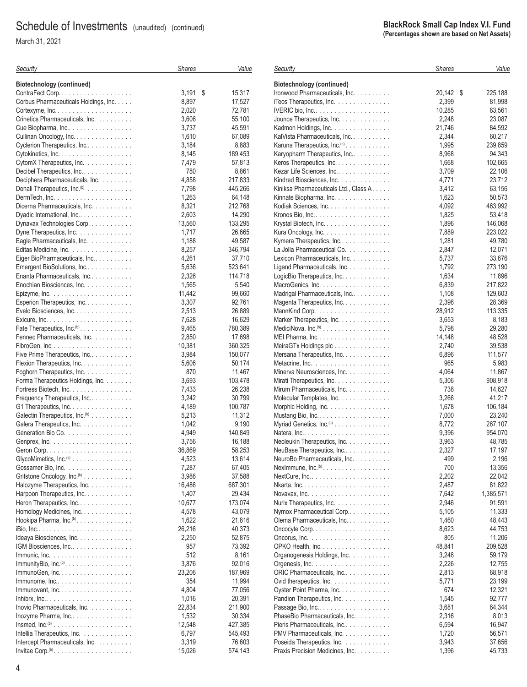March 31, 2021

**BlackRock Small Cap Index V.I. Fund (Percentages shown are based on Net Assets)**

| Security                                                           | <b>Shares</b> | Value   | Security                                 | <b>Shares</b> | Valu      |
|--------------------------------------------------------------------|---------------|---------|------------------------------------------|---------------|-----------|
| Biotechnology (continued)                                          |               |         | Biotechnology (continued)                |               |           |
| ContraFect Corp                                                    | $3,191$ \$    | 15,317  | Ironwood Pharmaceuticals, Inc.           | 20,142 \$     | 225,188   |
| Corbus Pharmaceuticals Holdings, Inc.                              | 8,897         | 17,527  | iTeos Therapeutics, Inc.                 | 2,399         | 81,998    |
|                                                                    | 2,020         | 72,781  |                                          | 10,285        | 63,561    |
| Crinetics Pharmaceuticals, Inc.                                    | 3,606         | 55,100  | Jounce Therapeutics, Inc.                | 2,248         | 23,087    |
| Cue Biopharma, Inc                                                 | 3,737         | 45,591  | Kadmon Holdings, Inc.                    | 21,746        | 84,592    |
| Cullinan Oncology, Inc.                                            | 1,610         | 67,089  | KalVista Pharmaceuticals, Inc.           | 2,344         | 60,217    |
| Cyclerion Therapeutics, Inc                                        | 3,184         | 8,883   | Karuna Therapeutics, Inc. <sup>(b)</sup> | 1,995         | 239,859   |
|                                                                    | 8,145         | 189,453 | Karyopharm Therapeutics, Inc             | 8,968         | 94,343    |
| CytomX Therapeutics, Inc.                                          | 7,479         | 57,813  | Keros Therapeutics, Inc.                 | 1,668         | 102,665   |
| Decibel Therapeutics, Inc.                                         | 780           | 8,861   | Kezar Life Sciences, Inc                 | 3,709         | 22,106    |
| Deciphera Pharmaceuticals, Inc.                                    | 4,858         | 217,833 | Kindred Biosciences, Inc.                | 4,771         | 23,712    |
| Denali Therapeutics, Inc. <sup>(b)</sup>                           | 7,798         | 445,266 | Kiniksa Pharmaceuticals Ltd., Class A.   | 3,412         | 63,156    |
|                                                                    | 1,263         | 64,148  | Kinnate Biopharma, Inc.                  | 1,623         | 50,573    |
| Dicerna Pharmaceuticals, Inc.                                      | 8,321         | 212,768 | Kodiak Sciences, Inc.                    | 4,092         | 463,992   |
| Dyadic International, Inc                                          | 2,603         | 14,290  |                                          | 1,825         | 53,418    |
| Dynavax Technologies Corp.                                         | 13,560        | 133,295 | Krystal Biotech, Inc.                    | 1,896         | 146,068   |
| Dyne Therapeutics, Inc.                                            | 1,717         | 26,665  | Kura Oncology, Inc.                      | 7,889         | 223.022   |
| Eagle Pharmaceuticals, Inc.                                        | 1,188         | 49,587  | Kymera Therapeutics, Inc                 | 1,281         | 49,780    |
| Editas Medicine, Inc.                                              | 8,257         | 346,794 | La Jolla Pharmaceutical Co.              | 2,847         | 12,071    |
| Eiger BioPharmaceuticals, Inc                                      | 4,261         | 37,710  | Lexicon Pharmaceuticals, Inc.            | 5,737         | 33,676    |
| Emergent BioSolutions, Inc                                         | 5,636         | 523,641 | Ligand Pharmaceuticals, Inc.             | 1,792         | 273,190   |
| Enanta Pharmaceuticals, Inc                                        | 2,326         | 114,718 |                                          | 1,634         | 11,896    |
| Enochian Biosciences, Inc.                                         | 1,565         | 5,540   | LogicBio Therapeutics, Inc.              | 6,839         | 217,822   |
|                                                                    |               |         |                                          |               |           |
| Epizyme, Inc. $\ldots \ldots \ldots \ldots \ldots \ldots \ldots$   | 11,442        | 99,660  | Madrigal Pharmaceuticals, Inc            | 1,108         | 129,603   |
| Esperion Therapeutics, Inc.                                        | 3,307         | 92,761  | Magenta Therapeutics, Inc.               | 2,396         | 28,369    |
| Evelo Biosciences, Inc                                             | 2,513         | 26,889  |                                          | 28,912        | 113,335   |
|                                                                    | 7,628         | 16,629  | Marker Therapeutics, Inc.                | 3,653         | 8,183     |
| Fate Therapeutics, Inc. <sup>(b)</sup>                             | 9,465         | 780,389 |                                          | 5,798         | 29,280    |
| Fennec Pharmaceuticals, Inc.                                       | 2,850         | 17,698  | MEI Pharma, Inc                          | 14,148        | 48,528    |
|                                                                    | 10,381        | 360,325 | MeiraGTx Holdings plc                    | 2,740         | 39,538    |
| Five Prime Therapeutics, Inc                                       | 3,984         | 150,077 | Mersana Therapeutics, Inc.               | 6,896         | 111,577   |
| Flexion Therapeutics, Inc.                                         | 5,606         | 50,174  |                                          | 965           | 5,983     |
| Foghorn Therapeutics, Inc.                                         | 870           | 11,467  | Minerva Neurosciences, Inc.              | 4,064         | 11,867    |
| Forma Therapeutics Holdings, Inc.                                  | 3,693         | 103,478 | Mirati Therapeutics, Inc.                | 5,306         | 908,918   |
| Fortress Biotech, Inc.                                             | 7,433         | 26,238  | Mirum Pharmaceuticals, Inc.              | 738           | 14,627    |
| Frequency Therapeutics, Inc                                        | 3,242         | 30,799  | Molecular Templates, Inc.                | 3,266         | 41,217    |
| G1 Therapeutics, Inc.                                              | 4,189         | 100,787 | Morphic Holding, Inc.                    | 1,678         | 106,184   |
| Galectin Therapeutics, Inc. <sup>(b)</sup>                         | 5,213         | 11,312  | Mustang Bio, Inc                         | 7,000         | 23,240    |
| Galera Therapeutics, Inc.                                          | 1,042         | 9,190   | Myriad Genetics, Inc. <sup>(b)</sup>     | 8,772         | 267,107   |
| Generation Bio Co.                                                 | 4,949         | 140,849 | Natera, Inc                              | 9,396         | 954,070   |
| Genprex, Inc. $\ldots \ldots \ldots \ldots \ldots \ldots \ldots$   | 3,756         | 16,188  | Neoleukin Therapeutics, Inc.             | 3,963         | 48,785    |
|                                                                    | 36,869        | 58,253  | NeuBase Therapeutics, Inc                | 2,327         | 17,197    |
| GlycoMimetics, Inc. <sup>(b)</sup>                                 | 4,523         | 13,614  | NeuroBo Pharmaceuticals, Inc.            | 499           | 2,196     |
| Gossamer Bio, Inc.                                                 | 7,287         | 67,405  | NexImmune, $Inc^{(b)}$                   | 700           | 13,356    |
| Gritstone Oncology, Inc. <sup>(b)</sup>                            | 3,986         | 37,588  |                                          | 2,202         | 22,042    |
| Halozyme Therapeutics, Inc.                                        | 16,486        | 687,301 |                                          | 2,487         | 81,822    |
| Harpoon Therapeutics, Inc.                                         | 1,407         | 29,434  |                                          | 7,642         | 1,385,571 |
| Heron Therapeutics, Inc.                                           | 10,677        | 173,074 | Nurix Therapeutics, Inc.                 | 2,946         | 91,591    |
| Homology Medicines, Inc.                                           | 4,578         | 43,079  | Nymox Pharmaceutical Corp                | 5,105         | 11,333    |
| Hookipa Pharma, Inc. <sup>(b)</sup> .                              | 1,622         | 21,816  | Olema Pharmaceuticals, Inc.              | 1,460         | 48,443    |
|                                                                    | 26,216        | 40,373  |                                          | 8,623         | 44,753    |
| Ideaya Biosciences, Inc.                                           | 2,250         | 52,875  |                                          | 805           | 11,206    |
| IGM Biosciences, Inc.                                              | 957           | 73,392  |                                          | 48,841        | 209.528   |
|                                                                    | 512           | 8,161   | Organogenesis Holdings, Inc.             | 3,248         | 59,179    |
|                                                                    | 3,876         | 92,016  |                                          | 2,226         | 12,755    |
| $ImmunoGen, Inc. \ldots \ldots \ldots \ldots \ldots \ldots \ldots$ | 23,206        | 187,969 | ORIC Pharmaceuticals, Inc                | 2,813         | 68,918    |
| $lmmunome, Inc.$                                                   | 354           | 11,994  | Ovid therapeutics, Inc.                  | 5,771         | 23,199    |
| $lmmunovant, Inc. \ldots \ldots \ldots \ldots \ldots \ldots$       | 4,804         | 77,056  | Oyster Point Pharma, Inc.                | 674           | 12,321    |
|                                                                    | 1,016         | 20,391  | Pandion Therapeutics, Inc.               | 1,545         | 92,777    |
| Inovio Pharmaceuticals, Inc.                                       | 22,834        | 211,900 | Passage Bio, Inc                         | 3,681         | 64,344    |
| Inozyme Pharma, Inc                                                | 1,532         | 30,334  | PhaseBio Pharmaceuticals, Inc.           | 2,316         | 8,013     |
| $In \mathsf{smed}, In \mathsf{c}^{(\mathsf{b})}$                   | 12,548        | 427,385 | Pieris Pharmaceuticals, Inc              | 6,594         | 16,947    |
| Intellia Therapeutics, Inc.                                        | 6,797         | 545,493 | PMV Pharmaceuticals, Inc.                | 1,720         | 56,571    |
| Intercept Pharmaceuticals, Inc.                                    | 3,319         | 76,603  | Poseida Therapeutics, Inc.               | 3,943         | 37,656    |
|                                                                    | 15,026        | 574,143 | Praxis Precision Medicines, Inc.         | 1,396         | 45,733    |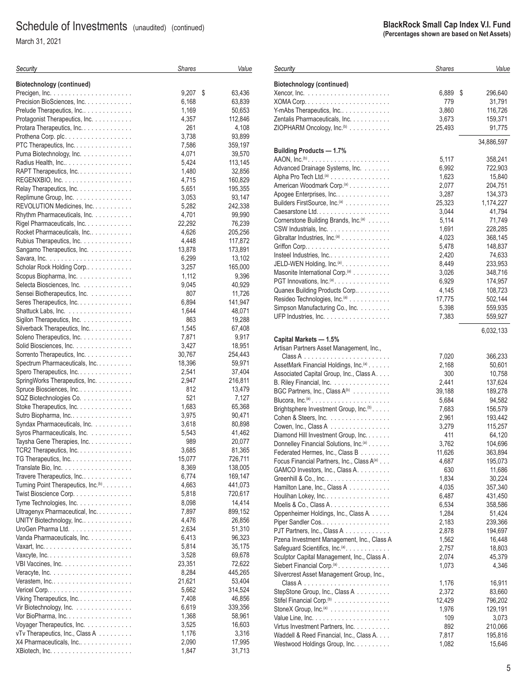March 31, 2021

| Security                                            | <b>Shares</b> | Value             |
|-----------------------------------------------------|---------------|-------------------|
| <b>Biotechnology (continued)</b>                    |               |                   |
|                                                     | 9,207<br>\$   | 63,436            |
| Precision BioSciences, Inc.                         | 6,168         | 63,839            |
| Prelude Therapeutics, Inc                           | 1,169         | 50,653            |
| Protagonist Therapeutics, Inc.                      | 4,357         | 112,846           |
| Protara Therapeutics, Inc.                          | 261           | 4,108             |
| Prothena Corp. plc.                                 | 3,738         | 93,899            |
| PTC Therapeutics, Inc.                              | 7,586         | 359,197           |
| Puma Biotechnology, Inc.                            | 4,071         | 39,570            |
|                                                     | 5,424         | 113,145           |
| RAPT Therapeutics, Inc.                             | 1,480         | 32,856            |
|                                                     | 4,715         | 160,829           |
| Relay Therapeutics, Inc.                            | 5,651         | 195,355           |
| Replimune Group, Inc.                               | 3,053         | 93,147            |
| REVOLUTION Medicines, Inc.                          | 5,282         | 242,338           |
| Rhythm Pharmaceuticals, Inc.                        | 4,701         | 99,990            |
| Rigel Pharmaceuticals, Inc.                         | 22,292        | 76,239            |
| Rocket Pharmaceuticals, Inc.                        | 4,626         | 205,256           |
| Rubius Therapeutics, Inc.                           | 4,448         | 117,872           |
| Sangamo Therapeutics, Inc.                          | 13,878        | 173,891           |
|                                                     | 6,299         | 13,102            |
| Scholar Rock Holding Corp                           | 3,257         | 165,000           |
| Scopus Biopharma, Inc.                              | 1,112         | 9,396             |
| Selecta Biosciences, Inc.                           | 9,045         | 40,929            |
| Sensei Biotherapeutics, Inc.                        | 807           | 11,726            |
| Seres Therapeutics, Inc.                            | 6,894         | 141,947           |
| Shattuck Labs, Inc.                                 | 1,644         | 48,071            |
| Sigilon Therapeutics, Inc.                          | 863           | 19,288            |
| Silverback Therapeutics, Inc.                       | 1,545         | 67,408            |
| Soleno Therapeutics, Inc.                           | 7,871         | 9,917             |
| Solid Biosciences, Inc.                             | 3,427         | 18,951            |
| Sorrento Therapeutics, Inc.                         | 30,767        | 254,443           |
| Spectrum Pharmaceuticals, Inc.                      | 18,396        | 59,971            |
| Spero Therapeutics, Inc.                            | 2,541         | 37,404            |
| SpringWorks Therapeutics, Inc.                      | 2,947<br>812  | 216,811<br>13,479 |
| Spruce Biosciences, Inc.<br>SQZ Biotechnologies Co. | 521           | 7,127             |
| Stoke Therapeutics, Inc.                            | 1,683         | 65,368            |
| Sutro Biopharma, Inc                                | 3,975         | 90,471            |
| Syndax Pharmaceuticals, Inc.                        | 3,618         | 80,898            |
| Syros Pharmaceuticals, Inc.                         | 5,543         | 41,462            |
| Taysha Gene Therapies, Inc.                         | 989           | 20,077            |
| TCR2 Therapeutics, Inc.                             | 3,685         | 81,365            |
| TG Therapeutics, Inc.                               | 15,077        | 726,711           |
|                                                     | 8,369         | 138,005           |
| Travere Therapeutics, Inc                           | 6,774         | 169,147           |
| Turning Point Therapeutics, Inc. <sup>(b)</sup> .   | 4,663         | 441,073           |
| Twist Bioscience Corp.                              | 5,818         | 720,617           |
| Tyme Technologies, Inc.                             | 8,098         | 14,414            |
| Ultragenyx Pharmaceutical, Inc.                     | 7,897         | 899,152           |
| UNITY Biotechnology, Inc                            | 4,476         | 26,856            |
| UroGen Pharma Ltd.                                  | 2,634         | 51,310            |
| Vanda Pharmaceuticals, Inc.                         | 6,413         | 96,323            |
|                                                     | 5,814         | 35,175            |
|                                                     | 3,528         | 69,678            |
| VBI Vaccines, Inc.                                  | 23,351        | 72,622            |
|                                                     | 8,284         | 445,265           |
|                                                     | 21,621        | 53,404            |
|                                                     | 5,662         | 314,524           |
| Viking Therapeutics, Inc.                           | 7,408         | 46,856            |
| Vir Biotechnology, Inc.                             | 6,619         | 339,356           |
| Vor BioPharma, Inc.                                 | 1,368         | 58,961            |
| Voyager Therapeutics, Inc.                          | 3,525         | 16,603            |
| vTv Therapeutics, Inc., Class A                     | 1,176         | 3,316             |
| X4 Pharmaceuticals, Inc                             | 2,090         | 17,995            |
|                                                     | 1,847         | 31,713            |

## **BlackRock Small Cap Index V.I. Fund (Percentages shown are based on Net Assets)** *Shares Value* Xencor, Inc. ...................... 6,889 296,640 XOMA Corp. ...................... 779 31,791 Y-mAbs Therapeutics, Inc............... Zentalis Pharmaceuticals, Inc. . . . . . . . . . . . . . . . . . 3,673 159,371 ZIOPHARM Oncology, Inc.<sup>(b)</sup> ............... 25,493 91,775 34,886,597 AAON, Inc.(b) ...................... 5,117 358,241 Advanced Drainage Systems, Inc. ....... 6,992 722,903 Alpha Pro Tech Ltd.<sup>(a)</sup> ................ American Woodmark Corp.(a) ........... 2,077 204,751 Apogee Enterprises, Inc............... 3,287 134,373 Builders FirstSource, Inc.(a) ............ 25,323 1,174,227

| Capital Markets — 1.5% |  |  |  |  |
|------------------------|--|--|--|--|
|------------------------|--|--|--|--|

*Security*

**Biotechnology (continued)**

**Building Products — 1.7%**

CSW Industrials, Inc. . . . . . . . . . . . . . . . .

JELD-WEN Holding, Inc.<sup>(a)</sup>.............

UFP Industries, Inc. . . . . . . . . . . . . . . . . .

| Artisan Partners Asset Management, Inc.,             |        |         |
|------------------------------------------------------|--------|---------|
|                                                      | 7,020  | 366,233 |
| AssetMark Financial Holdings, Inc. <sup>(a)</sup>    | 2,168  | 50,601  |
| Associated Capital Group, Inc., Class A.             | 300    | 10,758  |
| B. Riley Financial, Inc.                             | 2,441  | 137,624 |
| BGC Partners, Inc., Class $A^{(b)}$                  | 39,188 | 189,278 |
|                                                      | 5,684  | 94,582  |
| Brightsphere Investment Group, Inc. <sup>(b)</sup> . | 7,683  | 156,579 |
| Cohen & Steers, Inc.                                 | 2,961  | 193,442 |
| Cowen, Inc., Class A $\ldots$                        | 3,279  | 115,257 |
| Diamond Hill Investment Group, Inc.                  | 411    | 64,120  |
| Donnelley Financial Solutions, Inc. <sup>(a)</sup>   | 3,762  | 104,696 |
| Federated Hermes, Inc., Class B                      | 11,626 | 363,894 |
| Focus Financial Partners, Inc., Class A(a)           | 4,687  | 195,073 |
| GAMCO Investors, Inc., Class A.                      | 630    | 11,686  |
| Greenhill & Co., Inc                                 | 1,834  | 30,224  |
| Hamilton Lane, Inc., Class A                         | 4,035  | 357,340 |
| Houlihan Lokey, Inc                                  | 6,487  | 431,450 |
| Moelis & Co., Class A.                               | 6,534  | 358,586 |
| Oppenheimer Holdings, Inc., Class A.                 | 1,284  | 51,424  |
| Piper Sandler Cos                                    | 2,183  | 239,366 |
| PJT Partners, Inc., Class A                          | 2,878  | 194,697 |
| Pzena Investment Management, Inc., Class A           | 1,562  | 16,448  |
| Safeguard Scientifics, Inc. <sup>(a)</sup> .         | 2,757  | 18,803  |
| Sculptor Capital Management, Inc., Class A.          | 2,074  | 45,379  |
| Siebert Financial Corp. <sup>(a)</sup>               | 1,073  | 4,346   |
| Silvercrest Asset Management Group, Inc.,            |        |         |
|                                                      | 1,176  | 16,911  |
| StepStone Group, Inc., Class A                       | 2,372  | 83,660  |
| Stifel Financial Corp. <sup>(b)</sup>                | 12,429 | 796,202 |
| StoneX Group, $Inc^{(a)}$                            | 1,976  | 129,191 |
|                                                      | 109    | 3,073   |
| Virtus Investment Partners, Inc.                     | 892    | 210,066 |
| Waddell & Reed Financial, Inc., Class A.             | 7,817  | 195,816 |
| Westwood Holdings Group, Inc.                        | 1,082  | 15,646  |
|                                                      |        |         |

Caesarstone Ltd. ................... 3,044 41,794 Cornerstone Building Brands, Inc.(a) ...... 5,114 71,749

Gibraltar Industries, Inc. (a) . . . . . . . . . . . . . . . . . . 4,023 368,145 Griffon Corp. ...................... 5,478 148,837 Insteel Industries, Inc................. 2,420 74,633

Masonite International Corp.<sup>(a)</sup> . . . . . . . . . . . . . . . . . . 3,026 348,716 PGT Innovations, Inc.(a) ............... 6,929 174,957 Quanex Building Products Corp.......... 4,145 108,723 Resideo Technologies, Inc.(a) ........... 17,775 502,144 Simpson Manufacturing Co., Inc. ........ 5,398 559,935

6,032,133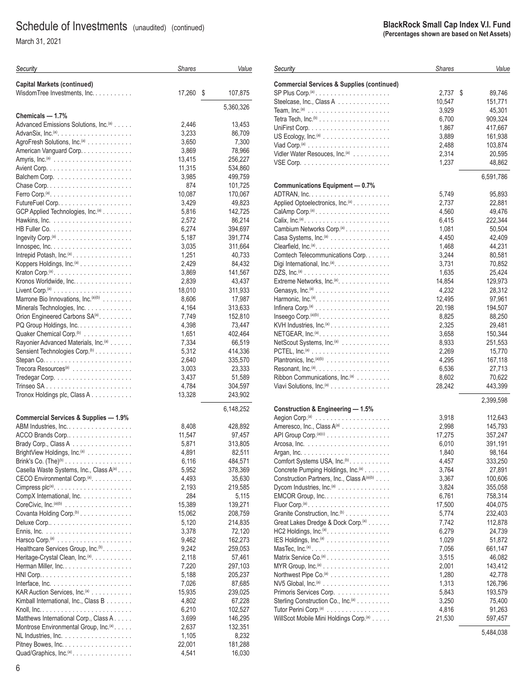March 31, 2021

| Security                                                                               | <b>Shares</b>   | Value              |
|----------------------------------------------------------------------------------------|-----------------|--------------------|
| <b>Capital Markets (continued)</b>                                                     |                 |                    |
| WisdomTree Investments, Inc.                                                           | 17,260          | \$<br>107,875      |
|                                                                                        |                 |                    |
|                                                                                        |                 | 5,360,326          |
| Chemicals - 1.7%                                                                       |                 |                    |
| Advanced Emissions Solutions, Inc. <sup>(a)</sup>                                      | 2,446           | 13,453             |
| AgroFresh Solutions, Inc. <sup>(a)</sup>                                               | 3,233<br>3,650  | 86,709<br>7,300    |
| American Vanguard Corp.                                                                | 3,869           | 78,966             |
|                                                                                        | 13,415          | 256,227            |
|                                                                                        | 11,315          | 534,860            |
|                                                                                        | 3,985           | 499,759            |
|                                                                                        | 874             | 101,725            |
| Ferro Corp. <sup>(a)</sup> . $\ldots \ldots \ldots \ldots \ldots \ldots \ldots \ldots$ | 10,087          | 170,067            |
|                                                                                        | 3,429           | 49,823             |
| GCP Applied Technologies, Inc. <sup>(a)</sup>                                          | 5,816           | 142,725            |
|                                                                                        | 2,572           | 86,214             |
|                                                                                        | 6,274           | 394,697            |
|                                                                                        | 5,187           | 391,774            |
| Innospec, $Inc. \ldots. \ldots. \ldots. \ldots. \ldots.$                               | 3,035           | 311,664            |
| Intrepid Potash, Inc. <sup>(a)</sup> .<br>Koppers Holdings, Inc. <sup>(a)</sup>        | 1,251<br>2,429  | 40,733<br>84,432   |
|                                                                                        | 3,869           | 141,567            |
| Kronos Worldwide, Inc.                                                                 | 2,839           | 43,437             |
|                                                                                        | 18,010          | 311,933            |
| Marrone Bio Innovations, Inc. (a)(b)                                                   | 8,606           | 17,987             |
| Minerals Technologies, Inc.                                                            | 4,164           | 313,633            |
| Orion Engineered Carbons SA(a).                                                        | 7,749           | 152,810            |
| PQ Group Holdings, Inc.                                                                | 4,398           | 73,447             |
| Quaker Chemical Corp. <sup>(b)</sup>                                                   | 1,651           | 402,464            |
| Rayonier Advanced Materials, Inc. <sup>(a)</sup>                                       | 7,334           | 66,519             |
| Sensient Technologies Corp. <sup>(b)</sup>                                             | 5,312           | 414,336            |
|                                                                                        | 2,640           | 335,570            |
| Trecora Resources <sup>(a)</sup>                                                       | 3,003<br>3,437  | 23,333<br>51,589   |
|                                                                                        | 4,784           | 304,597            |
| Tronox Holdings plc, Class A                                                           | 13,328          | 243,902            |
|                                                                                        |                 |                    |
| <b>Commercial Services &amp; Supplies - 1.9%</b>                                       |                 | 6,148,252          |
| ABM Industries, Inc                                                                    | 8,408           | 428,892            |
| ACCO Brands Corp                                                                       | 11,547          | 97,457             |
| Brady Corp., Class A                                                                   | 5,871           | 313,805            |
| BrightView Holdings, Inc. <sup>(a)</sup>                                               | 4,891           | 82,511             |
| Brink's Co. $(The)^{(b)}$                                                              | 6,116           | 484,571            |
| Casella Waste Systems, Inc., Class A(a)                                                | 5,952           | 378,369            |
| CECO Environmental Corp. <sup>(a)</sup> .                                              | 4,493           | 35,630             |
|                                                                                        | 2,193           | 219,585            |
| CompX International, Inc.                                                              | 284             | 5,115              |
| CoreCivic, Inc. $(a)(b)$                                                               | 15,389          | 139,271            |
| Covanta Holding Corp. <sup>(b)</sup>                                                   | 15,062<br>5,120 | 208,759<br>214,835 |
|                                                                                        | 3,378           | 72,120             |
|                                                                                        | 9,462           | 162,273            |
| Healthcare Services Group, Inc. <sup>(b)</sup> .                                       | 9,242           | 259,053            |
| Heritage-Crystal Clean, Inc. <sup>(a)</sup> .                                          | 2,118           | 57,461             |
| Herman Miller, Inc                                                                     | 7,220           | 297,103            |
|                                                                                        | 5,188           | 205,237            |
|                                                                                        | 7,026           | 87,685             |
| KAR Auction Services, Inc. <sup>(a)</sup>                                              | 15,935          | 239,025            |
| Kimball International, Inc., Class B                                                   | 4,802           | 67,228             |
|                                                                                        | 6,210           | 102,527            |
| Matthews International Corp., Class A.                                                 | 3,699<br>2,637  | 146,295<br>132,351 |
| Montrose Environmental Group, Inc. <sup>(a)</sup> .                                    | 1,105           | 8,232              |
| Pitney Bowes, Inc.                                                                     | 22,001          | 181,288            |
| Quad/Graphics, Inc.(a).                                                                | 4,541           | 16,030             |

#### **BlackRock Small Cap Index V.I. Fund (Percentages shown are based on Net Assets)**

| Security                                                                 | <b>Shares</b>  | Value             |
|--------------------------------------------------------------------------|----------------|-------------------|
| <b>Commercial Services &amp; Supplies (continued)</b>                    |                |                   |
|                                                                          | 2,737          | \$<br>89,746      |
| Steelcase, Inc., Class A                                                 | 10,547         | 151,771           |
|                                                                          | 3,929          | 45,301            |
|                                                                          | 6,700          | 909,324           |
|                                                                          | 1,867          | 417,667           |
|                                                                          |                |                   |
|                                                                          | 3,889          | 161,938           |
|                                                                          | 2,488          | 103,874           |
| Vidler Water Resouces, Inc. <sup>(a)</sup>                               | 2,314          | 20,595            |
|                                                                          | 1,237          | 48,862            |
| <b>Communications Equipment - 0.7%</b>                                   |                | 6,591,786         |
|                                                                          | 5,749          | 95,893            |
| Applied Optoelectronics, Inc. <sup>(a)</sup>                             | 2,737          | 22,881            |
|                                                                          | 4,560          | 49,476            |
|                                                                          | 6,415          | 222,344           |
| Cambium Networks Corp. <sup>(a)</sup>                                    | 1,081          | 50,504            |
| Casa Systems, Inc. <sup>(a)</sup>                                        | 4,450          | 42,409            |
| Clearfield, $Inc^{(a)} \dots \dots \dots \dots \dots \dots \dots$        | 1,468          | 44,231            |
| Comtech Telecommunications Corp.                                         | 3,244          | 80,581            |
| Digi International, Inc. <sup>(a)</sup> .                                | 3,731          | 70,852            |
| $DZS$ , $Inc.(a)$                                                        | 1,635          | 25,424            |
| Extreme Networks, Inc. <sup>(a)</sup> .                                  | 14,854         | 129,973           |
|                                                                          | 4,232          | 28,312            |
| Genasys, $Inc.(a)$                                                       | 12,495         | 97,961            |
|                                                                          | 20,198         |                   |
|                                                                          | 8,825          | 194,507           |
| Inseego Corp. $(a)(b)$                                                   |                | 88,250            |
| KVH Industries, Inc. <sup>(a)</sup>                                      | 2,325          | 29,481            |
|                                                                          | 3,658          | 150,344           |
| NetScout Systems, Inc. <sup>(a)</sup>                                    | 8,933          | 251,553           |
|                                                                          | 2,269          | 15,770            |
| Plantronics, Inc. <sup>(a)(b)</sup>                                      | 4,295          | 167,118           |
|                                                                          | 6,536          | 27,713            |
| Ribbon Communications, Inc. <sup>(a)</sup>                               | 8,602          | 70,622            |
| Viavi Solutions, Inc. <sup>(a)</sup>                                     | 28,242         | 443,399           |
|                                                                          |                | 2,399,598         |
| Construction & Engineering - 1.5%                                        | 3,918          | 112,643           |
| Ameresco, Inc., Class A <sup>(a)</sup>                                   | 2,998          | 145,793           |
| API Group Corp.(a)(c)                                                    | 17,275         | 357,247           |
|                                                                          | 6,010          | 391,191           |
|                                                                          | 1,840          | 98,164            |
| Comfort Systems USA, Inc. <sup>(b)</sup> .                               |                |                   |
| Concrete Pumping Holdings, Inc. <sup>(a)</sup>                           | 4,457<br>3,764 | 333,250<br>27,891 |
| Construction Partners, Inc., Class A(a)(b)                               | 3,367          | 100,606           |
| Dycom Industries, Inc. <sup>(a)</sup>                                    | 3,824          | 355,058           |
| $EMCOR$ Group, Inc. $\ldots$ . $\ldots$ . $\ldots$                       | 6,761          | 758,314           |
|                                                                          | 17,500         |                   |
| Granite Construction, Inc. <sup>(b)</sup>                                |                | 404,075           |
| Great Lakes Dredge & Dock Corp. <sup>(a)</sup>                           | 5,774<br>7,742 | 232,403           |
|                                                                          | 6,279          | 112,878           |
| HC2 Holdings, Inc. <sup>(a)</sup> . $\ldots \ldots \ldots \ldots \ldots$ |                | 24,739            |
| IES Holdings, Inc. <sup>(a)</sup>                                        | 1,029          | 51,872            |
| MasTec, $Inc^{(a)} \dots \dots \dots \dots \dots \dots \dots \dots$      | 7,056          | 661,147           |
| Matrix Service Co. <sup>(a)</sup>                                        | 3,515          | 46,082            |
|                                                                          | 2,001          | 143,412           |
| Northwest Pipe Co. <sup>(a)</sup>                                        | 1,280          | 42,778            |
|                                                                          | 1,313          | 126,796           |
| Primoris Services Corp.                                                  | 5,843          | 193,579           |
| Sterling Construction Co., Inc. <sup>(a)</sup>                           | 3,250          | 75,400            |
| Tutor Perini Corp. <sup>(a)</sup>                                        | 4,816          | 91,263            |
| WillScot Mobile Mini Holdings Corp. <sup>(a)</sup>                       | 21,530         | 597,457           |

5,484,038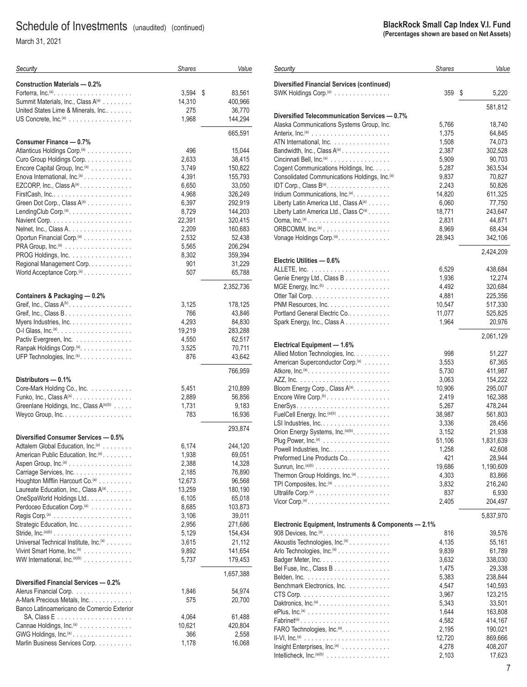March 31, 2021

| Security                                                                  | <b>Shares</b>   | Value             |
|---------------------------------------------------------------------------|-----------------|-------------------|
| <b>Construction Materials - 0.2%</b>                                      |                 |                   |
|                                                                           | 3,594           | \$<br>83,561      |
| Summit Materials, Inc., Class A(a)                                        | 14,310          | 400,966           |
| United States Lime & Minerals, Inc                                        | 275             | 36,770            |
| US Concrete, Inc. <sup>(a)</sup>                                          | 1,968           | 144,294           |
| Consumer Finance - 0.7%                                                   |                 | 665,591           |
| Atlanticus Holdings Corp. <sup>(a)</sup>                                  | 496             | 15,044            |
| Curo Group Holdings Corp.                                                 | 2,633           | 38,415            |
| Encore Capital Group, Inc. <sup>(a)</sup>                                 | 3,749           | 150,822           |
| Enova International, Inc. <sup>(a)</sup>                                  | 4,391           | 155,793           |
| EZCORP, Inc., Class A(a)                                                  | 6,650           | 33,050            |
| FirstCash, Inc                                                            | 4,968           | 326,249           |
| Green Dot Corp., Class A(a)                                               | 6,397           | 292,919           |
| LendingClub Corp. <sup>(a)</sup> .                                        | 8,729           | 144,203           |
|                                                                           | 22,391          | 320,415           |
| Nelnet, Inc., Class A.                                                    | 2,209<br>2,532  | 160,683           |
| Oportun Financial Corp. <sup>(a)</sup>                                    | 5,565           | 52,438<br>206,294 |
| PROG Holdings, Inc.                                                       | 8,302           | 359,394           |
| Regional Management Corp.                                                 | 901             | 31,229            |
| World Acceptance Corp. <sup>(a)</sup>                                     | 507             | 65,788            |
|                                                                           |                 | 2,352,736         |
| Containers & Packaging - 0.2%                                             |                 |                   |
| Greif, Inc., Class $A^{(b)}$ .                                            | 3,125           | 178,125           |
|                                                                           | 766             | 43,846            |
| Myers Industries, Inc.                                                    | 4,293           | 84,830            |
| O-I Glass, Inc. $(a)$ ,<br>Pactiv Evergreen, Inc.                         | 19,219<br>4,550 | 283,288<br>62,517 |
| Ranpak Holdings Corp. <sup>(a)</sup> .                                    | 3,525           | 70,711            |
| UFP Technologies, Inc. <sup>(a)</sup> .                                   | 876             | 43,642            |
|                                                                           |                 | 766,959           |
| Distributors - 0.1%                                                       |                 |                   |
| Core-Mark Holding Co., Inc.                                               | 5,451           | 210,899           |
| Funko, Inc., Class $A^{(a)}$ .<br>Greenlane Holdings, Inc., Class A(a)(b) | 2,889<br>1,731  | 56,856<br>9,183   |
| Weyco Group, Inc.                                                         | 783             | 16,936            |
|                                                                           |                 | 293,874           |
| Diversified Consumer Services - 0.5%                                      |                 |                   |
| Adtalem Global Education, Inc. <sup>(a)</sup>                             | 6,174           | 244,120           |
| American Public Education, Inc. <sup>(a)</sup> .                          | 1,938           | 69,051            |
| Aspen Group, Inc. <sup>(a)</sup>                                          | 2,388           | 14,328            |
| Carriage Services, Inc.<br>Houghton Mifflin Harcourt Co. <sup>(a)</sup>   | 2,185<br>12,673 | 76,890<br>96,568  |
| Laureate Education, Inc., Class A(a).                                     | 13,259          | 180,190           |
| OneSpaWorld Holdings Ltd                                                  | 6,105           | 65,018            |
| Perdoceo Education Corp. <sup>(a)</sup>                                   | 8,685           | 103,873           |
|                                                                           | 3,106           | 39,011            |
| Strategic Education, Inc.                                                 | 2,956           | 271,686           |
|                                                                           | 5,129           | 154,434           |
| Universal Technical Institute, Inc. <sup>(a)</sup>                        | 3,615           | 21,112            |
| Vivint Smart Home, Inc. <sup>(a)</sup>                                    | 9,892           | 141,654           |
| WW International, Inc. (a)(b)                                             | 5,737           | 179,453           |
| Diversified Financial Services - 0.2%                                     |                 | 1,657,388         |
| Alerus Financial Corp.                                                    | 1,846           | 54,974            |
| A-Mark Precious Metals, Inc.                                              | 575             | 20,700            |
| Banco Latinoamericano de Comercio Exterior                                |                 |                   |
|                                                                           | 4,064           | 61,488            |
| Cannae Holdings, Inc. <sup>(a)</sup>                                      | 10,621          | 420,804           |
| GWG Holdings, Inc. <sup>(a)</sup>                                         | 366             | 2,558             |
| Marlin Business Services Corp.                                            | 1,178           | 16,068            |

| Security                                                                                    | <b>Shares</b>   | Value               |
|---------------------------------------------------------------------------------------------|-----------------|---------------------|
| <b>Diversified Financial Services (continued)</b>                                           |                 |                     |
| SWK Holdings Corp. <sup>(a)</sup>                                                           | 359             | \$<br>5,220         |
| Diversified Telecommunication Services - 0.7%                                               |                 | 581,812             |
| Alaska Communications Systems Group, Inc.                                                   | 5,766           | 18,740              |
|                                                                                             | 1,375           | 64,845              |
| ATN International, Inc.                                                                     | 1,508           | 74,073              |
| Bandwidth, Inc., Class $A^{(a)}$                                                            | 2,387           | 302,528             |
| Cincinnati Bell, Inc. <sup>(a)</sup>                                                        | 5,909           | 90,703              |
| Cogent Communications Holdings, Inc.                                                        | 5,287           | 363,534             |
| Consolidated Communications Holdings, Inc. <sup>(a)</sup>                                   | 9,837           | 70,827              |
| IDT Corp., Class B(a).                                                                      | 2,243           | 50,826              |
| Iridium Communications, Inc. <sup>(a)</sup> .                                               | 14,820          | 611,325             |
| Liberty Latin America Ltd., Class A <sup>(a)</sup>                                          | 6,060           | 77,750              |
| Liberty Latin America Ltd., Class C <sup>(a)</sup>                                          | 18,771<br>2,831 | 243,647<br>44,871   |
| ORBCOMM, Inc. <sup>(a)</sup>                                                                | 8,969           | 68,434              |
| Vonage Holdings Corp. <sup>(a)</sup> .                                                      | 28,943          | 342,106             |
|                                                                                             |                 |                     |
| Electric Utilities - 0.6%                                                                   |                 | 2,424,209           |
|                                                                                             | 6,529           | 438,684             |
| Genie Energy Ltd., Class B                                                                  | 1,936           | 12,274              |
| MGE Energy, Inc. <sup>(b)</sup>                                                             | 4,492           | 320,684             |
|                                                                                             | 4,881           | 225,356             |
| $PNM$ Resources, Inc. $\ldots \ldots \ldots \ldots \ldots$                                  | 10,547          | 517,330             |
| Portland General Electric Co                                                                | 11,077          | 525,825             |
| Spark Energy, Inc., Class A.                                                                | 1,964           | 20,976              |
|                                                                                             |                 | 2,061,129           |
| Electrical Equipment - 1.6%<br>Allied Motion Technologies, Inc.                             | 998             | 51,227              |
| American Superconductor Corp. <sup>(a)</sup>                                                | 3,553           | 67,365              |
|                                                                                             | 5,730           | 411,987             |
|                                                                                             | 3,063           | 154,222             |
| Bloom Energy Corp., Class A <sup>(a)</sup> .                                                | 10,906          | 295,007             |
| Encore Wire Corp. <sup>(b)</sup>                                                            | 2,419           | 162,388             |
|                                                                                             | 5,267           | 478,244             |
| FuelCell Energy, Inc. <sup>(a)(b)</sup>                                                     | 38,987          | 561,803             |
| LSI Industries, Inc.                                                                        | 3,336           | 28,456              |
| Orion Energy Systems, Inc. <sup>(a)(b)</sup> .                                              | 3,152           | 21,938              |
| Plug Power, Inc. <sup>(a)</sup><br>Powell Industries, Inc                                   | 51,106<br>1,258 | 1,831,639<br>42,608 |
| Preformed Line Products Co                                                                  | 421             | 28,944              |
| Sunrun, $\text{Inc.}^{(a)(b)}$                                                              | 19,686          | 1,190,609           |
| Thermon Group Holdings, Inc. <sup>(a)</sup>                                                 | 4,303           | 83,866              |
| TPI Composites, Inc. <sup>(a)</sup>                                                         | 3,832           | 216,240             |
|                                                                                             | 837             | 6,930               |
| Vicor Corp. <sup>(a)</sup>                                                                  | 2,405           | 204,497             |
|                                                                                             |                 | 5,837,970           |
| Electronic Equipment, Instruments & Components - 2.1%<br>908 Devices, Inc. <sup>(a)</sup> . | 816             | 39,576              |
| Akoustis Technologies, Inc. <sup>(a)</sup>                                                  | 4,135           | 55,161              |
| Arlo Technologies, Inc. <sup>(a)</sup>                                                      | 9,839           | 61,789              |
|                                                                                             | 3,632           | 338,030             |
| Bel Fuse, Inc., Class B                                                                     | 1,475           | 29,338              |
|                                                                                             | 5,383           | 238,844             |
| Benchmark Electronics, Inc.                                                                 | 4,547           | 140,593             |
|                                                                                             | 3,967           | 123,215             |
| Daktronics, $Inc^{(a)} \dots \dots \dots \dots \dots \dots \dots$                           | 5,343           | 33,501              |
|                                                                                             | 1,644           | 163,808             |
| $Fabrinet^{(a)}$<br>FARO Technologies, Inc. <sup>(a)</sup> .                                | 4,582<br>2,195  | 414,167<br>190,021  |
|                                                                                             | 12,720          | 869,666             |
| Insight Enterprises, Inc. <sup>(a)</sup>                                                    | 4,278           | 408,207             |
| Intellicheck, Inc. $(a)(b)$                                                                 | 2,103           | 17,623              |
|                                                                                             |                 |                     |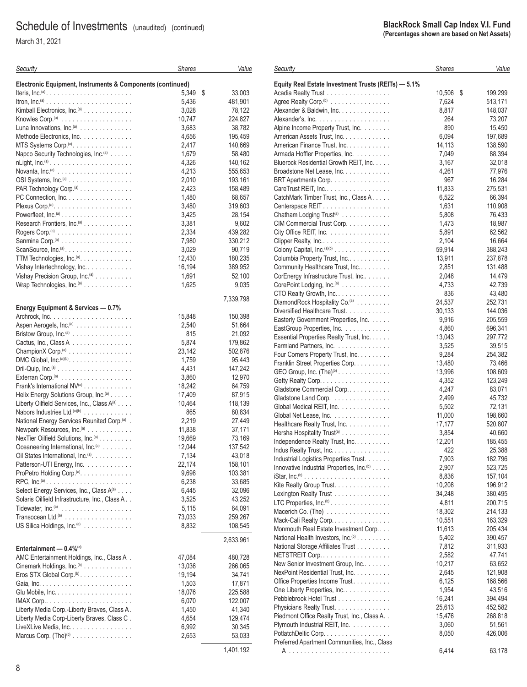March 31, 2021

| Security                                                                       | <b>Shares</b> | Value        |
|--------------------------------------------------------------------------------|---------------|--------------|
| Electronic Equipment, Instruments & Components (continued)                     |               |              |
| Iteris, Inc. <sup>(a)</sup>                                                    | 5,349         | \$<br>33,003 |
|                                                                                | 5,436         | 481,901      |
| Kimball Electronics, Inc. <sup>(a)</sup>                                       | 3,028         | 78,122       |
|                                                                                | 10,747        | 224,827      |
| Luna Innovations, Inc. <sup>(a)</sup>                                          | 3,683         | 38,782       |
| Methode Electronics, Inc.                                                      | 4,656         | 195,459      |
| MTS Systems Corp. <sup>(a)</sup> .                                             | 2,417         | 140,669      |
| Napco Security Technologies, Inc. <sup>(a)</sup>                               | 1,679         | 58,480       |
|                                                                                | 4,326         | 140,162      |
|                                                                                | 4,213         | 555,653      |
| OSI Systems, Inc. <sup>(a)</sup>                                               | 2,010         | 193,161      |
| PAR Technology Corp. <sup>(a)</sup>                                            | 2,423         | 158,489      |
| PC Connection, Inc.                                                            | 1,480         | 68,657       |
| Plexus Corp. <sup>(a)</sup> . $\ldots$ .                                       | 3,480         | 319,603      |
|                                                                                | 3,425         | 28,154       |
|                                                                                |               |              |
| Research Frontiers, Inc. <sup>(a)</sup>                                        | 3,381         | 9,602        |
| Rogers Corp. <sup>(a)</sup> $\ldots \ldots \ldots \ldots \ldots \ldots \ldots$ | 2.334         | 439,282      |
|                                                                                | 7,980         | 330,212      |
| ScanSource, $Inc^{(a)} \dots \dots \dots \dots \dots \dots$                    | 3,029         | 90,719       |
| TTM Technologies, Inc. <sup>(a)</sup> .                                        | 12,430        | 180,235      |
| Vishay Intertechnology, Inc.                                                   | 16,194        | 389,952      |
| Vishay Precision Group, Inc. <sup>(a)</sup>                                    | 1,691         | 52,100       |
| Wrap Technologies, $Inc^{(a)} \dots \dots \dots \dots$                         | 1,625         | 9,035        |
|                                                                                |               | 7,339,798    |
| Energy Equipment & Services - 0.7%                                             |               |              |
|                                                                                | 15,848        | 150,398      |
| Aspen Aerogels, $Inc(a)$                                                       | 2,540         | 51,664       |
| Bristow Group, Inc. <sup>(a)</sup>                                             | 815           | 21,092       |
| Cactus, Inc., Class A                                                          | 5,874         | 179,862      |
| Champion $X$ Corp. <sup>(a)</sup>                                              | 23,142        | 502,876      |
| DMC Global, $Inc.(a)(b)$                                                       | 1,759         | 95,443       |
|                                                                                | 4,431         | 147,242      |
|                                                                                | 3,860         | 12,970       |
| Frank's International NV(a)                                                    | 18,242        | 64,759       |
| Helix Energy Solutions Group, Inc. <sup>(a)</sup>                              | 17,409        | 87,915       |
| Liberty Oilfield Services, Inc., Class A(a)                                    | 10,464        | 118,139      |
| Nabors Industries Ltd. <sup>(a)(b)</sup>                                       | 865           | 80,834       |
| National Energy Services Reunited Corp. <sup>(a)</sup> .                       | 2,219         | 27,449       |
| Newpark Resources, Inc. <sup>(a)</sup>                                         | 11,838        | 37,171       |
| NexTier Oilfield Solutions, Inc. <sup>(a)</sup>                                | 19,669        | 73,169       |
| Oceaneering International, Inc. <sup>(a)</sup>                                 | 12,044        | 137,542      |
| Oil States International, Inc. <sup>(a)</sup> .                                | 7,134         | 43,018       |
| Patterson-UTI Energy, Inc.                                                     | 22,174        | 158,101      |
| ProPetro Holding Corp. <sup>(a)</sup> .                                        | 9,698         | 103,381      |
|                                                                                | 6,238         | 33,685       |
| Select Energy Services, Inc., Class A(a)                                       | 6,445         | 32,096       |
|                                                                                |               |              |
| Solaris Oilfield Infrastructure, Inc., Class A                                 | 3,525         | 43,252       |
|                                                                                | 5,115         | 64,091       |
|                                                                                | 73,033        | 259,267      |
| US Silica Holdings, Inc. <sup>(a)</sup>                                        | 8,832         | 108,545      |
|                                                                                |               | 2,633,961    |
| Entertainment - 0.4% <sup>(a)</sup>                                            |               |              |
| AMC Entertainment Holdings, Inc., Class A.                                     | 47,084        | 480,728      |
| Cinemark Holdings, Inc. <sup>(b)</sup>                                         | 13,036        | 266,065      |
| Eros STX Global Corp. <sup>(b)</sup>                                           | 19,194        | 34,741       |
|                                                                                | 1,503         | 17,871       |
|                                                                                | 18,076        | 225,588      |
| $IMAX Corp$                                                                    | 6,070         | 122,007      |
| Liberty Media Corp.-Liberty Braves, Class A.                                   | 1,450         | 41,340       |
| Liberty Media Corp-Liberty Braves, Class C.                                    | 4,654         | 129,474      |
| LiveXLive Media, Inc.                                                          | 6,992         | 30,345       |
| Marcus Corp. (The) <sup>(b)</sup>                                              | 2,653         | 53,033       |
|                                                                                |               | 1,401,192    |
|                                                                                |               |              |

| Security                                                        | Shares | Value         |
|-----------------------------------------------------------------|--------|---------------|
| Equity Real Estate Investment Trusts (REITs) - 5.1%             |        |               |
| Acadia Realty Trust                                             | 10,506 | 199,299<br>\$ |
| Agree Realty Corp. <sup>(b)</sup>                               | 7,624  | 513,171       |
| Alexander & Baldwin, Inc.                                       | 8,817  | 148,037       |
|                                                                 | 264    | 73,207        |
| Alpine Income Property Trust, Inc.                              | 890    | 15,450        |
| American Assets Trust, Inc.                                     | 6,094  | 197,689       |
| American Finance Trust, Inc.                                    | 14,113 | 138,590       |
| Armada Hoffler Properties, Inc.                                 | 7,049  | 88,394        |
| Bluerock Residential Growth REIT, Inc.                          | 3,167  | 32,018        |
| Broadstone Net Lease, Inc.                                      | 4,261  | 77,976        |
| BRT Apartments Corp.                                            | 967    | 16,284        |
| CareTrust REIT, Inc                                             | 11,833 | 275,531       |
| CatchMark Timber Trust, Inc., Class A.                          | 6,522  | 66,394        |
| Centerspace REIT.                                               | 1,631  | 110,908       |
| Chatham Lodging Trust <sup>(a)</sup>                            | 5,808  | 76,433        |
| CIM Commercial Trust Corp.                                      | 1,473  | 18,987        |
| City Office REIT, Inc.                                          | 5,891  | 62,562        |
| Clipper Realty, Inc.                                            | 2,104  | 16,664        |
| Colony Capital, Inc. <sup>(a)(b)</sup>                          | 59,914 | 388,243       |
| Columbia Property Trust, Inc.                                   | 13,911 | 237,878       |
| Community Healthcare Trust, Inc.                                | 2,851  | 131,488       |
| CorEnergy Infrastructure Trust, Inc                             | 2,048  | 14,479        |
| CorePoint Lodging, Inc. <sup>(a)</sup>                          | 4,733  | 42,739        |
| CTO Realty Growth, Inc.                                         | 836    | 43,480        |
| DiamondRock Hospitality Co. <sup>(a)</sup>                      | 24,537 | 252,731       |
| Diversified Healthcare Trust.                                   | 30,133 | 144,036       |
| Easterly Government Properties, Inc.                            | 9,916  | 205,559       |
| EastGroup Properties, Inc.                                      | 4,860  | 696,341       |
| Essential Properties Realty Trust, Inc.                         | 13,043 | 297,772       |
| Farmland Partners, Inc.                                         | 3,525  | 39,515        |
| Four Corners Property Trust, Inc.                               | 9,284  | 254,382       |
| Franklin Street Properties Corp.                                | 13,480 | 73,466        |
| GEO Group, Inc. $(The)^{(b)}$                                   | 13,996 | 108,609       |
| Getty Realty Corp.                                              | 4,352  | 123,249       |
| Gladstone Commercial Corp                                       | 4,247  | 83,071        |
| Gladstone Land Corp.                                            | 2,499  | 45,732        |
| Global Medical REIT, Inc.                                       | 5,502  | 72,131        |
| Global Net Lease, Inc.                                          | 11,000 | 198,660       |
| Healthcare Realty Trust, Inc.                                   | 17,177 | 520,807       |
| Hersha Hospitality Trust <sup>(a)</sup>                         | 3,854  | 40,660        |
| Independence Realty Trust, Inc.                                 | 12,201 | 185,455       |
| Indus Realty Trust, Inc.                                        | 422    | 25,388        |
| Industrial Logistics Properties Trust.                          | 7,903  | 182,796       |
| Innovative Industrial Properties, Inc. <sup>(b)</sup>           | 2,907  | 523,725       |
|                                                                 | 8,836  | 157,104       |
| Kite Realty Group Trust.                                        | 10,208 | 196,912       |
| Lexington Realty Trust                                          | 34,248 | 380,495       |
| LTC Properties, $Inc.^{(b)} \ldots \ldots \ldots \ldots \ldots$ | 4,811  | 200,715       |
| Macerich Co. (The)                                              | 18,302 | 214,133       |
| Mack-Cali Realty Corp                                           | 10,551 | 163,329       |
| Monmouth Real Estate Investment Corp                            | 11,613 | 205,434       |
| National Health Investors, Inc. <sup>(b)</sup>                  | 5,402  | 390,457       |
| National Storage Affiliates Trust                               | 7,812  | 311,933       |
| NETSTREIT Corp                                                  | 2,582  | 47,741        |
| New Senior Investment Group, Inc                                | 10,217 | 63,652        |
| NexPoint Residential Trust, Inc.                                | 2,645  | 121,908       |
| Office Properties Income Trust.                                 | 6,125  | 168,566       |
| One Liberty Properties, Inc.                                    | 1,954  | 43,516        |
| Pebblebrook Hotel Trust                                         | 16,241 | 394,494       |
| Physicians Realty Trust.                                        | 25,613 | 452,582       |
| Piedmont Office Realty Trust, Inc., Class A. .                  | 15,476 | 268,818       |
| Plymouth Industrial REIT, Inc.                                  | 3,060  | 51,561        |
| PotlatchDeltic Corp.                                            | 8,050  | 426,006       |
| Preferred Apartment Communities, Inc., Class                    |        |               |
|                                                                 | 6,414  | 63,178        |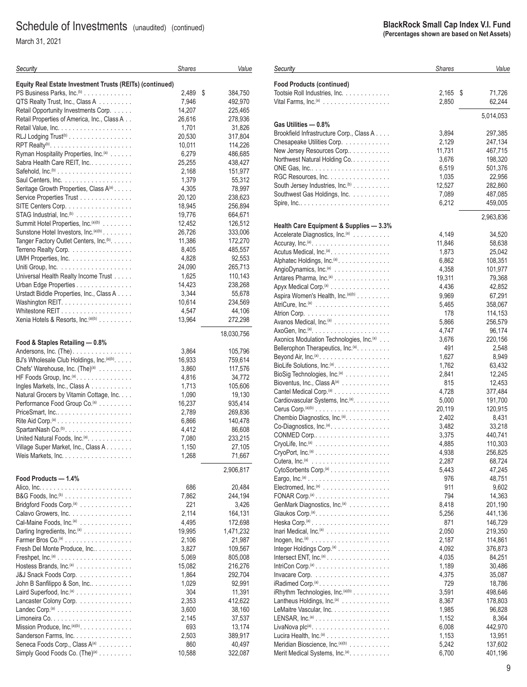March 31, 2021

| Equity Real Estate Investment Trusts (REITs) (continued)<br>PS Business Parks, Inc. <sup>(b)</sup><br>2,489<br>\$<br>384,750<br>7,946<br>QTS Realty Trust, Inc., Class A<br>492,970<br>Retail Opportunity Investments Corp.<br>14,207<br>225,465<br>Retail Properties of America, Inc., Class A<br>26,616<br>278,936<br>1,701<br>31,826<br>20,530<br>RLJ Lodging Trust <sup>(b)</sup><br>317,804<br>10,011<br>114,226<br>Ryman Hospitality Properties, Inc. <sup>(a)</sup><br>6,279<br>486,685<br>25,255<br>Sabra Health Care REIT, Inc.<br>438,427<br>Safehold, $Inc^{(b)} \dots \dots \dots \dots \dots \dots \dots$<br>2,168<br>151,977<br>Saul Centers, Inc.<br>1,379<br>55,312<br>Seritage Growth Properties, Class A(a)<br>4,305<br>78,997<br>20,120<br>Service Properties Trust<br>238,623<br>SITE Centers Corp.<br>18,945<br>256,894<br>STAG Industrial, Inc. <sup>(b)</sup><br>19,776<br>664,671<br>Summit Hotel Properties, Inc. (a)(b)<br>12,452<br>126,512<br>Sunstone Hotel Investors, Inc. (a)(b)<br>26,726<br>333,006<br>11,386<br>Tanger Factory Outlet Centers, Inc. <sup>(b)</sup> .<br>172,270<br>Terreno Realty Corp.<br>8,405<br>485,557<br>UMH Properties, Inc.<br>4,828<br>92,553<br>24,090<br>265,713<br>1,625<br>Universal Health Realty Income Trust<br>110,143<br>Urban Edge Properties<br>14,423<br>238,268<br>3,344<br>Urstadt Biddle Properties, Inc., Class A<br>55,678<br>10,614<br>234,569<br>4,547<br>44,106<br>Xenia Hotels & Resorts, Inc. (a)(b)<br>13,964<br>272,298<br>18,030,756<br>Food & Staples Retailing - 0.8%<br>3,864<br>105,796<br>16,933<br>BJ's Wholesale Club Holdings, Inc. (a)(b).<br>759,614<br>Chefs' Warehouse, Inc. (The) <sup>(a)</sup><br>3,860<br>117,576<br>HF Foods Group, $Inc^{(a)} \dots \dots \dots \dots \dots$<br>4,816<br>34,772<br>Ingles Markets, Inc., Class A<br>1,713<br>105,606<br>Natural Grocers by Vitamin Cottage, Inc.<br>1,090<br>19,130<br>16,237<br>Performance Food Group Co. <sup>(a)</sup><br>935,414<br>PriceSmart, Inc<br>2,789<br>269,836<br>6,866<br>140,478<br>SpartanNash Co. <sup>(b)</sup> .<br>4,412<br>86,608<br>United Natural Foods, Inc. <sup>(a)</sup> .<br>7,080<br>233,215<br>Village Super Market, Inc., Class A.<br>1,150<br>27,105<br>1,268<br>71,667<br>Weis Markets, Inc.<br>2,906,817<br>Food Products - 1.4%<br>686<br>20,484<br>7,862<br>244,194<br>Bridgford Foods Corp. <sup>(a)</sup><br>221<br>3,426<br>Calavo Growers, Inc.<br>2,114<br>164,131<br>Cal-Maine Foods, Inc. <sup>(a)</sup><br>4,495<br>172,698<br>Darling Ingredients, Inc. <sup>(a)</sup><br>19,995<br>1,471,232<br>2,106<br>21,987<br>Fresh Del Monte Produce, Inc.<br>3,827<br>109,567<br>Freshpet, $\ln c^{(a)}$<br>5,069<br>805,008<br>Hostess Brands, Inc. <sup>(a)</sup><br>15,082<br>216,276<br>J&J Snack Foods Corp.<br>1,864<br>292,704<br>1,029<br>John B Sanfilippo & Son, Inc<br>92,991<br>Laird Superfood, Inc. <sup>(a)</sup><br>11,391<br>304<br>Lancaster Colony Corp.<br>2,353<br>412,622<br>3,600<br>38,160<br>37,537<br>2,145<br>Mission Produce, Inc. <sup>(a)(b)</sup> .<br>693<br>13,174<br>Sanderson Farms, Inc.<br>2,503<br>389,917<br>Seneca Foods Corp., Class A(a)<br>860<br>40,497<br>Simply Good Foods Co. (The) <sup>(a)</sup><br>10,588<br>322,087 | Security | <b>Shares</b> | Value |
|--------------------------------------------------------------------------------------------------------------------------------------------------------------------------------------------------------------------------------------------------------------------------------------------------------------------------------------------------------------------------------------------------------------------------------------------------------------------------------------------------------------------------------------------------------------------------------------------------------------------------------------------------------------------------------------------------------------------------------------------------------------------------------------------------------------------------------------------------------------------------------------------------------------------------------------------------------------------------------------------------------------------------------------------------------------------------------------------------------------------------------------------------------------------------------------------------------------------------------------------------------------------------------------------------------------------------------------------------------------------------------------------------------------------------------------------------------------------------------------------------------------------------------------------------------------------------------------------------------------------------------------------------------------------------------------------------------------------------------------------------------------------------------------------------------------------------------------------------------------------------------------------------------------------------------------------------------------------------------------------------------------------------------------------------------------------------------------------------------------------------------------------------------------------------------------------------------------------------------------------------------------------------------------------------------------------------------------------------------------------------------------------------------------------------------------------------------------------------------------------------------------------------------------------------------------------------------------------------------------------------------------------------------------------------------------------------------------------------------------------------------------------------------------------------------------------------------------------------------------------------------------------------------------------------------------------------------------------------------------------------------------------------------------------------------------------------------------------------------------------------------------------------------------------------------------------------------------------------------------------------------------------|----------|---------------|-------|
|                                                                                                                                                                                                                                                                                                                                                                                                                                                                                                                                                                                                                                                                                                                                                                                                                                                                                                                                                                                                                                                                                                                                                                                                                                                                                                                                                                                                                                                                                                                                                                                                                                                                                                                                                                                                                                                                                                                                                                                                                                                                                                                                                                                                                                                                                                                                                                                                                                                                                                                                                                                                                                                                                                                                                                                                                                                                                                                                                                                                                                                                                                                                                                                                                                                                    |          |               |       |
|                                                                                                                                                                                                                                                                                                                                                                                                                                                                                                                                                                                                                                                                                                                                                                                                                                                                                                                                                                                                                                                                                                                                                                                                                                                                                                                                                                                                                                                                                                                                                                                                                                                                                                                                                                                                                                                                                                                                                                                                                                                                                                                                                                                                                                                                                                                                                                                                                                                                                                                                                                                                                                                                                                                                                                                                                                                                                                                                                                                                                                                                                                                                                                                                                                                                    |          |               |       |
|                                                                                                                                                                                                                                                                                                                                                                                                                                                                                                                                                                                                                                                                                                                                                                                                                                                                                                                                                                                                                                                                                                                                                                                                                                                                                                                                                                                                                                                                                                                                                                                                                                                                                                                                                                                                                                                                                                                                                                                                                                                                                                                                                                                                                                                                                                                                                                                                                                                                                                                                                                                                                                                                                                                                                                                                                                                                                                                                                                                                                                                                                                                                                                                                                                                                    |          |               |       |
|                                                                                                                                                                                                                                                                                                                                                                                                                                                                                                                                                                                                                                                                                                                                                                                                                                                                                                                                                                                                                                                                                                                                                                                                                                                                                                                                                                                                                                                                                                                                                                                                                                                                                                                                                                                                                                                                                                                                                                                                                                                                                                                                                                                                                                                                                                                                                                                                                                                                                                                                                                                                                                                                                                                                                                                                                                                                                                                                                                                                                                                                                                                                                                                                                                                                    |          |               |       |
|                                                                                                                                                                                                                                                                                                                                                                                                                                                                                                                                                                                                                                                                                                                                                                                                                                                                                                                                                                                                                                                                                                                                                                                                                                                                                                                                                                                                                                                                                                                                                                                                                                                                                                                                                                                                                                                                                                                                                                                                                                                                                                                                                                                                                                                                                                                                                                                                                                                                                                                                                                                                                                                                                                                                                                                                                                                                                                                                                                                                                                                                                                                                                                                                                                                                    |          |               |       |
|                                                                                                                                                                                                                                                                                                                                                                                                                                                                                                                                                                                                                                                                                                                                                                                                                                                                                                                                                                                                                                                                                                                                                                                                                                                                                                                                                                                                                                                                                                                                                                                                                                                                                                                                                                                                                                                                                                                                                                                                                                                                                                                                                                                                                                                                                                                                                                                                                                                                                                                                                                                                                                                                                                                                                                                                                                                                                                                                                                                                                                                                                                                                                                                                                                                                    |          |               |       |
|                                                                                                                                                                                                                                                                                                                                                                                                                                                                                                                                                                                                                                                                                                                                                                                                                                                                                                                                                                                                                                                                                                                                                                                                                                                                                                                                                                                                                                                                                                                                                                                                                                                                                                                                                                                                                                                                                                                                                                                                                                                                                                                                                                                                                                                                                                                                                                                                                                                                                                                                                                                                                                                                                                                                                                                                                                                                                                                                                                                                                                                                                                                                                                                                                                                                    |          |               |       |
|                                                                                                                                                                                                                                                                                                                                                                                                                                                                                                                                                                                                                                                                                                                                                                                                                                                                                                                                                                                                                                                                                                                                                                                                                                                                                                                                                                                                                                                                                                                                                                                                                                                                                                                                                                                                                                                                                                                                                                                                                                                                                                                                                                                                                                                                                                                                                                                                                                                                                                                                                                                                                                                                                                                                                                                                                                                                                                                                                                                                                                                                                                                                                                                                                                                                    |          |               |       |
|                                                                                                                                                                                                                                                                                                                                                                                                                                                                                                                                                                                                                                                                                                                                                                                                                                                                                                                                                                                                                                                                                                                                                                                                                                                                                                                                                                                                                                                                                                                                                                                                                                                                                                                                                                                                                                                                                                                                                                                                                                                                                                                                                                                                                                                                                                                                                                                                                                                                                                                                                                                                                                                                                                                                                                                                                                                                                                                                                                                                                                                                                                                                                                                                                                                                    |          |               |       |
|                                                                                                                                                                                                                                                                                                                                                                                                                                                                                                                                                                                                                                                                                                                                                                                                                                                                                                                                                                                                                                                                                                                                                                                                                                                                                                                                                                                                                                                                                                                                                                                                                                                                                                                                                                                                                                                                                                                                                                                                                                                                                                                                                                                                                                                                                                                                                                                                                                                                                                                                                                                                                                                                                                                                                                                                                                                                                                                                                                                                                                                                                                                                                                                                                                                                    |          |               |       |
|                                                                                                                                                                                                                                                                                                                                                                                                                                                                                                                                                                                                                                                                                                                                                                                                                                                                                                                                                                                                                                                                                                                                                                                                                                                                                                                                                                                                                                                                                                                                                                                                                                                                                                                                                                                                                                                                                                                                                                                                                                                                                                                                                                                                                                                                                                                                                                                                                                                                                                                                                                                                                                                                                                                                                                                                                                                                                                                                                                                                                                                                                                                                                                                                                                                                    |          |               |       |
|                                                                                                                                                                                                                                                                                                                                                                                                                                                                                                                                                                                                                                                                                                                                                                                                                                                                                                                                                                                                                                                                                                                                                                                                                                                                                                                                                                                                                                                                                                                                                                                                                                                                                                                                                                                                                                                                                                                                                                                                                                                                                                                                                                                                                                                                                                                                                                                                                                                                                                                                                                                                                                                                                                                                                                                                                                                                                                                                                                                                                                                                                                                                                                                                                                                                    |          |               |       |
|                                                                                                                                                                                                                                                                                                                                                                                                                                                                                                                                                                                                                                                                                                                                                                                                                                                                                                                                                                                                                                                                                                                                                                                                                                                                                                                                                                                                                                                                                                                                                                                                                                                                                                                                                                                                                                                                                                                                                                                                                                                                                                                                                                                                                                                                                                                                                                                                                                                                                                                                                                                                                                                                                                                                                                                                                                                                                                                                                                                                                                                                                                                                                                                                                                                                    |          |               |       |
|                                                                                                                                                                                                                                                                                                                                                                                                                                                                                                                                                                                                                                                                                                                                                                                                                                                                                                                                                                                                                                                                                                                                                                                                                                                                                                                                                                                                                                                                                                                                                                                                                                                                                                                                                                                                                                                                                                                                                                                                                                                                                                                                                                                                                                                                                                                                                                                                                                                                                                                                                                                                                                                                                                                                                                                                                                                                                                                                                                                                                                                                                                                                                                                                                                                                    |          |               |       |
|                                                                                                                                                                                                                                                                                                                                                                                                                                                                                                                                                                                                                                                                                                                                                                                                                                                                                                                                                                                                                                                                                                                                                                                                                                                                                                                                                                                                                                                                                                                                                                                                                                                                                                                                                                                                                                                                                                                                                                                                                                                                                                                                                                                                                                                                                                                                                                                                                                                                                                                                                                                                                                                                                                                                                                                                                                                                                                                                                                                                                                                                                                                                                                                                                                                                    |          |               |       |
|                                                                                                                                                                                                                                                                                                                                                                                                                                                                                                                                                                                                                                                                                                                                                                                                                                                                                                                                                                                                                                                                                                                                                                                                                                                                                                                                                                                                                                                                                                                                                                                                                                                                                                                                                                                                                                                                                                                                                                                                                                                                                                                                                                                                                                                                                                                                                                                                                                                                                                                                                                                                                                                                                                                                                                                                                                                                                                                                                                                                                                                                                                                                                                                                                                                                    |          |               |       |
|                                                                                                                                                                                                                                                                                                                                                                                                                                                                                                                                                                                                                                                                                                                                                                                                                                                                                                                                                                                                                                                                                                                                                                                                                                                                                                                                                                                                                                                                                                                                                                                                                                                                                                                                                                                                                                                                                                                                                                                                                                                                                                                                                                                                                                                                                                                                                                                                                                                                                                                                                                                                                                                                                                                                                                                                                                                                                                                                                                                                                                                                                                                                                                                                                                                                    |          |               |       |
|                                                                                                                                                                                                                                                                                                                                                                                                                                                                                                                                                                                                                                                                                                                                                                                                                                                                                                                                                                                                                                                                                                                                                                                                                                                                                                                                                                                                                                                                                                                                                                                                                                                                                                                                                                                                                                                                                                                                                                                                                                                                                                                                                                                                                                                                                                                                                                                                                                                                                                                                                                                                                                                                                                                                                                                                                                                                                                                                                                                                                                                                                                                                                                                                                                                                    |          |               |       |
|                                                                                                                                                                                                                                                                                                                                                                                                                                                                                                                                                                                                                                                                                                                                                                                                                                                                                                                                                                                                                                                                                                                                                                                                                                                                                                                                                                                                                                                                                                                                                                                                                                                                                                                                                                                                                                                                                                                                                                                                                                                                                                                                                                                                                                                                                                                                                                                                                                                                                                                                                                                                                                                                                                                                                                                                                                                                                                                                                                                                                                                                                                                                                                                                                                                                    |          |               |       |
|                                                                                                                                                                                                                                                                                                                                                                                                                                                                                                                                                                                                                                                                                                                                                                                                                                                                                                                                                                                                                                                                                                                                                                                                                                                                                                                                                                                                                                                                                                                                                                                                                                                                                                                                                                                                                                                                                                                                                                                                                                                                                                                                                                                                                                                                                                                                                                                                                                                                                                                                                                                                                                                                                                                                                                                                                                                                                                                                                                                                                                                                                                                                                                                                                                                                    |          |               |       |
|                                                                                                                                                                                                                                                                                                                                                                                                                                                                                                                                                                                                                                                                                                                                                                                                                                                                                                                                                                                                                                                                                                                                                                                                                                                                                                                                                                                                                                                                                                                                                                                                                                                                                                                                                                                                                                                                                                                                                                                                                                                                                                                                                                                                                                                                                                                                                                                                                                                                                                                                                                                                                                                                                                                                                                                                                                                                                                                                                                                                                                                                                                                                                                                                                                                                    |          |               |       |
|                                                                                                                                                                                                                                                                                                                                                                                                                                                                                                                                                                                                                                                                                                                                                                                                                                                                                                                                                                                                                                                                                                                                                                                                                                                                                                                                                                                                                                                                                                                                                                                                                                                                                                                                                                                                                                                                                                                                                                                                                                                                                                                                                                                                                                                                                                                                                                                                                                                                                                                                                                                                                                                                                                                                                                                                                                                                                                                                                                                                                                                                                                                                                                                                                                                                    |          |               |       |
|                                                                                                                                                                                                                                                                                                                                                                                                                                                                                                                                                                                                                                                                                                                                                                                                                                                                                                                                                                                                                                                                                                                                                                                                                                                                                                                                                                                                                                                                                                                                                                                                                                                                                                                                                                                                                                                                                                                                                                                                                                                                                                                                                                                                                                                                                                                                                                                                                                                                                                                                                                                                                                                                                                                                                                                                                                                                                                                                                                                                                                                                                                                                                                                                                                                                    |          |               |       |
|                                                                                                                                                                                                                                                                                                                                                                                                                                                                                                                                                                                                                                                                                                                                                                                                                                                                                                                                                                                                                                                                                                                                                                                                                                                                                                                                                                                                                                                                                                                                                                                                                                                                                                                                                                                                                                                                                                                                                                                                                                                                                                                                                                                                                                                                                                                                                                                                                                                                                                                                                                                                                                                                                                                                                                                                                                                                                                                                                                                                                                                                                                                                                                                                                                                                    |          |               |       |
|                                                                                                                                                                                                                                                                                                                                                                                                                                                                                                                                                                                                                                                                                                                                                                                                                                                                                                                                                                                                                                                                                                                                                                                                                                                                                                                                                                                                                                                                                                                                                                                                                                                                                                                                                                                                                                                                                                                                                                                                                                                                                                                                                                                                                                                                                                                                                                                                                                                                                                                                                                                                                                                                                                                                                                                                                                                                                                                                                                                                                                                                                                                                                                                                                                                                    |          |               |       |
|                                                                                                                                                                                                                                                                                                                                                                                                                                                                                                                                                                                                                                                                                                                                                                                                                                                                                                                                                                                                                                                                                                                                                                                                                                                                                                                                                                                                                                                                                                                                                                                                                                                                                                                                                                                                                                                                                                                                                                                                                                                                                                                                                                                                                                                                                                                                                                                                                                                                                                                                                                                                                                                                                                                                                                                                                                                                                                                                                                                                                                                                                                                                                                                                                                                                    |          |               |       |
|                                                                                                                                                                                                                                                                                                                                                                                                                                                                                                                                                                                                                                                                                                                                                                                                                                                                                                                                                                                                                                                                                                                                                                                                                                                                                                                                                                                                                                                                                                                                                                                                                                                                                                                                                                                                                                                                                                                                                                                                                                                                                                                                                                                                                                                                                                                                                                                                                                                                                                                                                                                                                                                                                                                                                                                                                                                                                                                                                                                                                                                                                                                                                                                                                                                                    |          |               |       |
|                                                                                                                                                                                                                                                                                                                                                                                                                                                                                                                                                                                                                                                                                                                                                                                                                                                                                                                                                                                                                                                                                                                                                                                                                                                                                                                                                                                                                                                                                                                                                                                                                                                                                                                                                                                                                                                                                                                                                                                                                                                                                                                                                                                                                                                                                                                                                                                                                                                                                                                                                                                                                                                                                                                                                                                                                                                                                                                                                                                                                                                                                                                                                                                                                                                                    |          |               |       |
|                                                                                                                                                                                                                                                                                                                                                                                                                                                                                                                                                                                                                                                                                                                                                                                                                                                                                                                                                                                                                                                                                                                                                                                                                                                                                                                                                                                                                                                                                                                                                                                                                                                                                                                                                                                                                                                                                                                                                                                                                                                                                                                                                                                                                                                                                                                                                                                                                                                                                                                                                                                                                                                                                                                                                                                                                                                                                                                                                                                                                                                                                                                                                                                                                                                                    |          |               |       |
|                                                                                                                                                                                                                                                                                                                                                                                                                                                                                                                                                                                                                                                                                                                                                                                                                                                                                                                                                                                                                                                                                                                                                                                                                                                                                                                                                                                                                                                                                                                                                                                                                                                                                                                                                                                                                                                                                                                                                                                                                                                                                                                                                                                                                                                                                                                                                                                                                                                                                                                                                                                                                                                                                                                                                                                                                                                                                                                                                                                                                                                                                                                                                                                                                                                                    |          |               |       |
|                                                                                                                                                                                                                                                                                                                                                                                                                                                                                                                                                                                                                                                                                                                                                                                                                                                                                                                                                                                                                                                                                                                                                                                                                                                                                                                                                                                                                                                                                                                                                                                                                                                                                                                                                                                                                                                                                                                                                                                                                                                                                                                                                                                                                                                                                                                                                                                                                                                                                                                                                                                                                                                                                                                                                                                                                                                                                                                                                                                                                                                                                                                                                                                                                                                                    |          |               |       |
|                                                                                                                                                                                                                                                                                                                                                                                                                                                                                                                                                                                                                                                                                                                                                                                                                                                                                                                                                                                                                                                                                                                                                                                                                                                                                                                                                                                                                                                                                                                                                                                                                                                                                                                                                                                                                                                                                                                                                                                                                                                                                                                                                                                                                                                                                                                                                                                                                                                                                                                                                                                                                                                                                                                                                                                                                                                                                                                                                                                                                                                                                                                                                                                                                                                                    |          |               |       |
|                                                                                                                                                                                                                                                                                                                                                                                                                                                                                                                                                                                                                                                                                                                                                                                                                                                                                                                                                                                                                                                                                                                                                                                                                                                                                                                                                                                                                                                                                                                                                                                                                                                                                                                                                                                                                                                                                                                                                                                                                                                                                                                                                                                                                                                                                                                                                                                                                                                                                                                                                                                                                                                                                                                                                                                                                                                                                                                                                                                                                                                                                                                                                                                                                                                                    |          |               |       |
|                                                                                                                                                                                                                                                                                                                                                                                                                                                                                                                                                                                                                                                                                                                                                                                                                                                                                                                                                                                                                                                                                                                                                                                                                                                                                                                                                                                                                                                                                                                                                                                                                                                                                                                                                                                                                                                                                                                                                                                                                                                                                                                                                                                                                                                                                                                                                                                                                                                                                                                                                                                                                                                                                                                                                                                                                                                                                                                                                                                                                                                                                                                                                                                                                                                                    |          |               |       |
|                                                                                                                                                                                                                                                                                                                                                                                                                                                                                                                                                                                                                                                                                                                                                                                                                                                                                                                                                                                                                                                                                                                                                                                                                                                                                                                                                                                                                                                                                                                                                                                                                                                                                                                                                                                                                                                                                                                                                                                                                                                                                                                                                                                                                                                                                                                                                                                                                                                                                                                                                                                                                                                                                                                                                                                                                                                                                                                                                                                                                                                                                                                                                                                                                                                                    |          |               |       |
|                                                                                                                                                                                                                                                                                                                                                                                                                                                                                                                                                                                                                                                                                                                                                                                                                                                                                                                                                                                                                                                                                                                                                                                                                                                                                                                                                                                                                                                                                                                                                                                                                                                                                                                                                                                                                                                                                                                                                                                                                                                                                                                                                                                                                                                                                                                                                                                                                                                                                                                                                                                                                                                                                                                                                                                                                                                                                                                                                                                                                                                                                                                                                                                                                                                                    |          |               |       |
|                                                                                                                                                                                                                                                                                                                                                                                                                                                                                                                                                                                                                                                                                                                                                                                                                                                                                                                                                                                                                                                                                                                                                                                                                                                                                                                                                                                                                                                                                                                                                                                                                                                                                                                                                                                                                                                                                                                                                                                                                                                                                                                                                                                                                                                                                                                                                                                                                                                                                                                                                                                                                                                                                                                                                                                                                                                                                                                                                                                                                                                                                                                                                                                                                                                                    |          |               |       |
|                                                                                                                                                                                                                                                                                                                                                                                                                                                                                                                                                                                                                                                                                                                                                                                                                                                                                                                                                                                                                                                                                                                                                                                                                                                                                                                                                                                                                                                                                                                                                                                                                                                                                                                                                                                                                                                                                                                                                                                                                                                                                                                                                                                                                                                                                                                                                                                                                                                                                                                                                                                                                                                                                                                                                                                                                                                                                                                                                                                                                                                                                                                                                                                                                                                                    |          |               |       |
|                                                                                                                                                                                                                                                                                                                                                                                                                                                                                                                                                                                                                                                                                                                                                                                                                                                                                                                                                                                                                                                                                                                                                                                                                                                                                                                                                                                                                                                                                                                                                                                                                                                                                                                                                                                                                                                                                                                                                                                                                                                                                                                                                                                                                                                                                                                                                                                                                                                                                                                                                                                                                                                                                                                                                                                                                                                                                                                                                                                                                                                                                                                                                                                                                                                                    |          |               |       |
|                                                                                                                                                                                                                                                                                                                                                                                                                                                                                                                                                                                                                                                                                                                                                                                                                                                                                                                                                                                                                                                                                                                                                                                                                                                                                                                                                                                                                                                                                                                                                                                                                                                                                                                                                                                                                                                                                                                                                                                                                                                                                                                                                                                                                                                                                                                                                                                                                                                                                                                                                                                                                                                                                                                                                                                                                                                                                                                                                                                                                                                                                                                                                                                                                                                                    |          |               |       |
|                                                                                                                                                                                                                                                                                                                                                                                                                                                                                                                                                                                                                                                                                                                                                                                                                                                                                                                                                                                                                                                                                                                                                                                                                                                                                                                                                                                                                                                                                                                                                                                                                                                                                                                                                                                                                                                                                                                                                                                                                                                                                                                                                                                                                                                                                                                                                                                                                                                                                                                                                                                                                                                                                                                                                                                                                                                                                                                                                                                                                                                                                                                                                                                                                                                                    |          |               |       |
|                                                                                                                                                                                                                                                                                                                                                                                                                                                                                                                                                                                                                                                                                                                                                                                                                                                                                                                                                                                                                                                                                                                                                                                                                                                                                                                                                                                                                                                                                                                                                                                                                                                                                                                                                                                                                                                                                                                                                                                                                                                                                                                                                                                                                                                                                                                                                                                                                                                                                                                                                                                                                                                                                                                                                                                                                                                                                                                                                                                                                                                                                                                                                                                                                                                                    |          |               |       |
|                                                                                                                                                                                                                                                                                                                                                                                                                                                                                                                                                                                                                                                                                                                                                                                                                                                                                                                                                                                                                                                                                                                                                                                                                                                                                                                                                                                                                                                                                                                                                                                                                                                                                                                                                                                                                                                                                                                                                                                                                                                                                                                                                                                                                                                                                                                                                                                                                                                                                                                                                                                                                                                                                                                                                                                                                                                                                                                                                                                                                                                                                                                                                                                                                                                                    |          |               |       |
|                                                                                                                                                                                                                                                                                                                                                                                                                                                                                                                                                                                                                                                                                                                                                                                                                                                                                                                                                                                                                                                                                                                                                                                                                                                                                                                                                                                                                                                                                                                                                                                                                                                                                                                                                                                                                                                                                                                                                                                                                                                                                                                                                                                                                                                                                                                                                                                                                                                                                                                                                                                                                                                                                                                                                                                                                                                                                                                                                                                                                                                                                                                                                                                                                                                                    |          |               |       |
|                                                                                                                                                                                                                                                                                                                                                                                                                                                                                                                                                                                                                                                                                                                                                                                                                                                                                                                                                                                                                                                                                                                                                                                                                                                                                                                                                                                                                                                                                                                                                                                                                                                                                                                                                                                                                                                                                                                                                                                                                                                                                                                                                                                                                                                                                                                                                                                                                                                                                                                                                                                                                                                                                                                                                                                                                                                                                                                                                                                                                                                                                                                                                                                                                                                                    |          |               |       |
|                                                                                                                                                                                                                                                                                                                                                                                                                                                                                                                                                                                                                                                                                                                                                                                                                                                                                                                                                                                                                                                                                                                                                                                                                                                                                                                                                                                                                                                                                                                                                                                                                                                                                                                                                                                                                                                                                                                                                                                                                                                                                                                                                                                                                                                                                                                                                                                                                                                                                                                                                                                                                                                                                                                                                                                                                                                                                                                                                                                                                                                                                                                                                                                                                                                                    |          |               |       |
|                                                                                                                                                                                                                                                                                                                                                                                                                                                                                                                                                                                                                                                                                                                                                                                                                                                                                                                                                                                                                                                                                                                                                                                                                                                                                                                                                                                                                                                                                                                                                                                                                                                                                                                                                                                                                                                                                                                                                                                                                                                                                                                                                                                                                                                                                                                                                                                                                                                                                                                                                                                                                                                                                                                                                                                                                                                                                                                                                                                                                                                                                                                                                                                                                                                                    |          |               |       |
|                                                                                                                                                                                                                                                                                                                                                                                                                                                                                                                                                                                                                                                                                                                                                                                                                                                                                                                                                                                                                                                                                                                                                                                                                                                                                                                                                                                                                                                                                                                                                                                                                                                                                                                                                                                                                                                                                                                                                                                                                                                                                                                                                                                                                                                                                                                                                                                                                                                                                                                                                                                                                                                                                                                                                                                                                                                                                                                                                                                                                                                                                                                                                                                                                                                                    |          |               |       |
|                                                                                                                                                                                                                                                                                                                                                                                                                                                                                                                                                                                                                                                                                                                                                                                                                                                                                                                                                                                                                                                                                                                                                                                                                                                                                                                                                                                                                                                                                                                                                                                                                                                                                                                                                                                                                                                                                                                                                                                                                                                                                                                                                                                                                                                                                                                                                                                                                                                                                                                                                                                                                                                                                                                                                                                                                                                                                                                                                                                                                                                                                                                                                                                                                                                                    |          |               |       |
|                                                                                                                                                                                                                                                                                                                                                                                                                                                                                                                                                                                                                                                                                                                                                                                                                                                                                                                                                                                                                                                                                                                                                                                                                                                                                                                                                                                                                                                                                                                                                                                                                                                                                                                                                                                                                                                                                                                                                                                                                                                                                                                                                                                                                                                                                                                                                                                                                                                                                                                                                                                                                                                                                                                                                                                                                                                                                                                                                                                                                                                                                                                                                                                                                                                                    |          |               |       |
|                                                                                                                                                                                                                                                                                                                                                                                                                                                                                                                                                                                                                                                                                                                                                                                                                                                                                                                                                                                                                                                                                                                                                                                                                                                                                                                                                                                                                                                                                                                                                                                                                                                                                                                                                                                                                                                                                                                                                                                                                                                                                                                                                                                                                                                                                                                                                                                                                                                                                                                                                                                                                                                                                                                                                                                                                                                                                                                                                                                                                                                                                                                                                                                                                                                                    |          |               |       |
|                                                                                                                                                                                                                                                                                                                                                                                                                                                                                                                                                                                                                                                                                                                                                                                                                                                                                                                                                                                                                                                                                                                                                                                                                                                                                                                                                                                                                                                                                                                                                                                                                                                                                                                                                                                                                                                                                                                                                                                                                                                                                                                                                                                                                                                                                                                                                                                                                                                                                                                                                                                                                                                                                                                                                                                                                                                                                                                                                                                                                                                                                                                                                                                                                                                                    |          |               |       |
|                                                                                                                                                                                                                                                                                                                                                                                                                                                                                                                                                                                                                                                                                                                                                                                                                                                                                                                                                                                                                                                                                                                                                                                                                                                                                                                                                                                                                                                                                                                                                                                                                                                                                                                                                                                                                                                                                                                                                                                                                                                                                                                                                                                                                                                                                                                                                                                                                                                                                                                                                                                                                                                                                                                                                                                                                                                                                                                                                                                                                                                                                                                                                                                                                                                                    |          |               |       |
|                                                                                                                                                                                                                                                                                                                                                                                                                                                                                                                                                                                                                                                                                                                                                                                                                                                                                                                                                                                                                                                                                                                                                                                                                                                                                                                                                                                                                                                                                                                                                                                                                                                                                                                                                                                                                                                                                                                                                                                                                                                                                                                                                                                                                                                                                                                                                                                                                                                                                                                                                                                                                                                                                                                                                                                                                                                                                                                                                                                                                                                                                                                                                                                                                                                                    |          |               |       |
|                                                                                                                                                                                                                                                                                                                                                                                                                                                                                                                                                                                                                                                                                                                                                                                                                                                                                                                                                                                                                                                                                                                                                                                                                                                                                                                                                                                                                                                                                                                                                                                                                                                                                                                                                                                                                                                                                                                                                                                                                                                                                                                                                                                                                                                                                                                                                                                                                                                                                                                                                                                                                                                                                                                                                                                                                                                                                                                                                                                                                                                                                                                                                                                                                                                                    |          |               |       |
|                                                                                                                                                                                                                                                                                                                                                                                                                                                                                                                                                                                                                                                                                                                                                                                                                                                                                                                                                                                                                                                                                                                                                                                                                                                                                                                                                                                                                                                                                                                                                                                                                                                                                                                                                                                                                                                                                                                                                                                                                                                                                                                                                                                                                                                                                                                                                                                                                                                                                                                                                                                                                                                                                                                                                                                                                                                                                                                                                                                                                                                                                                                                                                                                                                                                    |          |               |       |
|                                                                                                                                                                                                                                                                                                                                                                                                                                                                                                                                                                                                                                                                                                                                                                                                                                                                                                                                                                                                                                                                                                                                                                                                                                                                                                                                                                                                                                                                                                                                                                                                                                                                                                                                                                                                                                                                                                                                                                                                                                                                                                                                                                                                                                                                                                                                                                                                                                                                                                                                                                                                                                                                                                                                                                                                                                                                                                                                                                                                                                                                                                                                                                                                                                                                    |          |               |       |
|                                                                                                                                                                                                                                                                                                                                                                                                                                                                                                                                                                                                                                                                                                                                                                                                                                                                                                                                                                                                                                                                                                                                                                                                                                                                                                                                                                                                                                                                                                                                                                                                                                                                                                                                                                                                                                                                                                                                                                                                                                                                                                                                                                                                                                                                                                                                                                                                                                                                                                                                                                                                                                                                                                                                                                                                                                                                                                                                                                                                                                                                                                                                                                                                                                                                    |          |               |       |
|                                                                                                                                                                                                                                                                                                                                                                                                                                                                                                                                                                                                                                                                                                                                                                                                                                                                                                                                                                                                                                                                                                                                                                                                                                                                                                                                                                                                                                                                                                                                                                                                                                                                                                                                                                                                                                                                                                                                                                                                                                                                                                                                                                                                                                                                                                                                                                                                                                                                                                                                                                                                                                                                                                                                                                                                                                                                                                                                                                                                                                                                                                                                                                                                                                                                    |          |               |       |
|                                                                                                                                                                                                                                                                                                                                                                                                                                                                                                                                                                                                                                                                                                                                                                                                                                                                                                                                                                                                                                                                                                                                                                                                                                                                                                                                                                                                                                                                                                                                                                                                                                                                                                                                                                                                                                                                                                                                                                                                                                                                                                                                                                                                                                                                                                                                                                                                                                                                                                                                                                                                                                                                                                                                                                                                                                                                                                                                                                                                                                                                                                                                                                                                                                                                    |          |               |       |
|                                                                                                                                                                                                                                                                                                                                                                                                                                                                                                                                                                                                                                                                                                                                                                                                                                                                                                                                                                                                                                                                                                                                                                                                                                                                                                                                                                                                                                                                                                                                                                                                                                                                                                                                                                                                                                                                                                                                                                                                                                                                                                                                                                                                                                                                                                                                                                                                                                                                                                                                                                                                                                                                                                                                                                                                                                                                                                                                                                                                                                                                                                                                                                                                                                                                    |          |               |       |

| Security                                                                       | <b>Shares</b> | Value              |
|--------------------------------------------------------------------------------|---------------|--------------------|
| <b>Food Products (continued)</b>                                               |               |                    |
| Tootsie Roll Industries, Inc.                                                  | 2,165         | \$<br>71,726       |
| Vital Farms, $Inc(a)$                                                          | 2,850         | 62,244             |
|                                                                                |               | 5,014,053          |
| Gas Utilities - 0.8%                                                           |               |                    |
| Brookfield Infrastructure Corp., Class A                                       | 3,894         | 297,385            |
| Chesapeake Utilities Corp.                                                     | 2,129         | 247,134            |
| New Jersey Resources Corp                                                      | 11,731        | 467,715            |
| Northwest Natural Holding Co.                                                  | 3,676         | 198,320            |
|                                                                                | 6,519         | 501,376            |
| RGC Resources, $Inc. \ldots$                                                   | 1,035         | 22,956             |
| South Jersey Industries, Inc. <sup>(b)</sup>                                   | 12,527        | 282,860            |
| Southwest Gas Holdings, Inc.                                                   | 7,089         | 487,085            |
|                                                                                | 6,212         | 459,005            |
| Health Care Equipment & Supplies - 3.3%                                        |               | 2,963,836          |
| Accelerate Diagnostics, Inc. <sup>(a)</sup>                                    | 4,149         | 34,520             |
|                                                                                | 11,846        | 58,638             |
| Acutus Medical, Inc. <sup>(a)</sup> .                                          | 1,873         | 25,042             |
| Alphatec Holdings, Inc. <sup>(a)</sup> .                                       | 6,862         | 108,351            |
| AngioDynamics, Inc. <sup>(a)</sup>                                             | 4,358         | 101,977            |
| Antares Pharma, Inc. <sup>(a)</sup>                                            | 19,311        | 79,368             |
| Apyx Medical Corp. <sup>(a)</sup>                                              | 4,436         | 42,852             |
| Aspira Women's Health, Inc. (a)(b)                                             | 9,969         | 67,291             |
|                                                                                | 5,465         | 358,067            |
|                                                                                | 178           | 114,153            |
| Avanos Medical, Inc. <sup>(a)</sup>                                            | 5,866         | 256,579            |
|                                                                                | 4,747         | 96,174             |
| Axonics Modulation Technologies, Inc. <sup>(a)</sup>                           | 3,676         | 220,156            |
| Bellerophon Therapeutics, Inc. <sup>(a)</sup> .                                | 491           | 2,548              |
| Beyond Air, Inc. $(a)$                                                         | 1,627         | 8,949              |
| BioLife Solutions, Inc. <sup>(a)</sup> .                                       | 1,762         | 63,432             |
| BioSig Technologies, Inc. <sup>(a)</sup>                                       | 2,841         | 12,245             |
| Bioventus, Inc., Class A(a)                                                    | 815           | 12,453             |
| Cantel Medical Corp. <sup>(a)</sup>                                            | 4,728         | 377,484            |
| Cardiovascular Systems, Inc. <sup>(a)</sup> .                                  | 5,000         | 191,700            |
|                                                                                | 20,119        | 120,915            |
| Chembio Diagnostics, Inc. <sup>(a)</sup> .                                     | 2,402         | 8,431              |
| Co-Diagnostics, $Inc^{(a)} \dots \dots \dots \dots \dots$                      | 3,482         | 33,218             |
|                                                                                | 3,375         | 440,741            |
|                                                                                | 4,885         | 110,303            |
| $CryoPort, Inc.(a)$                                                            | 4,938         | 256,825            |
| Cutera, Inc. <sup>(a)</sup> $\ldots \ldots \ldots \ldots \ldots \ldots \ldots$ | 2,287         | 68,724             |
| CytoSorbents Corp. <sup>(a)</sup>                                              | 5,443         | 47,245             |
|                                                                                | 976           | 48,751             |
| Electromed, $Inc^{(a)}$                                                        | 911           | 9,602              |
| GenMark Diagnostics, Inc. <sup>(a)</sup>                                       | 794           | 14,363             |
|                                                                                | 8,418         | 201,190            |
|                                                                                | 5,256<br>871  | 441,136<br>146,729 |
| Inari Medical, Inc. <sup>(a)</sup>                                             | 2,050         | 219,350            |
|                                                                                | 2,187         | 114,861            |
| Integer Holdings Corp. <sup>(a)</sup>                                          | 4,092         | 376,873            |
| Intersect ENT, $Inc^{(a)} \dots \dots \dots \dots \dots \dots$                 | 4,035         | 84,251             |
|                                                                                | 1,189         | 30,486             |
|                                                                                | 4,375         | 35,087             |
|                                                                                | 729           | 18,786             |
| iRhythm Technologies, Inc. (a)(b)                                              | 3,591         | 498,646            |
| Lantheus Holdings, Inc. <sup>(a)</sup>                                         | 8,367         | 178,803            |
| LeMaitre Vascular, Inc.                                                        | 1,985         | 96,828             |
|                                                                                | 1,152         | 8,364              |
|                                                                                | 6,008         | 442,970            |
| Lucira Health, Inc. <sup>(a)</sup>                                             | 1,153         | 13,951             |
| Meridian Bioscience, Inc. (a)(b)                                               | 5,242         | 137,602            |
| Merit Medical Systems, Inc. <sup>(a)</sup> .                                   | 6,700         | 401,196            |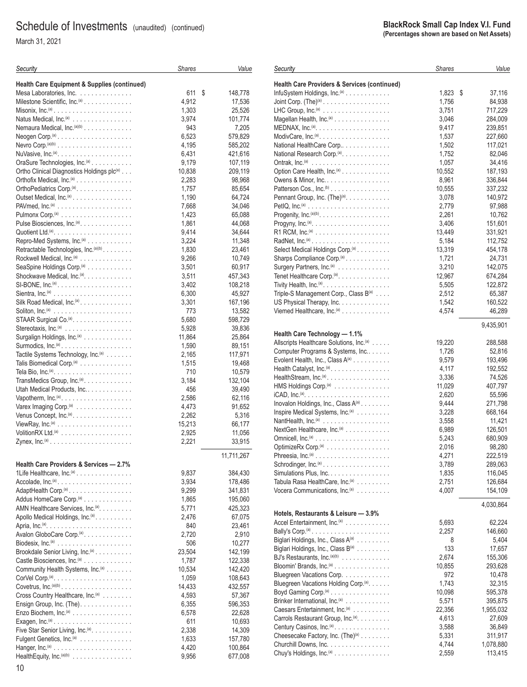March 31, 2021

10

| Security                                                                              | <b>Shares</b>  | Value              |
|---------------------------------------------------------------------------------------|----------------|--------------------|
| <b>Health Care Equipment &amp; Supplies (continued)</b>                               |                |                    |
| Mesa Laboratories, Inc.                                                               | 611            | \$<br>148,778      |
| Milestone Scientific, Inc. <sup>(a)</sup>                                             | 4,912          | 17,536             |
| Misonix, $Inc^{(a)} \dots \dots \dots \dots \dots \dots \dots \dots$                  | 1,303          | 25,526             |
| Natus Medical, Inc. <sup>(a)</sup>                                                    | 3,974          | 101,774            |
| Nemaura Medical, Inc. <sup>(a)(b)</sup>                                               | 943            | 7,205              |
| Neogen Corp. <sup>(a)</sup>                                                           | 6,523          | 579,829            |
|                                                                                       | 4,195          | 585,202            |
|                                                                                       | 6,431          | 421,616            |
| OraSure Technologies, Inc. <sup>(a)</sup>                                             | 9,179          | 107,119            |
| Ortho Clinical Diagnostics Holdings plc(a)                                            | 10,838         | 209,119            |
| Orthofix Medical, Inc. <sup>(a)</sup>                                                 | 2,283          | 98,968             |
| OrthoPediatrics Corp. <sup>(a)</sup> .                                                | 1,757          | 85,654             |
| Outset Medical, Inc. <sup>(a)</sup> .                                                 | 1,190          | 64,724             |
|                                                                                       | 7,668          | 34,046             |
|                                                                                       | 1,423          | 65,088             |
| Pulse Biosciences, Inc. <sup>(a)</sup> .                                              | 1,861          | 44,068<br>34,644   |
| Repro-Med Systems, Inc. <sup>(a)</sup>                                                | 9,414<br>3,224 | 11,348             |
| Retractable Technologies, Inc.(a)(b)                                                  | 1,830          | 23,461             |
| Rockwell Medical, Inc. <sup>(a)</sup>                                                 | 9,266          | 10,749             |
| SeaSpine Holdings Corp. <sup>(a)</sup>                                                | 3,501          | 60,917             |
| Shockwave Medical, Inc. <sup>(a)</sup> .                                              | 3,511          | 457,343            |
| $SI-BONE$ , $Inc.(a)$                                                                 | 3,402          | 108,218            |
|                                                                                       | 6,300          | 45,927             |
| Silk Road Medical, Inc. <sup>(a)</sup>                                                | 3,301          | 167,196            |
|                                                                                       | 773            | 13,582             |
| STAAR Surgical Co. <sup>(a)</sup> .                                                   | 5,680          | 598,729            |
|                                                                                       | 5,928          | 39,836             |
| Surgalign Holdings, Inc. <sup>(a)</sup>                                               | 11,864         | 25,864             |
| Surmodics, $Inc^{(a)} \dots \dots \dots \dots \dots \dots \dots$                      | 1,590          | 89,151             |
| Tactile Systems Technology, Inc. <sup>(a)</sup>                                       | 2,165          | 117,971            |
| Talis Biomedical Corp. <sup>(a)</sup>                                                 | 1,515          | 19,468             |
|                                                                                       | 710            | 10,579             |
| TransMedics Group, Inc. <sup>(a)</sup>                                                | 3,184          | 132,104            |
| Utah Medical Products, Inc.                                                           | 456<br>2,586   | 39,490             |
| Varex Imaging Corp. <sup>(a)</sup>                                                    | 4,473          | 62,116<br>91,652   |
| Venus Concept, Inc. <sup>(a)</sup> .                                                  | 2,262          | 5,316              |
|                                                                                       | 15,213         | 66,177             |
| $VolitionRX Ltd.(a)$                                                                  | 2,925          | 11,056             |
|                                                                                       | 2,221          | 33,915             |
|                                                                                       |                |                    |
|                                                                                       |                | 11,711,267         |
| Health Care Providers & Services - 2.7%                                               |                |                    |
| 1Life Healthcare, Inc. <sup>(a)</sup>                                                 | 9,837          | 384,430            |
| Accolade, Inc. <sup>(a)</sup>                                                         | 3,934          | 178,486            |
| AdaptHealth Corp. <sup>(a)</sup>                                                      | 9,299          | 341,831<br>195,060 |
| Addus HomeCare Corp. <sup>(a)</sup><br>AMN Healthcare Services, Inc. <sup>(a)</sup> . | 1,865<br>5,771 | 425,323            |
| Apollo Medical Holdings, Inc. <sup>(a)</sup> .                                        | 2,476          | 67,075             |
|                                                                                       | 840            | 23,461             |
| Avalon GloboCare Corp. <sup>(a)</sup> .                                               | 2,720          | 2,910              |
|                                                                                       | 506            | 10,277             |
| Brookdale Senior Living, Inc. <sup>(a)</sup>                                          | 23,504         | 142,199            |
| Castle Biosciences, Inc. <sup>(a)</sup>                                               | 1,787          | 122,338            |
| Community Health Systems, Inc. <sup>(a)</sup>                                         | 10,534         | 142,420            |
|                                                                                       | 1,059          | 108,643            |
|                                                                                       | 14,433         | 432,557            |
| Cross Country Healthcare, Inc. <sup>(a)</sup>                                         | 4,593          | 57,367             |
| Ensign Group, Inc. (The).                                                             | 6,355          | 596,353            |
| Enzo Biochem, Inc. <sup>(a)</sup>                                                     | 6,578          | 22,628             |
| Exagen, $Inc^{(a)} \ldots \ldots \ldots \ldots \ldots \ldots \ldots$                  | 611            | 10,693             |
| Five Star Senior Living, Inc. <sup>(a)</sup> .                                        | 2,338          | 14,309             |
| Fulgent Genetics, Inc. <sup>(a)</sup>                                                 | 1,633          | 157,780            |
|                                                                                       | 4,420          | 100,864            |
| Health Equity, Inc. (a)(b)                                                            | 9,956          | 677,008            |

#### *Shares Value* **Health Care Providers & Services (continued)** InfuSystem Holdings, Inc.(a) ............ 1,823 \$ 37,116 Joint Corp. (The)(a) .................. 1,756 84,938 LHC Group, Inc.<sup>(a)</sup> .................. Magellan Health, Inc.(a) ............... 3,046 284,009 MEDNAX, Inc.(a).................... 9,417 239,851 ModivCare, Inc.(a) ................... 1,537 227,660 National HealthCare Corp.............. 1,502 117,021 National Research Corp.(a)............. 1,752 82,046 Ontrak, Inc.(a) ..................... 1,057 34,416 Option Care Health, Inc.(a) ............. 10,552 187,193 Owens & Minor, Inc. ................. 8,961 336,844 Patterson Cos., Inc.<sup>(b)</sup> ................ Pennant Group, Inc. (The)(a)............ 3,078 140,972 PetIQ, Inc.(a) ...................... 2,779 97,988 Progenity, Inc.(a)(b)................... 2,261 10,762 Progyny, Inc.(a)..................... 3,406 151,601 R1 RCM, Inc.(a) .................... 13,449 331,921 RadNet, Inc.<sup>(a)</sup> ........................ Select Medical Holdings Corp.<sup>(a)</sup> . . . . . . . . . . . . . . . . . . 13,319 454,178 Sharps Compliance Corp.(a) ............ 1,721 24,731 Surgery Partners, Inc.(a) .............. 3,210 142,075 Tenet Healthcare Corp.(a).............. 12,967 674,284 Tivity Health, Inc.(a) .................. 5,505 122,872 Triple-S Management Corp., Class B<sup>(a)</sup> .... 2,512 65,387 US Physical Therapy, Inc. ............. 1,542 160,522 Viemed Healthcare, Inc.(a) ............. 4,574 46,289 9,435,901 **Health Care Technology — 1.1%** Allscripts Healthcare Solutions, Inc.<sup>(a)</sup> ..... 19,220 288,588 Computer Programs & Systems, Inc....... 1,726 52,816 Evolent Health, Inc., Class A<sup>(a)</sup> ......... Health Catalyst, Inc.(a) ................ 4,117 192,552 HealthStream, Inc.(a) ................. 3,336 74,526 HMS Holdings Corp.(a) ............... 11,029 407,797 iCAD, Inc.(a)....................... 2,620 55,596 Inovalon Holdings, Inc., Class A(a) ........ 9,444 271,798 Inspire Medical Systems, Inc.<sup>(a)</sup> ......... 3,228 668,164 NantHealth, Inc.(a) .................. 3,558 11,421 NextGen Healthcare, Inc.(a) ............ 6,989 126,501 Omnicell, Inc.(a) .................... 5,243 680,909 OptimizeRx Corp.(a) ................. 2,016 98,280 Phreesia, Inc.(a) .................... 4,271 222,519 Schrodinger, Inc.(a) .................. 3,789 289,063 Simulations Plus, Inc. ................ 1,835 116,045 Tabula Rasa HealthCare, Inc.(a) ......... 2,751 126,684 Vocera Communications, Inc.<sup>(a)</sup> ......... 4,030,864 **Hotels, Restaurants & Leisure — 3.9%** Accel Entertainment, Inc.(a) ............ 5,693 62,224 Bally's Corp.(a) ..................... 2,257 146,660 Biglari Holdings, Inc., Class A(a) ......... 8 5,404 Biglari Holdings, Inc., Class B(a) ......... 133 17,657 BJ's Restaurants, Inc.(a)(b) ............. 2,674 155,306 Bloomin' Brands, Inc.(a) ............... 10,855 293,628 Bluegreen Vacations Corp. . . . . . . . . . . . . . 972 10,478 Bluegreen Vacations Holding Corp.<sup>(a)</sup>...... 1,743 32,315 Boyd Gaming Corp.(a) ................ 10,098 595,378 Brinker International, Inc.(a) ............ 5,571 395,875 Caesars Entertainment, Inc.<sup>(a)</sup>  $\ldots$ , ...... 22,356

Carrols Restaurant Group, Inc.<sup>(a)</sup>......... 4,613 27,609 Century Casinos, Inc.(a) ............... 3,588 36,849 Cheesecake Factory, Inc. (The)<sup>(a)</sup> . . . . . . . . . . . . . . . . . 5,331 311,917 Churchill Downs, Inc. ................ 4,744 1,078,880 Chuy's Holdings, Inc.(a) ............... 2,559 113,415

*Security*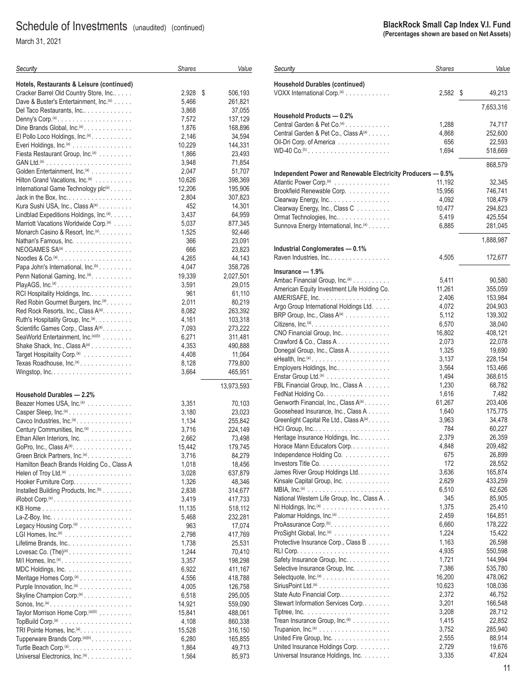March 31, 2021

| Security                                                           | <b>Shares</b>   | Value              |
|--------------------------------------------------------------------|-----------------|--------------------|
| Hotels, Restaurants & Leisure (continued)                          |                 |                    |
| Cracker Barrel Old Country Store, Inc                              | 2,928<br>\$     | 506,193            |
| Dave & Buster's Entertainment, Inc. <sup>(a)</sup>                 | 5,466           | 261,821            |
| Del Taco Restaurants, Inc                                          | 3,868           | 37,055             |
|                                                                    | 7,572           | 137,129            |
| Dine Brands Global, $Inc^{(a)} \dots \dots \dots \dots$            | 1,876           | 168,896            |
| El Pollo Loco Holdings, Inc. <sup>(a)</sup> .                      | 2,146           | 34,594             |
| Everi Holdings, Inc. <sup>(a)</sup>                                | 10,229          | 144,331            |
| Fiesta Restaurant Group, Inc. <sup>(a)</sup>                       | 1,866           | 23,493             |
|                                                                    | 3,948           | 71,854             |
| Golden Entertainment, Inc. <sup>(a)</sup>                          | 2,047           | 51,707             |
| Hilton Grand Vacations, Inc. <sup>(a)</sup>                        | 10,626          | 398,369            |
| International Game Technology plc(a)                               | 12,206          | 195,906            |
| Jack in the Box, $Inc \ldots \ldots \ldots \ldots \ldots$          | 2,804           | 307,823            |
| Kura Sushi USA, Inc., Class A <sup>(a)</sup>                       | 452             | 14,301             |
| Lindblad Expeditions Holdings, Inc. <sup>(a)</sup> .               | 3,437           | 64,959             |
| Marriott Vacations Worldwide Corp. <sup>(a)</sup>                  | 5,037           | 877,345            |
| Monarch Casino & Resort, Inc. <sup>(a)</sup> .                     | 1,525           | 92,446             |
| Nathan's Famous, Inc.                                              | 366             | 23,091             |
| NEOGAMES SA <sup>(a)</sup>                                         | 666             | 23,823             |
| Noodles & Co. <sup>(a)</sup> . $\ldots$ .                          | 4,265           | 44,143             |
| Papa John's International, Inc. <sup>(b)</sup> .                   | 4,047           | 358,726            |
| Penn National Gaming, Inc. <sup>(a)</sup> .                        | 19,339          | 2,027,501          |
|                                                                    | 3,591           | 29,015             |
| RCI Hospitality Holdings, Inc.                                     | 961             | 61,110             |
| Red Robin Gourmet Burgers, Inc. <sup>(a)</sup> .                   | 2,011           | 80,219             |
| Red Rock Resorts, Inc., Class A(a).                                | 8,082           | 263,392            |
| Ruth's Hospitality Group, Inc. <sup>(a)</sup> .                    | 4,161           | 103,318            |
| Scientific Games Corp., Class A(a).                                | 7,093           | 273,222            |
| SeaWorld Entertainment, Inc. <sup>(a)(b)</sup>                     | 6,271           | 311,481            |
| Shake Shack, Inc., Class A(a)                                      | 4,353           | 490,888            |
| Target Hospitality Corp. <sup>(a)</sup>                            | 4,408           | 11,064             |
| Texas Roadhouse, Inc. <sup>(a)</sup>                               | 8,128           | 779,800            |
|                                                                    | 3,664           | 465,951            |
|                                                                    |                 | 13,973,593         |
| Household Durables - 2.2%                                          |                 |                    |
| Beazer Homes USA, Inc. <sup>(a)</sup>                              | 3,351           | 70,103             |
| Casper Sleep, Inc. <sup>(a)</sup>                                  | 3,180           | 23,023             |
| Cavco Industries, Inc. <sup>(a)</sup> .                            | 1,134           | 255,842            |
| Century Communities, Inc. <sup>(a)</sup>                           | 3,716           | 224,149            |
| Ethan Allen Interiors, Inc.                                        | 2,662           | 73,498             |
| GoPro, Inc., Class $A^{(a)}$                                       | 15,442          | 179,745            |
| Green Brick Partners, Inc. <sup>(a)</sup> .                        | 3,716           | 84,279             |
| Hamilton Beach Brands Holding Co., Class A                         | 1,018           | 18,456             |
| Helen of Troy Ltd. <sup>(a)</sup>                                  | 3,028<br>1,326  | 637,879            |
| Hooker Furniture Corp                                              |                 | 48,346             |
| Installed Building Products, Inc. <sup>(b)</sup>                   | 2,838           | 314,677            |
|                                                                    | 3,419<br>11,135 | 417,733<br>518,112 |
|                                                                    | 5,468           | 232,281            |
| Legacy Housing Corp. <sup>(a)</sup>                                | 963             | 17,074             |
| LGI Homes, $Inc^{(a)}$                                             | 2,798           | 417,769            |
| Lifetime Brands, Inc                                               | 1,738           | 25,531             |
| Lovesac Co. $(The)^{(a)}$ .                                        | 1,244           | 70,410             |
| $M/I$ Homes, Inc. <sup>(a)</sup>                                   | 3,357           | 198,298            |
| MDC Holdings, Inc.                                                 | 6,922           | 411,167            |
| Meritage Homes Corp. <sup>(a)</sup>                                | 4,556           | 418,788            |
| Purple Innovation, Inc. <sup>(a)</sup>                             | 4,005           | 126,758            |
| Skyline Champion Corp. <sup>(a)</sup>                              | 6,518           | 295,005            |
| Sonos, $Inc^{(a)} \dots \dots \dots \dots \dots \dots \dots \dots$ | 14,921          | 559,090            |
| Taylor Morrison Home Corp. <sup>(a)(b)</sup>                       | 15,841          | 488,061            |
|                                                                    | 4,108           | 860,338            |
| TRI Pointe Homes, Inc. <sup>(a)</sup> .                            | 15,528          | 316,150            |
| Tupperware Brands Corp. <sup>(a)(b)</sup> .                        | 6,280           | 165,855            |
| Turtle Beach Corp. <sup>(a)</sup> .                                | 1,864           | 49,713             |
| Universal Electronics, Inc. <sup>(a)</sup> .                       | 1,564           | 85,973             |

| Security                                                                          | <b>Shares</b>    | Value              |
|-----------------------------------------------------------------------------------|------------------|--------------------|
| <b>Household Durables (continued)</b>                                             |                  |                    |
| VOXX International Corp. <sup>(a)</sup>                                           | 2,582            | \$<br>49,213       |
|                                                                                   |                  | 7,653,316          |
| Household Products - 0.2%                                                         |                  |                    |
| Central Garden & Pet Co. <sup>(a)</sup>                                           | 1,288            | 74,717             |
| Central Garden & Pet Co., Class A(a)                                              | 4,868            | 252,600            |
| Oil-Dri Corp. of America                                                          | 656              | 22,593             |
| WD-40 Co. <sup>(b)</sup>                                                          | 1,694            | 518,669            |
|                                                                                   |                  | 868,579            |
| Independent Power and Renewable Electricity Producers - 0.5%                      |                  |                    |
| Atlantic Power Corp. <sup>(a)</sup><br>Brookfield Renewable Corp.                 | 11,192<br>15,956 | 32,345<br>746,741  |
| Clearway Energy, Inc                                                              | 4,092            | 108,479            |
| Clearway Energy, Inc., Class C                                                    | 10,477           | 294,823            |
| Ormat Technologies, Inc                                                           | 5,419            | 425,554            |
| Sunnova Energy International, Inc. <sup>(a)</sup>                                 | 6,885            | 281,045            |
|                                                                                   |                  | 1,888,987          |
| Industrial Conglomerates - 0.1%                                                   |                  |                    |
| Raven Industries, Inc                                                             | 4,505            | 172,677            |
| Insurance — 1.9%                                                                  |                  |                    |
| Ambac Financial Group, Inc. <sup>(a)</sup>                                        | 5,411            | 90,580             |
| American Equity Investment Life Holding Co.                                       | 11,261           | 355,059            |
| $AMERISAFE, Inc. \ldots \ldots \ldots \ldots \ldots$                              | 2,406            | 153,984            |
| Argo Group International Holdings Ltd.                                            | 4,072            | 204,903            |
| BRP Group, Inc., Class A(a)                                                       | 5,112            | 139,302            |
| Citizens, Inc. <sup>(a)</sup> . $\dots \dots \dots \dots \dots \dots \dots \dots$ | 6,570            | 38,040             |
| CNO Financial Group, Inc                                                          | 16,802           | 408,121            |
| Crawford & Co., Class A                                                           | 2,073            | 22,078             |
| Donegal Group, Inc., Class A.                                                     | 1,325            | 19,690             |
| Employers Holdings, Inc                                                           | 3,137<br>3,564   | 228,154<br>153,466 |
| Enstar Group Ltd. <sup>(a)</sup>                                                  | 1,494            | 368,615            |
| FBL Financial Group, Inc., Class A                                                | 1,230            | 68,782             |
|                                                                                   | 1,616            | 7,482              |
| Genworth Financial, Inc., Class A(a)                                              | 61,267           | 203,406            |
| Goosehead Insurance, Inc., Class A                                                | 1,640            | 175,775            |
| Greenlight Capital Re Ltd., Class A(a)                                            | 3,963            | 34,478             |
|                                                                                   | 784              | 60,227             |
| Heritage Insurance Holdings, Inc.                                                 | 2,379            | 26,359             |
| Horace Mann Educators Corp<br>Independence Holding Co.                            | 4,848<br>675     | 209,482<br>26,899  |
|                                                                                   | 172              | 28,552             |
| James River Group Holdings Ltd.                                                   | 3,636            | 165,874            |
| Kinsale Capital Group, Inc.                                                       | 2,629            | 433,259            |
|                                                                                   | 6,510            | 62,626             |
| National Western Life Group, Inc., Class A                                        | 345              | 85,905             |
|                                                                                   | 1,375            | 25,410             |
| Palomar Holdings, Inc. <sup>(a)</sup>                                             | 2,459            | 164,851            |
| ProAssurance Corp. <sup>(b)</sup> .                                               | 6,660            | 178,222            |
| ProSight Global, Inc. <sup>(a)</sup><br>Protective Insurance Corp., Class B       | 1,224<br>1,163   | 15,422<br>26,598   |
|                                                                                   | 4,935            | 550,598            |
| Safety Insurance Group, Inc.                                                      | 1,721            | 144,994            |
| Selective Insurance Group, Inc.                                                   | 7,386            | 535,780            |
| Selectquote, $Inc^{(a)} \ldots \ldots \ldots \ldots \ldots \ldots$                | 16,200           | 478,062            |
|                                                                                   | 10,623           | 108,036            |
| State Auto Financial Corp                                                         | 2,372            | 46,752             |
| Stewart Information Services Corp                                                 | 3,201            | 166,548            |
|                                                                                   | 3,208            | 28,712             |
| Trean Insurance Group, Inc. <sup>(a)</sup>                                        | 1,415<br>3,752   | 22,852<br>285,940  |
| United Fire Group, Inc.                                                           | 2,555            | 88,914             |
| United Insurance Holdings Corp.                                                   | 2,729            | 19,676             |
| Universal Insurance Holdings, Inc.                                                | 3,335            | 47,824             |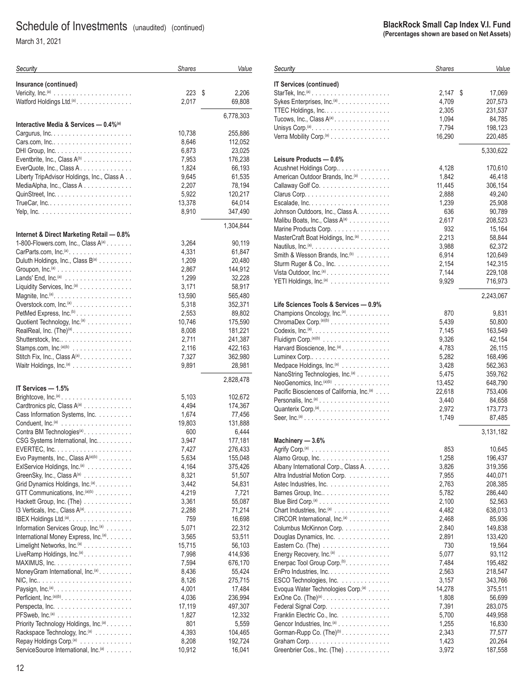March 31, 2021

| Security                                                                                                                                                  | <b>Shares</b>   | Value              |
|-----------------------------------------------------------------------------------------------------------------------------------------------------------|-----------------|--------------------|
| Insurance (continued)                                                                                                                                     |                 |                    |
|                                                                                                                                                           | 223             | \$<br>2,206        |
| Watford Holdings Ltd. <sup>(a)</sup> .                                                                                                                    | 2,017           | 69,808             |
|                                                                                                                                                           |                 | 6,778,303          |
| Interactive Media & Services - 0.4% <sup>(a)</sup>                                                                                                        |                 |                    |
|                                                                                                                                                           | 10,738          | 255,886            |
|                                                                                                                                                           | 8,646           | 112,052            |
| DHI Group, $Inc. \ldots \ldots \ldots \ldots \ldots \ldots \ldots$                                                                                        | 6,873           | 23,025             |
| Eventbrite, Inc., Class $A^{(b)}$<br>EverQuote, Inc., Class A.                                                                                            | 7,953<br>1,824  | 176,238            |
| Liberty TripAdvisor Holdings, Inc., Class A                                                                                                               | 9,645           | 66,193<br>61,535   |
| MediaAlpha, Inc., Class A                                                                                                                                 | 2.207           | 78,194             |
|                                                                                                                                                           | 5,922           | 120,217            |
|                                                                                                                                                           | 13,378          | 64,014             |
|                                                                                                                                                           | 8,910           | 347,490            |
|                                                                                                                                                           |                 | 1,304,844          |
| Internet & Direct Marketing Retail - 0.8%                                                                                                                 |                 |                    |
| 1-800-Flowers.com, Inc., Class A(a)                                                                                                                       | 3,264           | 90,119             |
| CarParts.com, Inc. <sup>(a)</sup> .                                                                                                                       | 4,331           | 61,847             |
| Duluth Holdings, Inc., Class B(a)                                                                                                                         | 1,209           | 20,480             |
| Groupon, $Inc^{(a)}$                                                                                                                                      | 2,867           | 144,912            |
|                                                                                                                                                           | 1,299           | 32,228             |
| Liquidity Services, Inc. <sup>(a)</sup>                                                                                                                   | 3,171           | 58,917             |
| Overstock.com, Inc. <sup>(a)</sup>                                                                                                                        | 13,590<br>5,318 | 565,480<br>352,371 |
| PetMed Express, Inc. <sup>(b)</sup> .                                                                                                                     | 2,553           | 89,802             |
| Quotient Technology, Inc.(a)                                                                                                                              | 10,746          | 175,590            |
| RealReal, Inc. $(The)^{(a)} \dots \dots \dots \dots \dots$                                                                                                | 8,008           | 181,221            |
|                                                                                                                                                           | 2,711           | 241,387            |
| Stamps.com, Inc. <sup>(a)(b)</sup>                                                                                                                        | 2,116           | 422,163            |
| Stitch Fix, Inc., Class A(a)                                                                                                                              | 7,327           | 362,980            |
| Waitr Holdings, Inc. <sup>(a)</sup>                                                                                                                       | 9,891           | 28,981             |
|                                                                                                                                                           |                 | 2,828,478          |
| IT Services - 1.5%<br>Brightcove, $Inc^{(a)} \cdot \cdot \cdot \cdot \cdot \cdot \cdot \cdot \cdot \cdot \cdot \cdot \cdot \cdot \cdot \cdot \cdot \cdot$ | 5,103           | 102,672            |
| Cardtronics plc, Class A(a)                                                                                                                               | 4,494           | 174,367            |
| Cass Information Systems, Inc.                                                                                                                            | 1,674           | 77,456             |
|                                                                                                                                                           | 19,803          | 131,888            |
| Contra BM Technologies <sup>(a)</sup>                                                                                                                     | 600             | 6,444              |
| CSG Systems International, Inc                                                                                                                            | 3,947           | 177,181            |
|                                                                                                                                                           | 7,427           | 276,433            |
| Evo Payments, Inc., Class $A^{(a)(b)}$                                                                                                                    | 5,634           | 155,048            |
| ExIService Holdings, Inc. <sup>(a)</sup>                                                                                                                  | 4,164           | 375,426            |
| GreenSky, Inc., Class A(a)<br>Grid Dynamics Holdings, Inc. <sup>(a)</sup> .                                                                               | 8,321<br>3,442  | 51,507<br>54,831   |
| GTT Communications, Inc. <sup>(a)(b)</sup>                                                                                                                | 4,219           | 7,721              |
| Hackett Group, Inc. (The)                                                                                                                                 | 3,361           | 55,087             |
| 13 Verticals, Inc., Class $A^{(a)}$                                                                                                                       | 2,288           | 71,214             |
| IBEX Holdings Ltd. <sup>(a)</sup> .                                                                                                                       | 759             | 16,698             |
| Information Services Group, Inc. <sup>(a)</sup>                                                                                                           | 5,071           | 22,312             |
| International Money Express, Inc. <sup>(a)</sup> .                                                                                                        | 3,565           | 53,511             |
| Limelight Networks, Inc. <sup>(a)</sup>                                                                                                                   | 15,715          | 56,103             |
| LiveRamp Holdings, Inc. <sup>(a)</sup> .                                                                                                                  | 7,998           | 414,936            |
| $MAXIMUS, Inc. \ldots \ldots \ldots \ldots \ldots \ldots$                                                                                                 | 7,594           | 676,170            |
| MoneyGram International, Inc. <sup>(a)</sup> .                                                                                                            | 8,436<br>8,126  | 55,424<br>275,715  |
|                                                                                                                                                           | 4,001           | 17,484             |
|                                                                                                                                                           | 4,036           | 236,994            |
|                                                                                                                                                           | 17,119          | 497,307            |
| $PFSweb, Inc.(a)$                                                                                                                                         | 1,827           | 12,332             |
| Priority Technology Holdings, Inc. <sup>(a)</sup> .                                                                                                       | 801             | 5,559              |
| Rackspace Technology, Inc. <sup>(a)</sup>                                                                                                                 | 4,393           | 104,465            |
| Repay Holdings Corp. <sup>(a)</sup>                                                                                                                       | 8,208           | 192,724            |
| ServiceSource International, Inc. <sup>(a)</sup>                                                                                                          | 10,912          | 16,041             |

| Security                                                          | <b>Shares</b> | Value        |
|-------------------------------------------------------------------|---------------|--------------|
| <b>IT Services (continued)</b>                                    |               |              |
|                                                                   | 2,147         | \$<br>17,069 |
| Sykes Enterprises, Inc. <sup>(a)</sup> .                          | 4,709         | 207,573      |
| TTEC Holdings, Inc.                                               | 2,305         | 231,537      |
| Tucows, Inc., Class A(a)                                          | 1,094         | 84,785       |
| Unisys Corp. <sup>(a)</sup> . $\ldots$ .                          | 7,794         | 198,123      |
| Verra Mobility Corp. <sup>(a)</sup>                               | 16,290        | 220,485      |
|                                                                   |               | 5,330,622    |
| Leisure Products - 0.6%                                           |               |              |
| Acushnet Holdings Corp                                            | 4,128         | 170,610      |
| American Outdoor Brands, Inc. <sup>(a)</sup>                      | 1,842         | 46,418       |
|                                                                   | 11,445        | 306,154      |
|                                                                   | 2,888         | 49,240       |
|                                                                   | 1,239         | 25,908       |
| Johnson Outdoors, Inc., Class A.                                  | 636           | 90,789       |
| Malibu Boats, Inc., Class A <sup>(a)</sup>                        | 2,617         | 208,523      |
| Marine Products Corp.                                             | 932           | 15,164       |
| MasterCraft Boat Holdings, Inc. <sup>(a)</sup>                    | 2.213         | 58,844       |
|                                                                   | 3,988         | 62,372       |
| Smith & Wesson Brands, $Inc.^{(b)}$                               | 6,914         | 120,649      |
| Sturm Ruger & Co., Inc.                                           | 2,154         | 142,315      |
| Vista Outdoor, Inc. <sup>(a)</sup>                                | 7,144         | 229,108      |
| YETI Holdings, Inc. <sup>(a)</sup>                                | 9,929         | 716,973      |
|                                                                   |               | 2,243,067    |
| Life Sciences Tools & Services - 0.9%                             |               |              |
| Champions Oncology, Inc. <sup>(a)</sup> .                         | 870           | 9,831        |
| ChromaDex Corp. <sup>(a)(b)</sup>                                 | 5,439         | 50,800       |
|                                                                   | 7,145         | 163,549      |
| Fluidigm Corp. $(a)(b)$                                           | 9,326         | 42,154       |
| Harvard Bioscience, Inc. <sup>(a)</sup>                           | 4,783         | 26,115       |
|                                                                   | 5,282         | 168,496      |
| Medpace Holdings, Inc. <sup>(a)</sup>                             | 3,428         | 562,363      |
| NanoString Technologies, Inc. <sup>(a)</sup>                      | 5,475         | 359,762      |
| NeoGenomics, $Inc^{(a)(b)}$                                       | 13,452        | 648,790      |
| Pacific Biosciences of California, Inc. <sup>(a)</sup>            | 22,618        | 753,406      |
| Personalis, $Inc^{(a)} \dots \dots \dots \dots \dots \dots \dots$ | 3,440         | 84,658       |
| Quanterix Corp. <sup>(a)</sup>                                    | 2,972         | 173,773      |
|                                                                   | 1,749         | 87,485       |
|                                                                   |               | 3,131,182    |
| Machinery - 3.6%                                                  | 853           | 10,645       |
|                                                                   | 1,258         | 196,437      |
| Albany International Corp., Class A.                              | 3,826         | 319,356      |
| Altra Industrial Motion Corp.                                     | 7,955         | 440,071      |
| Astec Industries, Inc.                                            | 2,763         | 208,385      |
| Barnes Group, Inc                                                 | 5,782         | 286,440      |
|                                                                   | 2,100         | 52,563       |
| Chart Industries, Inc. <sup>(a)</sup>                             | 4,482         | 638,013      |
| CIRCOR International, Inc. <sup>(a)</sup>                         | 2,468         | 85,936       |
| Columbus McKinnon Corp.                                           | 2,840         | 149,838      |
| Douglas Dynamics, Inc.                                            | 2,891         | 133,420      |
| Eastern Co. (The)                                                 | 730           | 19,564       |
| Energy Recovery, Inc. <sup>(a)</sup>                              | 5,077         | 93,112       |
| Enerpac Tool Group Corp. <sup>(b)</sup> .                         | 7,484         | 195,482      |
| EnPro Industries, Inc.                                            | 2,563         | 218,547      |
| ESCO Technologies, Inc.                                           | 3,157         | 343,766      |
| Evoqua Water Technologies Corp. <sup>(a)</sup>                    | 14,278        | 375,511      |
|                                                                   | 1,808         | 56,699       |
| Federal Signal Corp.                                              | 7,391         | 283,075      |
| Franklin Electric Co., Inc.                                       | 5,700         | 449,958      |
| Gencor Industries, Inc. <sup>(a)</sup>                            | 1,255         | 16,830       |
| Gorman-Rupp Co. (The) <sup>(b)</sup> .                            | 2,343         | 77,577       |
|                                                                   | 1,423         | 20,264       |
| Greenbrier Cos., Inc. (The)                                       | 3,972         | 187,558      |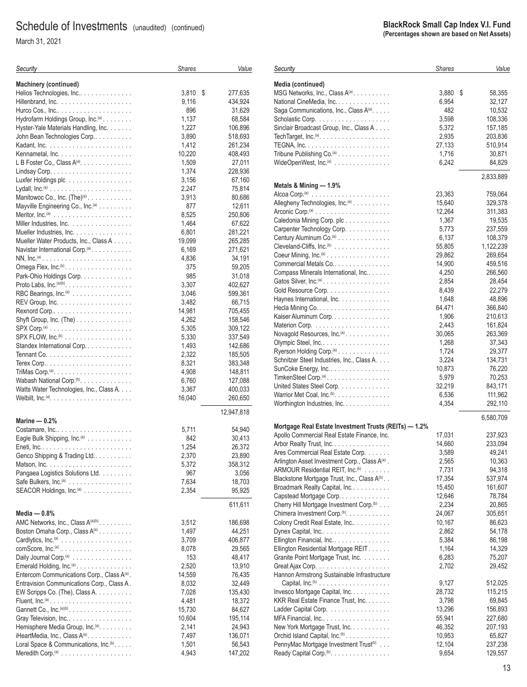March 31, 2021

| Security                                                                           | <b>Shares</b>  | Value              |
|------------------------------------------------------------------------------------|----------------|--------------------|
| <b>Machinery (continued)</b>                                                       |                |                    |
| Helios Technologies, Inc                                                           | 3,810<br>\$    | 277,635            |
|                                                                                    | 9,116          | 434,924            |
|                                                                                    | 896            | 31,629             |
| Hydrofarm Holdings Group, Inc. <sup>(a)</sup>                                      | 1.137          | 68,584             |
| Hyster-Yale Materials Handling, Inc.                                               | 1,227          | 106,896            |
| John Bean Technologies Corp                                                        | 3,890          | 518,693            |
|                                                                                    | 1,412          | 261,234            |
|                                                                                    | 10,220         | 408,493            |
| L B Foster Co., Class A <sup>(a)</sup> .                                           | 1,509          | 27,011             |
|                                                                                    | 1,374          | 228,936            |
| Luxfer Holdings plc                                                                | 3,156          | 67,160             |
|                                                                                    | 2,247          | 75,814             |
| Manitowoc Co., Inc. $(The)^{(a)}$<br>Mayville Engineering Co., Inc. <sup>(a)</sup> | 3,913<br>877   | 80,686<br>12,611   |
|                                                                                    | 8,525          | 250,806            |
| Miller Industries, Inc.                                                            | 1,464          | 67,622             |
| Mueller Industries, Inc.                                                           | 6,801          | 281,221            |
| Mueller Water Products, Inc., Class A                                              | 19,099         | 265,285            |
| Navistar International Corp. <sup>(a)</sup> .                                      | 6,169          | 271,621            |
|                                                                                    | 4,836          | 34,191             |
|                                                                                    | 375            | 59,205             |
| Park-Ohio Holdings Corp.                                                           | 985            | 31,018             |
|                                                                                    | 3.307          | 402,627            |
| RBC Bearings, Inc. <sup>(a)</sup>                                                  | 3,046          | 599,361            |
|                                                                                    | 3,482          | 66,715             |
|                                                                                    | 14,981         | 705,455            |
| Shyft Group, Inc. $(The)$                                                          | 4,262          | 158,546            |
|                                                                                    | 5,305          | 309,122            |
| SPX FLOW, Inc. <sup>(b)</sup>                                                      | 5,330          | 337,549            |
| Standex International Corp                                                         | 1,493<br>2,322 | 142,686<br>185,505 |
|                                                                                    | 8,321          | 383,348            |
|                                                                                    | 4,908          | 148,811            |
| Wabash National Corp. <sup>(b)</sup> .                                             | 6,760          | 127,088            |
| Watts Water Technologies, Inc., Class A.                                           | 3,367          | 400,033            |
|                                                                                    | 16,040         | 260,650            |
|                                                                                    |                |                    |
| Marine $-0.2%$                                                                     |                | 12,947,818         |
|                                                                                    | 5,711          | 54,940             |
| Eagle Bulk Shipping, Inc.(a)                                                       | 842            | 30,413             |
|                                                                                    | 1,254          | 26,372             |
| Genco Shipping & Trading Ltd                                                       | 2,370          | 23,890             |
|                                                                                    | 5,372          | 358,312            |
| Pangaea Logistics Solutions Ltd.                                                   | 967            | 3,056              |
| Safe Bulkers, Inc. <sup>(a)</sup>                                                  | 7,634          | 18,703             |
| SEACOR Holdings, Inc. <sup>(a)</sup>                                               | 2,354          | 95,925             |
|                                                                                    |                | 611,611            |
| Media $-0.8%$<br>AMC Networks, Inc., Class A(a)(b).                                | 3,512          | 186,698            |
| Boston Omaha Corp., Class A(a)                                                     | 1,497          | 44,251             |
|                                                                                    | 3,709          | 406,877            |
|                                                                                    | 8,078          | 29,565             |
| Daily Journal Corp. <sup>(a)</sup>                                                 | 153            | 48,417             |
| Emerald Holding, Inc. <sup>(a)</sup> .                                             | 2,520          | 13,910             |
| Entercom Communications Corp., Class A(a).                                         | 14,559         | 76,435             |
| Entravision Communications Corp., Class A.                                         | 8,032          | 32,449             |
| EW Scripps Co. (The), Class A.                                                     | 7,028          | 135,430            |
|                                                                                    | 4,481          | 18,372             |
| Gannett Co., Inc. <sup>(a)(b)</sup>                                                | 15,730         | 84,627             |
| Gray Television, Inc                                                               | 10,604         | 195,114            |
| Hemisphere Media Group, Inc. <sup>(a)</sup> .                                      | 2,141          | 24,943             |
| iHeartMedia, Inc., Class A <sup>(a)</sup> .                                        | 7,497          | 136,071            |
| Loral Space & Communications, Inc. <sup>(b)</sup> .                                | 1,501          | 56,543             |

Loral Space & Communications, Inc.(b)..... 1,501 56,543

Meredith Corp.(a) ................... 4,943 147,202

| Security                                                                                  | <b>Shares</b>    | Value              |
|-------------------------------------------------------------------------------------------|------------------|--------------------|
|                                                                                           |                  |                    |
| Media (continued)                                                                         |                  |                    |
| MSG Networks, Inc., Class $A^{(a)}$ .<br>National CineMedia, Inc                          | 3,880            | 58,355<br>\$       |
| Saga Communications, Inc., Class A(a).                                                    | 6,954<br>482     | 32,127<br>10,532   |
|                                                                                           | 3,598            | 108,336            |
| Sinclair Broadcast Group, Inc., Class A                                                   | 5,372            | 157,185            |
|                                                                                           | 2,935            | 203,836            |
|                                                                                           | 27,133           | 510,914            |
| Tribune Publishing $Co^{(a)} \dots \dots \dots \dots$                                     | 1,716            | 30,871             |
| WideOpenWest, Inc. <sup>(a)</sup>                                                         | 6,242            | 84,829             |
|                                                                                           |                  |                    |
|                                                                                           |                  | 2,833,889          |
| Metals & Mining - 1.9%                                                                    |                  |                    |
|                                                                                           | 23,363           | 759,064            |
| Allegheny Technologies, Inc. <sup>(a)</sup>                                               | 15,640           | 329,378            |
|                                                                                           | 12,264<br>1,367  | 311,383            |
| Caledonia Mining Corp. plc<br>Carpenter Technology Corp.                                  | 5,773            | 19,535<br>237,559  |
| Century Aluminum Co. <sup>(a)</sup>                                                       | 6,137            | 108,379            |
| Cleveland-Cliffs, Inc. <sup>(b)</sup>                                                     | 55,805           | 1,122,239          |
| Coeur Mining, Inc. <sup>(a)</sup>                                                         | 29,862           | 269,654            |
| Commercial Metals Co                                                                      | 14,900           | 459,516            |
| Compass Minerals International, Inc                                                       | 4,250            | 266,560            |
| Gatos Silver, Inc. <sup>(a)</sup>                                                         | 2,854            | 28,454             |
| Gold Resource Corp.                                                                       | 8,439            | 22,279             |
| Haynes International, Inc.                                                                | 1,648            | 48,896             |
|                                                                                           | 64,471           | 366,840            |
| Kaiser Aluminum Corp                                                                      | 1,906            | 210,613            |
|                                                                                           | 2,443            | 161,824            |
| Novagold Resources, Inc. <sup>(a)</sup>                                                   | 30,065           | 263,369            |
| Olympic Steel, Inc.                                                                       | 1,268            | 37,343             |
| Ryerson Holding Corp. <sup>(a)</sup>                                                      | 1,724            | 29,377             |
| Schnitzer Steel Industries, Inc., Class A.                                                | 3,224            | 134,731            |
| SunCoke Energy, Inc                                                                       | 10,873           | 76,220             |
| TimkenSteel Corp. <sup>(a)</sup> .                                                        | 5,979            | 70,253             |
| United States Steel Corp.                                                                 | 32,219           | 843,171            |
| Warrior Met Coal, Inc. <sup>(b)</sup> .                                                   | 6,536            | 111,962            |
| Worthington Industries, Inc.                                                              | 4,354            | 292,110            |
|                                                                                           |                  | 6,580,709          |
| Mortgage Real Estate Investment Trusts (REITs) - 1.2%                                     |                  |                    |
| Apollo Commercial Real Estate Finance, Inc.                                               | 17,031           | 237,923            |
| Arbor Realty Trust, Inc.                                                                  | 14,660           | 233,094            |
| Ares Commercial Real Estate Corp.                                                         | 3,589            | 49,241             |
| Arlington Asset Investment Corp., Class A <sup>(a)</sup> .                                | 2,565            | 10,363             |
| ARMOUR Residential REIT, Inc. <sup>(b)</sup>                                              | 7,731            | 94,318             |
| Blackstone Mortgage Trust, Inc., Class A(b)                                               | 17,354           | 537,974            |
| Broadmark Realty Capital, Inc                                                             | 15,450           | 161,607            |
| Capstead Mortgage Corp                                                                    | 12,646           | 78,784             |
| Cherry Hill Mortgage Investment Corp. <sup>(b)</sup>                                      | 2,234            | 20,865             |
| Chimera Investment Corp. <sup>(b)</sup> .                                                 | 24,067           | 305,651            |
| Colony Credit Real Estate, Inc                                                            | 10,167           | 86,623             |
|                                                                                           | 2,862            | 54,178             |
| Ellington Financial, Inc.                                                                 | 5,384            | 86,198             |
| Ellington Residential Mortgage REIT.                                                      | 1,164            | 14,329             |
| Granite Point Mortgage Trust, Inc.                                                        | 6,283            | 75,207             |
|                                                                                           | 2,702            | 29,452             |
| Hannon Armstrong Sustainable Infrastructure                                               |                  |                    |
|                                                                                           | 9,127            | 512,025            |
| Invesco Mortgage Capital, Inc.                                                            | 28,732           | 115,215            |
| KKR Real Estate Finance Trust, Inc.                                                       | 3,798            | 69,845             |
| Ladder Capital Corp.                                                                      | 13,296           | 156,893            |
| MFA Financial, Inc                                                                        | 55,941           | 227,680            |
| New York Mortgage Trust, Inc.                                                             | 46,352           | 207,193            |
| Orchid Island Capital, Inc. <sup>(b)</sup>                                                | 10,953<br>12,104 | 65,827             |
| PennyMac Mortgage Investment Trust <sup>(b)</sup><br>Ready Capital Corp. <sup>(b)</sup> . | 9,654            | 237,238<br>129,557 |
|                                                                                           |                  |                    |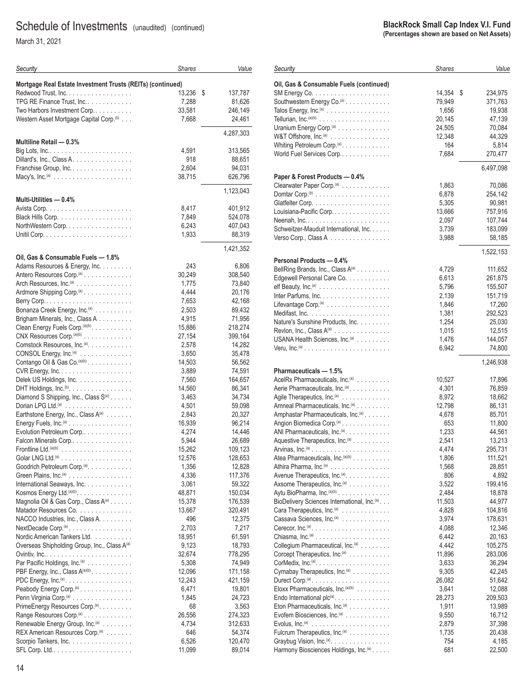March 31, 2021

| Security                                                                           | <b>Shares</b>   | Value             |
|------------------------------------------------------------------------------------|-----------------|-------------------|
| Mortgage Real Estate Investment Trusts (REITs) (continued)                         |                 |                   |
| Redwood Trust, Inc.                                                                | 13,236          | \$<br>137,787     |
| TPG RE Finance Trust, Inc                                                          | 7,288           | 81,626            |
| Two Harbors Investment Corp                                                        | 33,581          | 246,149           |
| Western Asset Mortgage Capital Corp. <sup>(b)</sup>                                | 7,668           | 24,461            |
|                                                                                    |                 | 4,287,303         |
| Multiline Retail - 0.3%                                                            |                 |                   |
|                                                                                    | 4,591           | 313,565           |
| Dillard's, Inc., Class A.                                                          | 918             | 88,651            |
| Franchise Group, Inc                                                               | 2,604           | 94,031            |
|                                                                                    | 38,715          | 626,796           |
|                                                                                    |                 | 1,123,043         |
| Multi-Utilities - 0.4%                                                             |                 |                   |
|                                                                                    | 8,417           | 401,912           |
|                                                                                    | 7,849           | 524,078           |
| NorthWestern Corp                                                                  | 6,243           | 407,043           |
|                                                                                    | 1,933           | 88,319            |
|                                                                                    |                 | 1,421,352         |
| Oil, Gas & Consumable Fuels - 1.8%                                                 |                 |                   |
| Adams Resources & Energy, Inc.                                                     | 243             | 6,806             |
| Antero Resources Corp. <sup>(a)</sup>                                              | 30,249          | 308,540           |
| Arch Resources, Inc. <sup>(a)</sup>                                                | 1.775           | 73,840            |
| Ardmore Shipping Corp. <sup>(a)</sup>                                              | 4,444           | 20,176            |
|                                                                                    | 7,653           | 42,168            |
| Bonanza Creek Energy, Inc. <sup>(a)</sup>                                          | 2,503           | 89,432            |
| Brigham Minerals, Inc., Class A                                                    | 4,915           | 71,956            |
| Clean Energy Fuels Corp. (a)(b)                                                    | 15,886          | 218,274           |
| CNX Resources Corp. <sup>(a)(b)</sup>                                              | 27,154          | 399,164           |
| Comstock Resources, Inc. <sup>(a)</sup> .                                          | 2,578           | 14,282            |
| CONSOL Energy, Inc. <sup>(a)</sup>                                                 | 3,650           | 35,478            |
| Contango Oil & Gas Co. (a)(b)                                                      | 14,503          | 56,562            |
|                                                                                    | 3,889           | 74,591            |
| Delek US Holdings, Inc.                                                            | 7,560           | 164,657           |
| DHT Holdings, $Inc.^{(b)}$ .                                                       | 14,560          | 86,341            |
| Diamond S Shipping, Inc., Class S <sup>(a)</sup><br>Dorian LPG Ltd. <sup>(a)</sup> | 3,463           | 34,734            |
| Earthstone Energy, Inc., Class A(a)                                                | 4,501<br>2,843  | 59,098<br>20,327  |
| Energy Fuels, Inc. <sup>(a)</sup>                                                  | 16,939          | 96,214            |
| Evolution Petroleum Corp                                                           | 4,274           | 14,446            |
| Falcon Minerals Corp                                                               | 5,944           | 26,689            |
|                                                                                    | 15.262          | 109,123           |
|                                                                                    | 12,576          | 128,653           |
| Goodrich Petroleum Corp. <sup>(a)</sup> .                                          | 1,356           | 12,828            |
| Green Plains, Inc. <sup>(a)</sup>                                                  | 4,336           | 117,376           |
| International Seaways, Inc.                                                        | 3,061           | 59,322            |
| Kosmos Energy Ltd. (a)(b).                                                         | 48,871          | 150,034           |
| Magnolia Oil & Gas Corp., Class A(a)                                               | 15,378          | 176,539           |
| Matador Resources Co.                                                              | 13,667          | 320,491           |
| NACCO Industries, Inc., Class A.                                                   | 496             | 12,375            |
| $NextDecade Corp.(a)$                                                              | 2,703           | 7,217             |
| Nordic American Tankers Ltd.                                                       | 18,951          | 61,591            |
| Overseas Shipholding Group, Inc., Class A(a)                                       | 9,123<br>32,674 | 18,793<br>778,295 |
| Par Pacific Holdings, Inc. <sup>(a)</sup>                                          | 5,308           | 74,949            |
| PBF Energy, Inc., Class A(a)(b)                                                    | 12,096          | 171,158           |
| PDC Energy, Inc. <sup>(a)</sup> .                                                  | 12,243          | 421,159           |
| Peabody Energy Corp. <sup>(a)</sup>                                                | 6,471           | 19,801            |
| Penn Virginia Corp. <sup>(a)</sup>                                                 | 1,845           | 24,723            |
| PrimeEnergy Resources Corp. <sup>(a)</sup> .                                       | 68              | 3,563             |
| Range Resources Corp. <sup>(a)</sup>                                               | 26,556          | 274,323           |
| Renewable Energy Group, Inc. <sup>(a)</sup>                                        | 4,734           | 312,633           |
| REX American Resources Corp. <sup>(a)</sup>                                        | 646             | 54,374            |
| Scorpio Tankers, Inc.                                                              | 6,526           | 120,470           |
|                                                                                    | 11,099          | 89,014            |

| Security                                                                           | <b>Shares</b>  | Value            |
|------------------------------------------------------------------------------------|----------------|------------------|
|                                                                                    |                |                  |
| Oil, Gas & Consumable Fuels (continued)                                            | 14,354         | \$               |
|                                                                                    |                | 234,975          |
| Southwestern Energy Co. <sup>(a)</sup>                                             | 79,949         | 371,763          |
| Talos Energy, Inc. <sup>(a)</sup>                                                  | 1,656          | 19,938           |
|                                                                                    | 20,145         | 47,139           |
| Uranium Energy Corp. <sup>(a)</sup>                                                | 24,505         | 70,084           |
| W&T Offshore, $Inc^{(a)}$                                                          | 12,348         | 44,329           |
| Whiting Petroleum Corp. <sup>(a)</sup> .                                           | 164            | 5,814            |
| World Fuel Services Corp                                                           | 7,684          | 270,477          |
|                                                                                    |                | 6,497,098        |
| Paper & Forest Products - 0.4%                                                     |                |                  |
| Clearwater Paper Corp. <sup>(a)</sup>                                              | 1,863          | 70,086           |
|                                                                                    | 6,878          | 254,142          |
|                                                                                    | 5,305          | 90,981           |
| Louisiana-Pacific Corp                                                             | 13,666         | 757,916          |
| Neenah, $Inc. \ldots \ldots \ldots \ldots \ldots \ldots$                           | 2,097          | 107,744          |
| Schweitzer-Mauduit International, Inc.                                             | 3,739          | 183,099          |
| Verso Corp., Class A                                                               | 3,988          | 58,185           |
|                                                                                    |                | 1,522,153        |
| Personal Products - 0.4%                                                           |                |                  |
| BellRing Brands, Inc., Class A(a)                                                  | 4,729          | 111,652          |
| Edgewell Personal Care Co.                                                         | 6,613          | 261,875          |
|                                                                                    | 5,796          | 155,507          |
| Inter Parfums, Inc.                                                                | 2,139          | 151,719          |
| Lifevantage Corp. <sup>(a)</sup>                                                   | 1,846          | 17,260           |
|                                                                                    | 1,381          | 292,523          |
| Nature's Sunshine Products, Inc.                                                   | 1,254          | 25,030           |
| Revion, Inc., Class A <sup>(a)</sup>                                               | 1,015          | 12,515           |
| USANA Health Sciences, Inc. <sup>(a)</sup>                                         | 1,476          | 144,057          |
|                                                                                    | 6,942          | 74,800           |
|                                                                                    |                | 1,246,938        |
| Pharmaceuticals - 1.5%                                                             |                |                  |
| AcelRx Pharmaceuticals, Inc. <sup>(a)</sup>                                        | 10,527         | 17,896           |
| Aerie Pharmaceuticals, Inc. <sup>(a)</sup> .                                       | 4,301          | 76,859           |
| Agile Therapeutics, Inc. <sup>(a)</sup>                                            | 8,972          | 18,662           |
| Amneal Pharmaceuticals, Inc. <sup>(a)</sup>                                        | 12,798         | 86,131           |
| Amphastar Pharmaceuticals, Inc.(a)                                                 | 4,678          | 85,701           |
| Angion Biomedica Corp. <sup>(a)</sup>                                              | 653            | 11,800           |
| ANI Pharmaceuticals, Inc. <sup>(a)</sup> .                                         | 1,233<br>2,541 | 44,561<br>13,213 |
| Aquestive Therapeutics, Inc. <sup>(a)</sup>                                        |                |                  |
|                                                                                    | 4,474          | 295,731          |
| Atea Pharmaceuticals, Inc. <sup>(a)(b)</sup><br>Athira Pharma, Inc. <sup>(a)</sup> | 1,806          | 111,521          |
| Avenue Therapeutics, Inc. <sup>(a)</sup> .                                         | 1,568<br>806   | 28,851<br>4,892  |
| Axsome Therapeutics, Inc. <sup>(a)</sup>                                           | 3,522          | 199,416          |
| Aytu BioPharma, Inc. <sup>(a)(b)</sup>                                             | 2,484          | 18,878           |
| BioDelivery Sciences International, Inc. <sup>(a)</sup> .                          | 11,503         | 44,977           |
| Cara Therapeutics, Inc. <sup>(a)</sup>                                             | 4,828          | 104,816          |
| Cassava Sciences, Inc. <sup>(a)</sup>                                              | 3,974          | 178,631          |
| Cerecor, $Inc^{(a)} \dots \dots \dots \dots \dots \dots \dots \dots$               | 4,088          | 12,346           |
|                                                                                    | 6,442          | 20,163           |
| Collegium Pharmaceutical, Inc.(a)                                                  | 4,442          | 105,275          |
| Corcept Therapeutics, Inc.(a)                                                      | 11,896         | 283,006          |
|                                                                                    | 3,633          | 36,294           |
| Cymabay Therapeutics, Inc. <sup>(a)</sup>                                          | 9,305          | 42,245           |
|                                                                                    | 26,082         | 51,642           |
| Eloxx Pharmaceuticals, Inc. <sup>(a)(b)</sup>                                      | 3,641          | 12,088           |
| Endo International $plc^{(a)}$ .                                                   | 28,273         | 209,503          |
| Eton Pharmaceuticals, Inc. <sup>(a)</sup>                                          | 1,911          | 13,989           |
| Evofem Biosciences, Inc. <sup>(a)</sup>                                            | 9,550          | 16,712           |
| Evolus, Inc. <sup>(a)</sup> $\ldots \ldots \ldots \ldots \ldots \ldots \ldots$     | 2,879          | 37,398           |
| Fulcrum Therapeutics, Inc. <sup>(a)</sup>                                          | 1,735          | 20,438           |
| Graybug Vision, Inc. <sup>(a)</sup> .                                              | 754            | 4,185            |
| Harmony Biosciences Holdings, Inc. <sup>(a)</sup>                                  | 681            | 22,500           |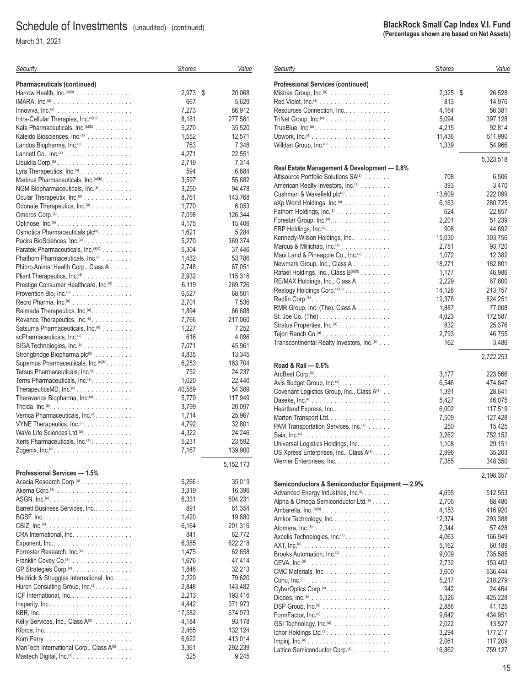March 31, 2021

| Security                                                                                                   | <b>Shares</b>   | Value             |
|------------------------------------------------------------------------------------------------------------|-----------------|-------------------|
| <b>Pharmaceuticals (continued)</b>                                                                         |                 |                   |
| Harrow Health, Inc. (a)(b)                                                                                 | 2,973           | \$<br>20,068      |
|                                                                                                            | 667             | 5,629             |
|                                                                                                            | 7,273           | 86,912            |
| Intra-Cellular Therapies, Inc. $(a)(b)$                                                                    | 8,181           | 277,581           |
| Kala Pharmaceuticals, Inc. <sup>(a)(b)</sup>                                                               | 5,270           | 35,520            |
| Kaleido Biosciences, Inc. <sup>(a)</sup>                                                                   | 1,552           | 12,571            |
| Landos Biopharma, Inc. <sup>(a)</sup>                                                                      | 763             | 7,348             |
|                                                                                                            | 4,271           | 22,551            |
|                                                                                                            | 2,719           | 7,314             |
| Lyra Therapeutics, Inc. <sup>(a)</sup>                                                                     | 594             | 6,884             |
| Marinus Pharmaceuticals, Inc. (a)(b)                                                                       | 3,597           | 55,682            |
| NGM Biopharmaceuticals, Inc. <sup>(a)</sup> .                                                              | 3,250           | 94,478            |
| Ocular Therapeutix, Inc. <sup>(a)</sup>                                                                    | 8,761           | 143,768           |
| Odonate Therapeutics, Inc. <sup>(a)</sup>                                                                  | 1,770           | 6,053             |
| Omeros Corp. <sup>(a)</sup>                                                                                | 7,098           | 126,344           |
|                                                                                                            | 4,175<br>1,621  | 15,406<br>5,284   |
| Osmotica Pharmaceuticals plc(a).<br>Pacira BioSciences, Inc. <sup>(a)</sup> .                              | 5,270           | 369,374           |
| Paratek Pharmaceuticals, Inc. (a)(b)                                                                       | 5,304           | 37,446            |
| Phathom Pharmaceuticals, Inc. <sup>(a)</sup>                                                               | 1,432           | 53,786            |
| Phibro Animal Health Corp., Class A.                                                                       | 2,748           | 67,051            |
| Pliant Therapeutics, Inc. <sup>(a)</sup>                                                                   | 2,932           | 115,316           |
| Prestige Consumer Healthcare, Inc. <sup>(a)</sup>                                                          | 6,119           | 269,726           |
| Provention Bio, $Inc(a)$                                                                                   | 6,527           | 68,501            |
| Recro Pharma, Inc. <sup>(a)</sup>                                                                          | 2,701           | 7,536             |
| Relmada Therapeutics, Inc. <sup>(a)</sup> .                                                                | 1,894           | 66,688            |
| Revance Therapeutics, Inc. <sup>(a)</sup>                                                                  | 7,766           | 217,060           |
| Satsuma Pharmaceuticals, Inc. <sup>(a)</sup>                                                               | 1,227           | 7,252             |
| scPharmaceuticals, Inc. <sup>(a)</sup>                                                                     | 616             | 4,096             |
| SIGA Technologies, Inc. <sup>(a)</sup>                                                                     | 7,071           | 45,961            |
| Strongbridge Biopharma plc(a)                                                                              | 4,835           | 13,345            |
| Supernus Pharmaceuticals, Inc. <sup>(a)(b)</sup> .                                                         | 6,253           | 163,704           |
| Tarsus Pharmaceuticals, Inc.(a)                                                                            | 752             | 24,237            |
| Terns Pharmaceuticals, Inc. <sup>(a)</sup> .<br>Therapeutics MD, $Inc^{(a)} \dots \dots \dots \dots \dots$ | 1,020<br>40,589 | 22,440<br>54,389  |
| Theravance Biopharma, Inc. <sup>(a)</sup>                                                                  | 5,779           | 117,949           |
|                                                                                                            | 3,799           | 20,097            |
| Verrica Pharmaceuticals, Inc. <sup>(a)</sup> .                                                             | 1,714           | 25,967            |
| VYNE Therapeutics, Inc. <sup>(a)</sup> .                                                                   | 4,792           | 32,801            |
| WaVe Life Sciences Ltd. <sup>(a)</sup>                                                                     | 4,322           | 24,246            |
| Xeris Pharmaceuticals, Inc. <sup>(a)</sup>                                                                 | 5,231           | 23,592            |
| Zogenix, $Inc^{(a)} \dots \dots \dots \dots \dots \dots \dots \dots$                                       | 7,167           | 139,900           |
|                                                                                                            |                 |                   |
| Professional Services - 1.5%                                                                               |                 | 5,152,173         |
| Acacia Research Corp. <sup>(a)</sup> .                                                                     | 5,266           | 35,019            |
|                                                                                                            | 3,319           | 16,396            |
|                                                                                                            | 6,331           | 604,231           |
| Barrett Business Services, Inc                                                                             | 891             | 61,354            |
|                                                                                                            | 1,420           | 19,880            |
|                                                                                                            | 6,164           | 201,316           |
| CRA International, Inc.                                                                                    | 841             | 62,772            |
| Exponent, $Inc. \ldots \ldots \ldots \ldots \ldots \ldots \ldots$                                          | 6,385           | 622,218           |
| Forrester Research, Inc. <sup>(a)</sup>                                                                    | 1,475           | 62,658            |
| Franklin Covey Co. <sup>(a)</sup>                                                                          | 1,676           | 47,414            |
| GP Strategies Corp. <sup>(a)</sup> .                                                                       | 1,846           | 32,213            |
| Heidrick & Struggles International, Inc.                                                                   | 2,229           | 79,620            |
| Huron Consulting Group, $Inc^{(a)} \dots \dots \dots$                                                      | 2,848           | 143,482           |
| ICF International, Inc.                                                                                    | 2,213           | 193,416           |
|                                                                                                            | 4,442           | 371,973           |
| Kelly Services, Inc., Class A(a)                                                                           | 17,582<br>4,184 | 674,973<br>93,178 |
|                                                                                                            | 2,465           | 132,124           |
|                                                                                                            | 6,622           | 413,014           |
| ManTech International Corp., Class A(b)                                                                    | 3,361           | 292,239           |
| Mastech Digital, Inc. <sup>(a)</sup> .                                                                     | 525             | 9,245             |

#### **BlackRock Small Cap Index V.I. Fund (Percentages shown are based on Net Assets)** *Shares Value* **Professional Services (continued)** Mistras Group, Inc.(a) ................ 2,325 \$ 26,528 Red Violet, Inc.(a) ................... 813 14,976 Resources Connection, Inc............. TriNet Group, Inc.(a) ................. 5,094 397,128 TrueBlue, Inc.(a) .................... 4,215 92,814 Upwork, Inc.(a) ..................... 11,436 511,990 Willdan Group, Inc.(a) ................ 1,339 54,966 5,323,518 **Real Estate Management & Development — 0.8%** Altisource Portfolio Solutions SA<sup>(a)</sup> ....... 708 6,506 American Realty Investors, Inc.<sup>(a)</sup> ........ 393 3,470 Cushman & Wakefield plc(a) ............ 13,609 222,099 eXp World Holdings, Inc.(a)............. 6,163 280,725 Fathom Holdings, Inc.(a) .............. 624 22,857 Forestar Group, Inc.(a) ................ 2,201 51,239 FRP Holdings, Inc.(a)................. 908 44,692 Kennedy-Wilson Holdings, Inc........... 15,030 303,756 Marcus & Millichap, Inc.(a) ............. 2,781 93,720 Maui Land & Pineapple Co., Inc.<sup>(a)</sup> ....... Newmark Group, Inc., Class A . . . . . . . . . . . . . . . . 18,271 182,801 Rafael Holdings, Inc., Class B<sup>(a)(b)</sup> ....... 1,177 46,986 RE/MAX Holdings, Inc., Class A . . . . . . . . . . . . . . . . 2,229 87,800 Realogy Holdings Corp.(a)(b) ............ 14,128 213,757 Redfin Corp.(a) ..................... 12,378 824,251 RMR Group, Inc. (The), Class A ......... 1,887 77,008 St. Joe Co. (The) ................... 4,023 172,587 Stratus Properties, Inc.(a) .............. 832 25,376 Tejon Ranch Co.(a) .................. 2,793 46,755 Transcontinental Realty Investors, Inc.<sup>(a)</sup> ... 162 162 3,486 2,722,253 ArcBest Corp.(b) .................... 3,177 223,566 Avis Budget Group, Inc.(a) ............. 6,546 474,847 Covenant Logistics Group, Inc., Class A<sup>(a)</sup> . . 1,391 28,641 Daseke, Inc.(a) ..................... 5,427 46,075 Heartland Express, Inc................ 6,002 117,519 Marten Transport Ltd. ................ 7,509 127,428 PAM Transportation Services, Inc.<sup>(a)</sup> ...... 250 250 Saia, Inc.(a) ....................... 3,262 752,152 Universal Logistics Holdings, Inc. ........ 1,108 29,151

*Security*

**Road & Rail — 0.6%**

| Semiconductors & Semiconductor Equipment - 2.9% |        |         |
|-------------------------------------------------|--------|---------|
| Advanced Energy Industries, Inc. <sup>(b)</sup> | 4.695  | 512,553 |
| Alpha & Omega Semiconductor Ltd.(a)             | 2.706  | 88,486  |
| Ambarella, $Inc^{(a)(b)}$                       | 4,153  | 416,920 |
| Amkor Technology, Inc                           | 12,374 | 293,388 |
|                                                 | 2.344  | 57,428  |
| Axcelis Technologies, Inc. <sup>(a)</sup>       | 4.063  | 166.949 |
|                                                 | 5,162  | 60,189  |
| Brooks Automation, Inc. <sup>(b)</sup>          | 9,009  | 735,585 |
|                                                 | 2.732  | 153.402 |
| CMC Materials, Inc.                             | 3,600  | 636,444 |
|                                                 | 5,217  | 218.279 |
| CyberOptics Corp. <sup>(a)</sup> .              | 942    | 24.464  |
|                                                 | 5.326  | 425,228 |
|                                                 | 2,886  | 41,125  |
|                                                 | 9,642  | 434,951 |
|                                                 | 2.022  | 13.527  |
| Ichor Holdings Ltd.(a).                         | 3.294  | 177.217 |
|                                                 | 2,061  | 117,209 |
| Lattice Semiconductor Corp. <sup>(a)</sup>      | 16,862 | 759,127 |

US Xpress Enterprises, Inc., Class A<sup>(a)</sup>..... 2,996 35,203 Werner Enterprises, Inc. .............. 7,385 348,350

2,198,357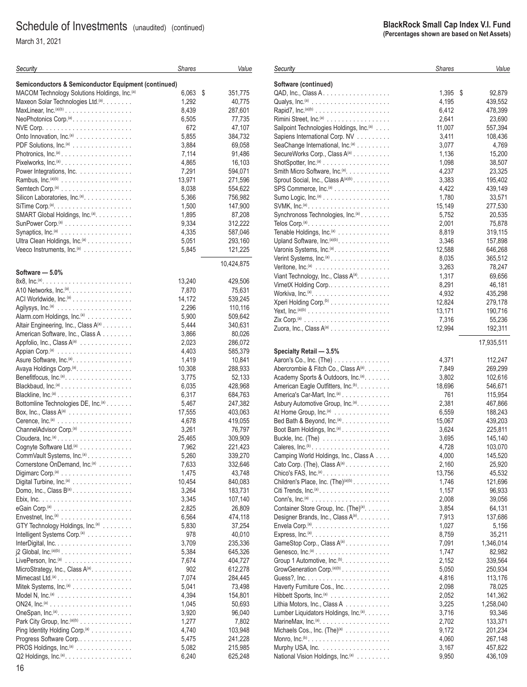March 31, 2021

| Security                                                                         | <b>Shares</b> | Value         |
|----------------------------------------------------------------------------------|---------------|---------------|
| Semiconductors & Semiconductor Equipment (continued)                             |               |               |
| MACOM Technology Solutions Holdings, Inc. <sup>(a)</sup>                         | 6,063         | \$<br>351,775 |
| Maxeon Solar Technologies Ltd.(a).                                               | 1,292         | 40,775        |
|                                                                                  | 8,439         | 287,601       |
| NeoPhotonics Corp. <sup>(a)</sup> .                                              | 6,505         | 77,735        |
|                                                                                  | 672           | 47,107        |
| Onto Innovation, Inc. <sup>(a)</sup>                                             | 5,855         | 384,732       |
| PDF Solutions, Inc. <sup>(a)</sup>                                               | 3,884         | 69,058        |
|                                                                                  | 7,114         | 91,486        |
| Pixelworks, Inc. <sup>(a)</sup>                                                  | 4,865         | 16,103        |
| Power Integrations, Inc.                                                         | 7,291         | 594,071       |
|                                                                                  | 13,971        | 271,596       |
|                                                                                  | 8,038         | 554,622       |
| Silicon Laboratories, Inc. <sup>(a)</sup> .                                      | 5,366         | 756,982       |
| SiTime Corp. <sup>(a)</sup> . $\ldots \ldots \ldots \ldots \ldots \ldots \ldots$ | 1,500         | 147,900       |
| SMART Global Holdings, Inc. <sup>(a)</sup> .                                     | 1,895         | 87,208        |
|                                                                                  | 9,334         | 312,222       |
|                                                                                  | 4,335         | 587,046       |
| Ultra Clean Holdings, Inc. <sup>(a)</sup>                                        | 5,051         | 293,160       |
| Veeco Instruments, Inc. <sup>(a)</sup>                                           | 5,845         | 121,225       |
|                                                                                  |               | 10,424,875    |
| Software - 5.0%                                                                  | 13,240        | 429,506       |
| A10 Networks, Inc. <sup>(a)</sup> .                                              | 7,870         | 75,631        |
| ACI Worldwide, Inc. <sup>(a)</sup>                                               | 14,172        | 539,245       |
|                                                                                  |               |               |
|                                                                                  | 2,296         | 110,116       |
| Alarm.com Holdings, Inc. <sup>(a)</sup>                                          | 5,900         | 509,642       |
| Altair Engineering, Inc., Class A(a)                                             | 5,444         | 340,631       |
| American Software, Inc., Class A                                                 | 3,866         | 80,026        |
| Appfolio, Inc., Class A(a)                                                       | 2,023         | 286,072       |
|                                                                                  | 4,403         | 585,379       |
| Asure Software, Inc. <sup>(a)</sup> .                                            | 1,419         | 10,841        |
| Avaya Holdings Corp. <sup>(a)</sup> .                                            | 10,308        | 288,933       |
| Benefitfocus, Inc. <sup>(a)</sup> .                                              | 3,775         | 52,133        |
|                                                                                  | 6,035         | 428,968       |
|                                                                                  | 6,317         | 684,763       |
| Bottomline Technologies DE, Inc.(a)                                              | 5,467         | 247,382       |
| Box, Inc., Class $A^{(a)}$                                                       | 17,555        | 403,063       |
|                                                                                  | 4,678         | 419,055       |
| ChannelAdvisor Corp. <sup>(a)</sup>                                              | 3,261         | 76,797        |
|                                                                                  | 25,465        | 309,909       |
| Cognyte Software Ltd.(a)                                                         | 7,962         | 221,423       |
| CommVault Systems, Inc.(a)                                                       | 5,260         | 339,270       |
| Cornerstone OnDemand, Inc. <sup>(a)</sup>                                        | 7,633         | 332,646       |
|                                                                                  | 1,475         | 43,748        |
| Digital Turbine, Inc. <sup>(a)</sup>                                             | 10,454        | 840,083       |
| Domo, Inc., Class $B^{(a)}$                                                      | 3,264         | 183,731       |
|                                                                                  | 3,345         | 107,140       |
|                                                                                  | 2,825         | 26,809        |
|                                                                                  | 6,564         | 474,118       |
| GTY Technology Holdings, Inc. <sup>(a)</sup>                                     | 5,830         | 37,254        |
| Intelligent Systems Corp. <sup>(a)</sup>                                         | 978           | 40,010        |
|                                                                                  | 3,709         | 235,336       |
| j2 Global, $Inc^{(a)(b)} \ldots \ldots \ldots \ldots \ldots \ldots$              | 5,384         | 645,326       |
|                                                                                  | 7,674         | 404,727       |
| MicroStrategy, Inc., Class A(a).                                                 | 902           | 612,278       |
|                                                                                  | 7,074         | 284,445       |
| Mitek Systems, Inc. <sup>(a)</sup>                                               | 5,041         | 73,498        |
| Model N, $Inc^{(a)}$                                                             | 4,394         | 154,801       |
|                                                                                  | 1,045         | 50,693        |
|                                                                                  | 3,920         | 96,040        |
| Park City Group, Inc. <sup>(a)(b)</sup>                                          | 1,277         | 7,802         |
| Ping Identity Holding Corp. <sup>(a)</sup>                                       | 4,740         | 103,948       |
| Progress Software Corp                                                           | 5,475         | 241,228       |
| PROS Holdings, Inc. <sup>(a)</sup>                                               | 5,082         | 215,985       |
| Q2 Holdings, Inc. <sup>(a)</sup> .                                               | 6,240         | 625,248       |

| Security                                                                         | <b>Shares</b> | Value        |
|----------------------------------------------------------------------------------|---------------|--------------|
| Software (continued)                                                             |               |              |
| $QAD$ , Inc., Class A                                                            | 1,395         | \$<br>92,879 |
|                                                                                  | 4,195         | 439,552      |
|                                                                                  | 6,412         | 478,399      |
| Rimini Street, Inc. <sup>(a)</sup>                                               | 2,641         | 23,690       |
| Sailpoint Technologies Holdings, Inc. <sup>(a)</sup>                             | 11,007        | 557,394      |
| Sapiens International Corp. NV                                                   | 3,411         | 108,436      |
| SeaChange International, Inc. <sup>(a)</sup>                                     | 3,077         | 4,769        |
| SecureWorks Corp., Class A(a)                                                    | 1,136         | 15,200       |
|                                                                                  | 1,098         | 38,507       |
| Smith Micro Software, Inc. <sup>(a)</sup> .                                      | 4,237         | 23,325       |
| Sprout Social, Inc., Class A(a)(b)                                               | 3,383         | 195,402      |
| SPS Commerce, Inc. <sup>(a)</sup>                                                | 4,422         | 439,149      |
| Sumo Logic, $Inc^{(a)} \dots \dots \dots \dots \dots \dots$                      | 1,780         | 33,571       |
|                                                                                  | 15,149        | 277,530      |
| Synchronoss Technologies, Inc. <sup>(a)</sup>                                    | 5,752         | 20,535       |
|                                                                                  | 2,001         | 75,878       |
| Tenable Holdings, Inc. <sup>(a)</sup>                                            | 8,819         | 319,115      |
| Upland Software, Inc. <sup>(a)(b)</sup> .                                        | 3,346         | 157,898      |
| Varonis Systems, Inc. <sup>(a)</sup> .                                           | 12,588        | 646,268      |
| Verint Systems, Inc. <sup>(a)</sup>                                              | 8,035         | 365,512      |
| Veritone, Inc. <sup>(a)</sup> $\ldots \ldots \ldots \ldots \ldots \ldots$        | 3,263         | 78,247       |
| Viant Technology, Inc., Class A <sup>(a)</sup> .                                 | 1,317         | 69,656       |
| VirnetX Holding Corp                                                             | 8,291         | 46,181       |
|                                                                                  | 4,932         | 435,298      |
| Xperi Holding Corp. <sup>(b)</sup>                                               | 12,824        | 279,178      |
|                                                                                  | 13,171        | 190,716      |
|                                                                                  | 7,316         | 55,236       |
| Zuora, Inc., Class $A^{(a)}$                                                     | 12,994        | 192,311      |
|                                                                                  |               | 17,935,511   |
| Specialty Retail - 3.5%<br>Aaron's Co., Inc. (The)                               | 4,371         | 112,247      |
| Abercrombie & Fitch Co., Class A(a).                                             | 7,849         | 269,299      |
| Academy Sports & Outdoors, Inc. <sup>(a)</sup> .                                 | 3,802         | 102,616      |
| American Eagle Outfitters, Inc. <sup>(b)</sup> .                                 | 18,696        | 546,671      |
| America's Car-Mart, Inc. <sup>(a)</sup>                                          | 761           | 115,954      |
| Asbury Automotive Group, Inc. <sup>(a)</sup> .                                   | 2,381         | 467,866      |
| At Home Group, Inc. <sup>(a)</sup>                                               | 6,559         | 188,243      |
| Bed Bath & Beyond, Inc. <sup>(a)</sup> .                                         | 15,067        | 439,203      |
| Boot Barn Holdings, Inc. <sup>(a)</sup>                                          | 3,624         | 225,811      |
| Buckle, Inc. (The) $\ldots \ldots \ldots \ldots \ldots$                          | 3,695         | 145,140      |
|                                                                                  | 4,728         | 103,070      |
| Camping World Holdings, Inc., Class A                                            | 4,000         | 145,520      |
| Cato Corp. (The), Class $A^{(a)}$ .                                              | 2,160         | 25,920       |
| Chico's FAS, Inc. (a) $\ldots \ldots \ldots \ldots \ldots \ldots$                | 13,756        | 45,532       |
| Children's Place, Inc. (The) <sup>(a)(b)</sup>                                   | 1,746         | 121,696      |
|                                                                                  | 1,157         | 96,933       |
|                                                                                  | 2,008         | 39,056       |
| Container Store Group, Inc. (The)(a).                                            | 3,854         | 64,131       |
| Designer Brands, Inc., Class A(a).                                               | 7,913         | 137,686      |
| Envela Corp. <sup>(a)</sup> . $\ldots \ldots \ldots \ldots \ldots \ldots \ldots$ | 1,027         | 5,156        |
|                                                                                  | 8,759         | 35,211       |
| GameStop Corp., Class A(a)                                                       | 7,091         | 1,346,014    |
|                                                                                  | 1,747         | 82,982       |
| Group 1 Automotive, Inc. <sup>(b)</sup> .                                        | 2,152         | 339,564      |
| GrowGeneration Corp. <sup>(a)(b)</sup>                                           | 5,050         | 250,934      |
|                                                                                  | 4,816         | 113,176      |
| Haverty Furniture Cos., Inc                                                      | 2,098         | 78,025       |
| Hibbett Sports, Inc. <sup>(a)</sup>                                              | 2,052         | 141,362      |
| Lithia Motors, Inc., Class A                                                     | 3,225         | 1,258,040    |
| Lumber Liquidators Holdings, Inc. <sup>(a)</sup> .                               | 3,716         | 93,346       |
|                                                                                  | 2,702         | 133,371      |
| Michaels Cos., Inc. (The) <sup>(a)</sup>                                         | 9,172         | 201,234      |
|                                                                                  | 4,060         | 267,148      |
|                                                                                  | 3,167         | 457,822      |
| National Vision Holdings, Inc. <sup>(a)</sup>                                    | 9,950         | 436,109      |
|                                                                                  |               |              |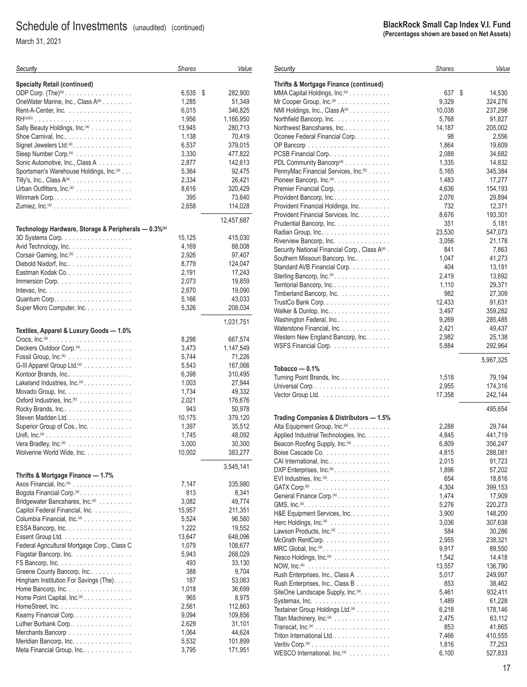March 31, 2021

| Security                                                                 | <b>Shares</b> | Value         |
|--------------------------------------------------------------------------|---------------|---------------|
| <b>Specialty Retail (continued)</b>                                      |               |               |
| ODP Corp. $(The)^{(a)}$                                                  | 6,535         | \$<br>282,900 |
| OneWater Marine, Inc., Class A(a)                                        | 1,285         | 51,349        |
| Rent-A-Center, Inc.                                                      | 6,015         | 346,825       |
|                                                                          | 1,956         | 1,166,950     |
| Sally Beauty Holdings, Inc. <sup>(a)</sup>                               | 13,945        | 280,713       |
| Shoe Carnival, Inc                                                       | 1,138         | 70,419        |
| Signet Jewelers Ltd. <sup>(a)</sup> .                                    | 6,537         | 379,015       |
| Sleep Number Corp. <sup>(a)</sup>                                        | 3,330         | 477,822       |
| Sonic Automotive, Inc., Class A                                          | 2,877         | 142,613       |
| Sportsman's Warehouse Holdings, Inc. <sup>(a)</sup>                      | 5,364         | 92,475        |
| Tilly's, Inc., Class $A^{(a)}$                                           | 2,334         | 26,421        |
| Urban Outfitters, Inc. <sup>(a)</sup>                                    | 8,616         | 320,429       |
|                                                                          | 395           | 73,640        |
|                                                                          | 2,658         | 114,028       |
|                                                                          |               |               |
| Technology Hardware, Storage & Peripherals - 0.3% <sup>(a)</sup>         |               | 12,457,687    |
| 3D Systems Corp.                                                         | 15,125        | 415,030       |
| Avid Technology, Inc.                                                    | 4,169         | 88,008        |
| Corsair Gaming, Inc. <sup>(b)</sup>                                      | 2,926         | 97,407        |
| Diebold Nixdorf, Inc.                                                    | 8,779         | 124,047       |
| Eastman Kodak Co.                                                        | 2,191         | 17,243        |
| Immersion Corp. $\dots \dots \dots \dots \dots \dots \dots$              | 2,073         | 19,859        |
| Intevac, Inc. $\ldots \ldots \ldots \ldots \ldots \ldots \ldots \ldots$  | 2,670         | 19,090        |
|                                                                          |               |               |
|                                                                          | 5,166         | 43,033        |
| Super Micro Computer, Inc.                                               | 5,326         | 208,034       |
| Textiles, Apparel & Luxury Goods - 1.0%                                  |               | 1,031,751     |
|                                                                          | 8,298         | 667,574       |
| Deckers Outdoor Corp. <sup>(a)</sup> .                                   | 3,473         | 1,147,549     |
| Fossil Group, Inc. <sup>(a)</sup>                                        | 5,744         | 71,226        |
| G-III Apparel Group Ltd. <sup>(a)</sup>                                  | 5,543         | 167,066       |
|                                                                          | 6,398         |               |
| Kontoor Brands, Inc                                                      |               | 310,495       |
| Lakeland Industries, Inc. <sup>(a)</sup> .                               | 1,003         | 27,944        |
| Movado Group, Inc.                                                       | 1,734         | 49,332        |
| Oxford Industries, Inc. <sup>(b)</sup>                                   | 2,021         | 176,676       |
| Rocky Brands, Inc                                                        | 943           | 50,978        |
| Steven Madden Ltd                                                        | 10,175        | 379,120       |
| Superior Group of Cos., Inc.                                             | 1,397         | 35,512        |
|                                                                          | 1,745         | 48,092        |
| Vera Bradley, Inc. <sup>(a)</sup>                                        | 3,000         | 30,300        |
| Wolverine World Wide, Inc.                                               | 10,002        | 383,277       |
|                                                                          |               | 3,545,141     |
| Thrifts & Mortgage Finance - 1.7%<br>Axos Financial, Inc. <sup>(a)</sup> | 7,147         | 335,980       |
|                                                                          |               |               |
| Bogota Financial Corp. <sup>(a)</sup> .                                  | 813           | 8,341         |
| Bridgewater Bancshares, Inc. <sup>(a)</sup>                              | 3,082         | 49,774        |
| Capitol Federal Financial, Inc.                                          | 15,957        | 211,351       |
| Columbia Financial, Inc. <sup>(a)</sup>                                  | 5,524         | 96,560        |
| ESSA Bancorp, Inc.                                                       | 1,222         | 19,552        |
|                                                                          | 13,647        | 648,096       |
| Federal Agricultural Mortgage Corp., Class C                             | 1,079         | 108,677       |
| Flagstar Bancorp, Inc.                                                   | 5,943         | 268,029       |
|                                                                          | 493           | 33,130        |
| Greene County Bancorp, Inc                                               | 388           | 9,704         |
| Hingham Institution For Savings (The).                                   | 187           | 53,063        |
| Home Bancorp, Inc.                                                       | 1,018         | 36,699        |
| Home Point Capital, Inc. <sup>(a)</sup>                                  | 965           | 8,975         |
|                                                                          | 2,561         | 112,863       |
| Kearny Financial Corp.                                                   | 9,094         | 109,856       |
| Luther Burbank Corp.                                                     | 2,629         | 31,101        |
| Merchants Bancorp                                                        | 1,064         | 44,624        |
| Meridian Bancorp, Inc.                                                   | 5,532         | 101,899       |
| Meta Financial Group, Inc                                                | 3,795         | 171,951       |

#### **BlackRock Small Cap Index V.I. Fund (Percentages shown are based on Net Assets)** *Shares Value* **Thrifts & Mortgage Finance (continued)** MMA Capital Holdings, Inc.(a) ........... 637 14.530 Mr Cooper Group, Inc.(a) .............. 9,329 324,276 NMI Holdings, Inc., Class A<sup>(a)</sup> .......... Northfield Bancorp, Inc. .............. 5,768 91,827 Northwest Bancshares, Inc. ............ 14,187 205,002 Oconee Federal Financial Corp. ......... 98 2,556 OP Bancorp ...................... 1,864 19,609 PCSB Financial Corp................. 2,088 34,682 PDL Community Bancorp(a) ............ 1,335 14,832 PennyMac Financial Services, Inc.<sup>(b)</sup> . . . . . . . . . . . . . . . 5,165 345,384 Pioneer Bancorp, Inc.(a)............... 1,483 17,277 Premier Financial Corp. .............. 4,636 154,193 Provident Bancorp, Inc................ 2,076 29,894 Provident Financial Holdings, Inc......... 732 12,371 Provident Financial Services, Inc. . . . . . . . . . . . . . 8,676 193,301 Prudential Bancorp, Inc. .............. 351 5,181 Radian Group, Inc................... 23,530 547,073 Riverview Bancorp, Inc. . . . . . . . . . . . . . . Security National Financial Corp., Class A<sup>(a)</sup>. . 841 7,863 Southern Missouri Bancorp, Inc.......... 1,047 41,273 Standard AVB Financial Corp. . . . . . . . . . . . . . . . 404 13,191<br>Sterling Bancorp. Inc. (a) 3 (3) Sterling Bancorp, Inc.(a) ............... 2,419 13,692 Territorial Bancorp, Inc................ 1,110 29,371 Timberland Bancorp, Inc. . . . . . . . . . . . . . . . . 982 27,309 TrustCo Bank Corp. ................. 12,433 91,631 Walker & Dunlop, Inc................. 3,497 359,282 Washington Federal, Inc............... 9,269 285,485 Waterstone Financial, Inc. ............. 2,421 49,437 Western New England Bancorp, Inc. . . . . . . . . . . . . . 2,982 25,138 WSFS Financial Corp. ............... 5,884 292,964 5,967,325 **Tobacco — 0.1%** Turning Point Brands, Inc. ............. 1,518 79,194 Universal Corp. .................... 2,955 174,316 Vector Group Ltd. .................. 17,358 242,144 495,654 **Trading Companies & Distributors — 1.5%** Alta Equipment Group, Inc.(a) ........... 2,288 29,744 Applied Industrial Technologies, Inc. . . . . . . . . . . 4,845 441,719 Beacon Roofing Supply, Inc.(a) .......... 6,809 356,247 Boise Cascade Co. ................. 4,815 288,081 CAI International, Inc. ................ 2,015 91,723 DXP Enterprises, Inc.<sup>(a)</sup>............... EVI Industries, Inc.(a)................. 654 18,816 GATX Corp.(b) ..................... 4,304 399,153 General Finance Corp.(a) .............. 1,474 17,909 GMS, Inc.(a)....................... 5,276 220,273 H&E Equipment Services, Inc. .......... 3,900 148,200 Herc Holdings, Inc.(a) ................ 3,036 307,638 Lawson Products, Inc.(a) .............. 584 30,286 McGrath RentCorp.................. 2,955 238,321 MRC Global, Inc.(a) .................. 9,917 89,550 Nesco Holdings, Inc.<sup>(a)</sup> . . . . . . . . . . . . . . .

NOW, Inc.(a) ...................... 13,557 136,790 Rush Enterprises, Inc., Class A ......... 5,017 249,997 Rush Enterprises, Inc., Class B . . . . . . . . . . . . 853 38,462 SiteOne Landscape Supply, Inc.(a)........ 5,461 932,411 Systemax, Inc. .................... 1,489 61,228

Titan Machinery, Inc.(a) ............... 2,475 63,112 Transcat, Inc.(a) .................... 853 41,865

Veritiv Corp.(a) ..................... 1,816 77,253 WESCO International, Inc.(a) ........... 6,100 527,833

Triton International Ltd. ............... 7,466 410,555

Textainer Group Holdings Ltd.<sup>(a)</sup> . . . . . . . . .

*Security*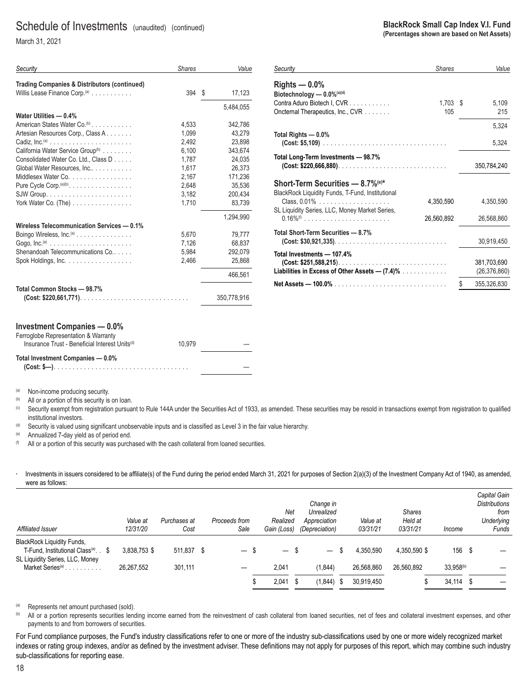March 31, 2021

| Security                                                 | <b>Shares</b> | Value        |
|----------------------------------------------------------|---------------|--------------|
| <b>Trading Companies &amp; Distributors (continued)</b>  |               |              |
| Willis Lease Finance Corp. $(0)$                         | 394           | \$<br>17,123 |
|                                                          |               | 5.484.055    |
| Water Utilities - 0.4%                                   |               |              |
| American States Water Co. <sup>(b)</sup>                 | 4,533         | 342,786      |
| Artesian Resources Corp., Class A                        | 1.099         | 43.279       |
|                                                          | 2,492         | 23,898       |
| California Water Service Group <sup>(b)</sup>            | 6,100         | 343,674      |
| Consolidated Water Co. Ltd., Class D                     | 1,787         | 24,035       |
| Global Water Resources, Inc                              | 1.617         | 26.373       |
| Middlesex Water Co.                                      | 2,167         | 171,236      |
| Pure Cycle Corp. $(a)(b)$ .                              | 2,648         | 35,536       |
|                                                          | 3,182         | 200,434      |
| York Water Co. $(The)$                                   | 1,710         | 83,739       |
|                                                          |               | 1.294.990    |
| Wireless Telecommunication Services - 0.1%               |               |              |
| Boingo Wireless, Inc. <sup>(a)</sup>                     | 5,670         | 79,777       |
|                                                          | 7,126         | 68,837       |
| Shenandoah Telecommunications Co                         | 5.984         | 292,079      |
| Spok Holdings, Inc. $\ldots \ldots \ldots \ldots \ldots$ | 2,466         | 25,868       |
|                                                          |               | 466,561      |
| Total Common Stocks - 98.7%                              |               |              |
|                                                          |               | 350,778,916  |
|                                                          |               |              |
| <b>Investment Companies - 0.0%</b>                       |               |              |

| Security                                         | <b>Shares</b> |      | Value          |
|--------------------------------------------------|---------------|------|----------------|
| Rights $-0.0%$                                   |               |      |                |
| Biotechnology - 0.0%(a)(d)                       |               |      |                |
| Contra Aduro Biotech I, CVR                      | 1,703         | - \$ | 5,109          |
| Oncternal Therapeutics, Inc., CVR                | 105           |      | 215            |
|                                                  |               |      | 5,324          |
| Total Rights - 0.0%                              |               |      |                |
|                                                  |               |      | 5,324          |
| Total Long-Term Investments - 98.7%              |               |      |                |
|                                                  |               |      | 350,784,240    |
| <b>Short-Term Securities - 8.7% (e)*</b>         |               |      |                |
| BlackRock Liquidity Funds, T-Fund, Institutional |               |      |                |
|                                                  | 4,350,590     |      | 4,350,590      |
| SL Liquidity Series, LLC, Money Market Series,   |               |      |                |
|                                                  | 26,560,892    |      | 26,568,860     |
| Total Short-Term Securities - 8.7%               |               |      |                |
|                                                  |               |      | 30,919,450     |
| Total Investments - 107.4%                       |               |      |                |
|                                                  |               |      | 381,703,690    |
| Liabilities in Excess of Other Assets $-$ (7.4)% |               |      | (26, 376, 860) |
|                                                  |               | \$   | 355,326,830    |

| Ferroglobe Representation & Warranty                       |        |  |
|------------------------------------------------------------|--------|--|
| Insurance Trust - Beneficial Interest Units <sup>(d)</sup> | 10.979 |  |
| Total Investment Companies - 0.0%                          |        |  |

(a) Non-income producing security.

<sup>(b)</sup> All or a portion of this security is on loan.<br><sup>(c)</sup> Security exempt from registration pursuant to Rule 144A under the Securities Act of 1933, as amended. These securities may be resold in transactions exempt from reg institutional investors.

 $<sup>(d)</sup>$  Security is valued using significant unobservable inputs and is classified as Level 3 in the fair value hierarchy.</sup>

(e) Annualized 7-day yield as of period end.

 $(6)$  All or a portion of this security was purchased with the cash collateral from loaned securities.

Investments in issuers considered to be affiliate(s) of the Fund during the period ended March 31, 2021 for purposes of Section 2(a)(3) of the Investment Company Act of 1940, as amended, were as follows:

|                                                                                                                         |              |              |                          |                                  |                          |                  |               |                       | Capital Gain                 |
|-------------------------------------------------------------------------------------------------------------------------|--------------|--------------|--------------------------|----------------------------------|--------------------------|------------------|---------------|-----------------------|------------------------------|
|                                                                                                                         |              |              |                          | Net                              | Change in<br>Unrealized  |                  | <b>Shares</b> |                       | <b>Distributions</b><br>from |
|                                                                                                                         | Value at     | Purchases at | Proceeds from            | Realized                         | Appreciation             | Value at         | Held at       |                       | Underlying                   |
| Affiliated Issuer                                                                                                       | 12/31/20     | Cost         | Sale                     | Gain (Loss)                      | (Depreciation)           | 03/31/21         | 03/31/21      | Income                | Funds                        |
| <b>BlackRock Liquidity Funds,</b><br>T-Fund, Institutional Class <sup>(a)</sup> . \$<br>SL Liquidity Series, LLC, Money | 3.838.753 \$ | 511.837 \$   | $\overline{\phantom{0}}$ | - \$<br>$\overline{\phantom{m}}$ | $\overline{\phantom{0}}$ | 4.350.590<br>S   | 4.350.590 \$  | 156 \$                |                              |
| Market Series <sup>(a)</sup>                                                                                            | 26.267.552   | 301,111      |                          | 2,041                            | (1, 844)                 | 26,568,860       | 26.560.892    | 33.958 <sup>(b)</sup> |                              |
|                                                                                                                         |              |              |                          | 2,041<br>- \$                    | (1, 844)                 | 30.919.450<br>-S |               | $34,114$ \$           |                              |

(a) Represents net amount purchased (sold).

(b) All or a portion represents securities lending income earned from the reinvestment of cash collateral from loaned securities, net of fees and collateral investment expenses, and other payments to and from borrowers of securities.

— —

For Fund compliance purposes, the Fund's industry classifications refer to one or more of the industry sub-classifications used by one or more widely recognized market indexes or rating group indexes, and/or as defined by the investment adviser. These definitions may not apply for purposes of this report, which may combine such industry sub-classifications for reporting ease.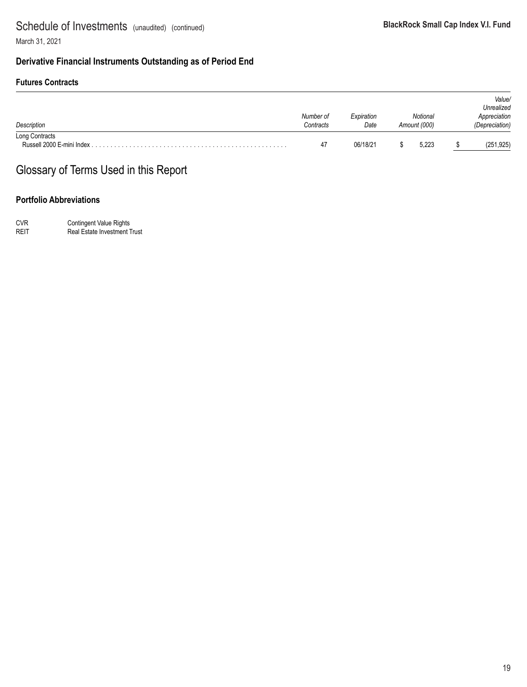### **Derivative Financial Instruments Outstanding as of Period End**

#### **Futures Contracts**

| Description    | Number of<br>Contracts | Expiration<br>Date | Notional<br>Amount (000) | Value/<br>Unrealized<br>Appreciation<br>(Depreciation) |  |
|----------------|------------------------|--------------------|--------------------------|--------------------------------------------------------|--|
| Long Contracts | 47                     | 06/18/21           | 5.223                    | (251, 925)                                             |  |

# Glossary of Terms Used in this Report

### **Portfolio Abbreviations**

CVR Contingent Value Rights REIT Real Estate Investment Trust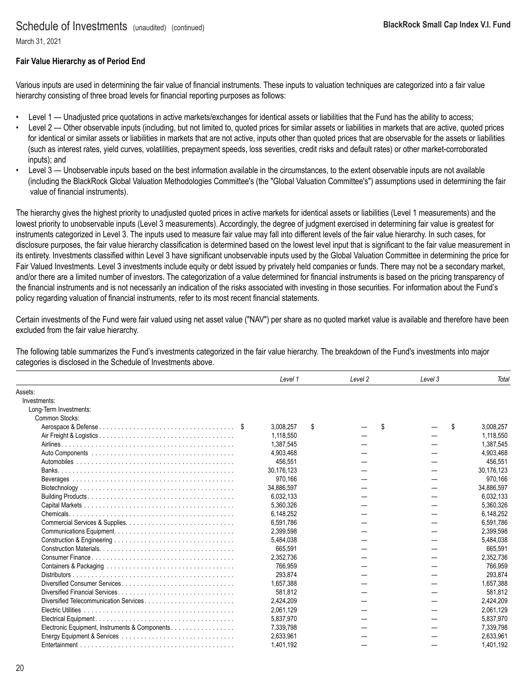March 31, 2021

#### **Fair Value Hierarchy as of Period End**

Various inputs are used in determining the fair value of financial instruments. These inputs to valuation techniques are categorized into a fair value hierarchy consisting of three broad levels for financial reporting purposes as follows:

- Level 1 Unadjusted price quotations in active markets/exchanges for identical assets or liabilities that the Fund has the ability to access;
- Level 2 Other observable inputs (including, but not limited to, quoted prices for similar assets or liabilities in markets that are active, quoted prices for identical or similar assets or liabilities in markets that are not active, inputs other than quoted prices that are observable for the assets or liabilities (such as interest rates, yield curves, volatilities, prepayment speeds, loss severities, credit risks and default rates) or other market-corroborated inputs); and
- Level 3 Unobservable inputs based on the best information available in the circumstances, to the extent observable inputs are not available (including the BlackRock Global Valuation Methodologies Committee's (the "Global Valuation Committee's") assumptions used in determining the fair value of financial instruments).

The hierarchy gives the highest priority to unadjusted quoted prices in active markets for identical assets or liabilities (Level 1 measurements) and the lowest priority to unobservable inputs (Level 3 measurements). Accordingly, the degree of judgment exercised in determining fair value is greatest for instruments categorized in Level 3. The inputs used to measure fair value may fall into different levels of the fair value hierarchy. In such cases, for disclosure purposes, the fair value hierarchy classification is determined based on the lowest level input that is significant to the fair value measurement in its entirety. Investments classified within Level 3 have significant unobservable inputs used by the Global Valuation Committee in determining the price for Fair Valued Investments. Level 3 investments include equity or debt issued by privately held companies or funds. There may not be a secondary market, and/or there are a limited number of investors. The categorization of a value determined for financial instruments is based on the pricing transparency of the financial instruments and is not necessarily an indication of the risks associated with investing in those securities. For information about the Fund's policy regarding valuation of financial instruments, refer to its most recent financial statements.

Certain investments of the Fund were fair valued using net asset value ("NAV") per share as no quoted market value is available and therefore have been excluded from the fair value hierarchy.

The following table summarizes the Fund's investments categorized in the fair value hierarchy. The breakdown of the Fund's investments into major categories is disclosed in the Schedule of Investments above.

|                                                | Level 1    | Level <sub>2</sub> | Level 3 | Total           |
|------------------------------------------------|------------|--------------------|---------|-----------------|
| Assets:                                        |            |                    |         |                 |
| Investments:                                   |            |                    |         |                 |
| Long-Term Investments:                         |            |                    |         |                 |
| Common Stocks:                                 |            |                    |         |                 |
|                                                | 3.008.257  | \$                 | \$      | \$<br>3.008.257 |
|                                                | 1.118.550  |                    |         | 1.118.550       |
|                                                | 1,387,545  |                    |         | 1,387,545       |
|                                                | 4,903,468  |                    |         | 4,903,468       |
|                                                | 456,551    |                    |         | 456,551         |
|                                                | 30,176,123 |                    |         | 30,176,123      |
|                                                | 970,166    |                    |         | 970.166         |
|                                                | 34,886,597 |                    |         | 34,886,597      |
|                                                | 6.032.133  |                    |         | 6,032,133       |
|                                                | 5,360,326  |                    |         | 5,360,326       |
|                                                | 6,148,252  |                    |         | 6,148,252       |
|                                                | 6,591,786  |                    |         | 6,591,786       |
|                                                | 2,399,598  |                    |         | 2,399,598       |
|                                                | 5,484,038  |                    |         | 5,484,038       |
|                                                | 665,591    |                    |         | 665.591         |
|                                                | 2,352,736  |                    |         | 2,352,736       |
|                                                | 766,959    |                    |         | 766.959         |
| Distributors.                                  | 293,874    |                    |         | 293.874         |
| Diversified Consumer Services                  | 1,657,388  |                    |         | 1.657.388       |
|                                                | 581.812    |                    |         | 581.812         |
|                                                | 2.424.209  |                    |         | 2.424.209       |
|                                                | 2,061,129  |                    |         | 2,061,129       |
|                                                | 5.837.970  |                    |         | 5,837,970       |
| Electronic Equipment, Instruments & Components | 7,339,798  |                    |         | 7.339.798       |
|                                                | 2,633,961  |                    |         | 2,633,961       |
|                                                | 1,401,192  |                    |         | 1.401.192       |